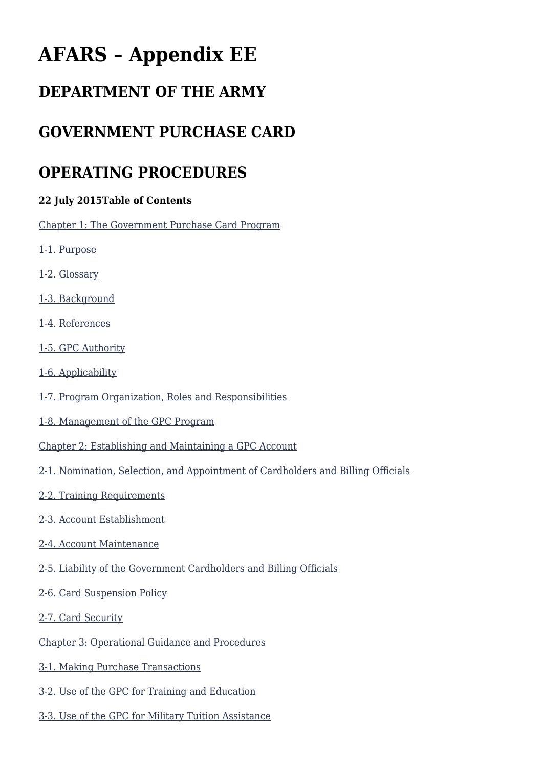# **AFARS – Appendix EE**

# **DEPARTMENT OF THE ARMY**

# **GOVERNMENT PURCHASE CARD**

# **OPERATING PROCEDURES**

#### **22 July 2015Table of Contents**

[Chapter 1: The Government Purchase Card Program](#page--1-0)

- [1-1. Purpose](#page--1-0)
- [1-2. Glossary](#page--1-0)
- [1-3. Background](#page--1-0)
- [1-4. References](#page--1-0)
- [1-5. GPC Authority](#page--1-0)
- [1-6. Applicability](#page--1-0)
- [1-7. Program Organization, Roles and Responsibilities](#page--1-0)
- [1-8. Management of the GPC Program](#page--1-0)
- [Chapter 2: Establishing and Maintaining a GPC Account](#page--1-0)
- [2-1. Nomination, Selection, and Appointment of Cardholders and Billing Officials](#page--1-0)
- [2-2. Training Requirements](#page--1-0)
- [2-3. Account Establishment](#page--1-0)
- [2-4. Account Maintenance](#page--1-0)
- [2-5. Liability of the Government Cardholders and Billing Officials](#page--1-0)
- [2-6. Card Suspension Policy](#page--1-0)
- [2-7. Card Security](#page--1-0)
- [Chapter 3: Operational Guidance and Procedures](#page--1-0)
- [3-1. Making Purchase Transactions](#page--1-0)
- [3-2. Use of the GPC for Training and Education](#page--1-0)
- [3-3. Use of the GPC for Military Tuition Assistance](#page--1-0)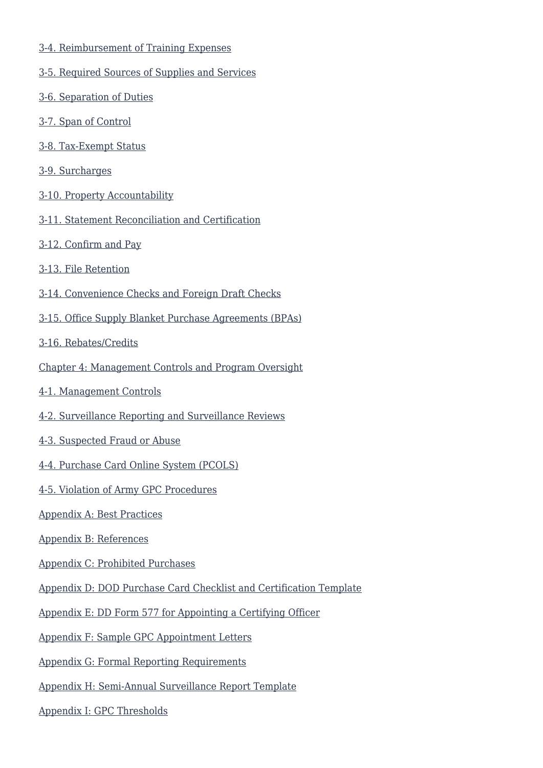- [3-4. Reimbursement of Training Expenses](#page--1-0)
- [3-5. Required Sources of Supplies and Services](#page--1-0)
- [3-6. Separation of Duties](#page--1-0)
- [3-7. Span of Control](#page--1-0)
- [3-8. Tax-Exempt Status](#page--1-0)
- [3-9. Surcharges](#page--1-0)
- [3-10. Property Accountability](#page--1-0)
- [3-11. Statement Reconciliation and Certification](#page--1-0)
- [3-12. Confirm and Pay](#page--1-0)
- [3-13. File Retention](#page--1-0)
- [3-14. Convenience Checks and Foreign Draft Checks](#page--1-0)
- [3-15. Office Supply Blanket Purchase Agreements \(BPAs\)](#page--1-0)
- [3-16. Rebates/Credits](#page--1-0)
- [Chapter 4: Management Controls and Program Oversight](#page--1-0)
- [4-1. Management Controls](#page--1-0)
- [4-2. Surveillance Reporting and Surveillance Reviews](#page--1-0)
- [4-3. Suspected Fraud or Abuse](#page--1-0)
- [4-4. Purchase Card Online System \(PCOLS\)](#page--1-0)
- [4-5. Violation of Army GPC Procedures](#page--1-0)
- [Appendix A: Best Practices](#page--1-0)
- [Appendix B: References](#page--1-0)
- [Appendix C: Prohibited Purchases](#page--1-0)
- [Appendix D: DOD Purchase Card Checklist and Certification Template](#page--1-0)
- [Appendix E: DD Form 577 for Appointing a Certifying Officer](#page--1-0)
- [Appendix F: Sample GPC Appointment Letters](#page--1-0)
- [Appendix G: Formal Reporting Requirements](#page--1-0)
- [Appendix H: Semi-Annual Surveillance Report Template](#page--1-0)
- [Appendix I: GPC Thresholds](#page--1-0)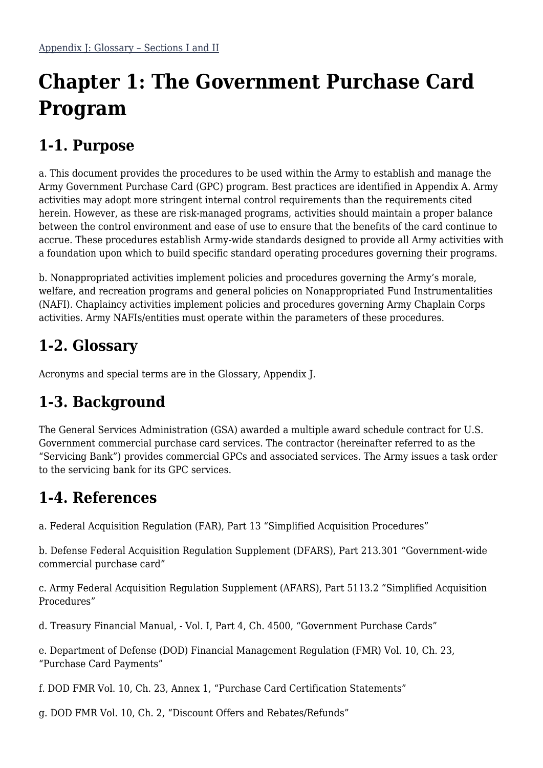# **Chapter 1: The Government Purchase Card Program**

# **1-1. Purpose**

a. This document provides the procedures to be used within the Army to establish and manage the Army Government Purchase Card (GPC) program. Best practices are identified in Appendix A. Army activities may adopt more stringent internal control requirements than the requirements cited herein. However, as these are risk-managed programs, activities should maintain a proper balance between the control environment and ease of use to ensure that the benefits of the card continue to accrue. These procedures establish Army-wide standards designed to provide all Army activities with a foundation upon which to build specific standard operating procedures governing their programs.

b. Nonappropriated activities implement policies and procedures governing the Army's morale, welfare, and recreation programs and general policies on Nonappropriated Fund Instrumentalities (NAFI). Chaplaincy activities implement policies and procedures governing Army Chaplain Corps activities. Army NAFIs/entities must operate within the parameters of these procedures.

# **1-2. Glossary**

Acronyms and special terms are in the Glossary, Appendix J.

# **1-3. Background**

The General Services Administration (GSA) awarded a multiple award schedule contract for U.S. Government commercial purchase card services. The contractor (hereinafter referred to as the "Servicing Bank") provides commercial GPCs and associated services. The Army issues a task order to the servicing bank for its GPC services.

### **1-4. References**

a. Federal Acquisition Regulation (FAR), Part 13 "Simplified Acquisition Procedures"

b. Defense Federal Acquisition Regulation Supplement (DFARS), Part 213.301 "Government-wide commercial purchase card"

c. Army Federal Acquisition Regulation Supplement (AFARS), Part 5113.2 "Simplified Acquisition Procedures"

d. Treasury Financial Manual, - Vol. I, Part 4, Ch. 4500, "Government Purchase Cards"

e. Department of Defense (DOD) Financial Management Regulation (FMR) Vol. 10, Ch. 23, "Purchase Card Payments"

f. DOD FMR Vol. 10, Ch. 23, Annex 1, "Purchase Card Certification Statements"

g. DOD FMR Vol. 10, Ch. 2, "Discount Offers and Rebates/Refunds"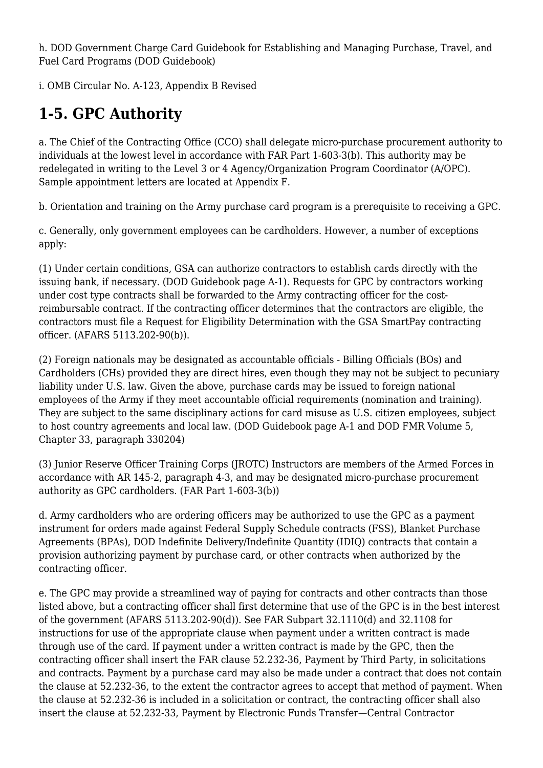h. DOD Government Charge Card Guidebook for Establishing and Managing Purchase, Travel, and Fuel Card Programs (DOD Guidebook)

i. OMB Circular No. A-123, Appendix B Revised

# **1-5. GPC Authority**

a. The Chief of the Contracting Office (CCO) shall delegate micro-purchase procurement authority to individuals at the lowest level in accordance with FAR Part 1-603-3(b). This authority may be redelegated in writing to the Level 3 or 4 Agency/Organization Program Coordinator (A/OPC). Sample appointment letters are located at Appendix F.

b. Orientation and training on the Army purchase card program is a prerequisite to receiving a GPC.

c. Generally, only government employees can be cardholders. However, a number of exceptions apply:

(1) Under certain conditions, GSA can authorize contractors to establish cards directly with the issuing bank, if necessary. (DOD Guidebook page A-1). Requests for GPC by contractors working under cost type contracts shall be forwarded to the Army contracting officer for the costreimbursable contract. If the contracting officer determines that the contractors are eligible, the contractors must file a Request for Eligibility Determination with the GSA SmartPay contracting officer. (AFARS 5113.202-90(b)).

(2) Foreign nationals may be designated as accountable officials - Billing Officials (BOs) and Cardholders (CHs) provided they are direct hires, even though they may not be subject to pecuniary liability under U.S. law. Given the above, purchase cards may be issued to foreign national employees of the Army if they meet accountable official requirements (nomination and training). They are subject to the same disciplinary actions for card misuse as U.S. citizen employees, subject to host country agreements and local law. (DOD Guidebook page A-1 and DOD FMR Volume 5, Chapter 33, paragraph 330204)

(3) Junior Reserve Officer Training Corps (JROTC) Instructors are members of the Armed Forces in accordance with AR 145-2, paragraph 4-3, and may be designated micro-purchase procurement authority as GPC cardholders. (FAR Part 1-603-3(b))

d. Army cardholders who are ordering officers may be authorized to use the GPC as a payment instrument for orders made against Federal Supply Schedule contracts (FSS), Blanket Purchase Agreements (BPAs), DOD Indefinite Delivery/Indefinite Quantity (IDIQ) contracts that contain a provision authorizing payment by purchase card, or other contracts when authorized by the contracting officer.

e. The GPC may provide a streamlined way of paying for contracts and other contracts than those listed above, but a contracting officer shall first determine that use of the GPC is in the best interest of the government (AFARS 5113.202-90(d)). See FAR Subpart 32.1110(d) and 32.1108 for instructions for use of the appropriate clause when payment under a written contract is made through use of the card. If payment under a written contract is made by the GPC, then the contracting officer shall insert the FAR clause 52.232-36, Payment by Third Party, in solicitations and contracts. Payment by a purchase card may also be made under a contract that does not contain the clause at 52.232-36, to the extent the contractor agrees to accept that method of payment. When the clause at 52.232-36 is included in a solicitation or contract, the contracting officer shall also insert the clause at 52.232-33, Payment by Electronic Funds Transfer—Central Contractor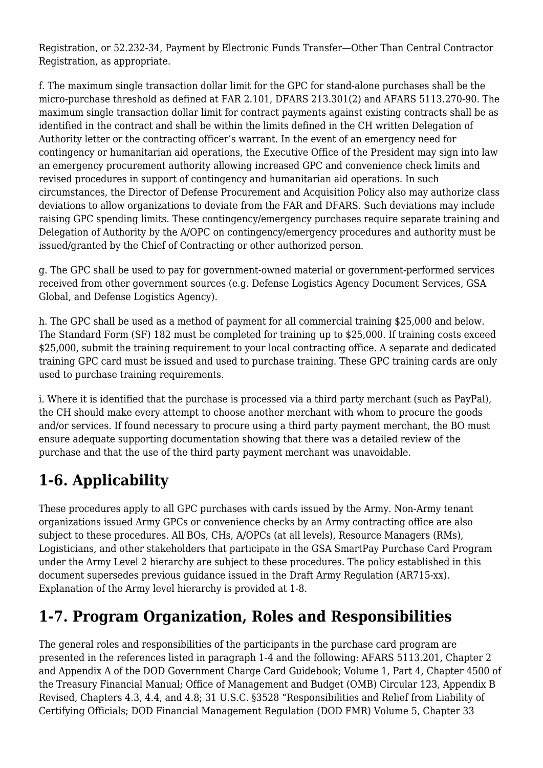Registration, or 52.232-34, Payment by Electronic Funds Transfer—Other Than Central Contractor Registration, as appropriate.

f. The maximum single transaction dollar limit for the GPC for stand-alone purchases shall be the micro-purchase threshold as defined at FAR 2.101, DFARS 213.301(2) and AFARS 5113.270-90. The maximum single transaction dollar limit for contract payments against existing contracts shall be as identified in the contract and shall be within the limits defined in the CH written Delegation of Authority letter or the contracting officer's warrant. In the event of an emergency need for contingency or humanitarian aid operations, the Executive Office of the President may sign into law an emergency procurement authority allowing increased GPC and convenience check limits and revised procedures in support of contingency and humanitarian aid operations. In such circumstances, the Director of Defense Procurement and Acquisition Policy also may authorize class deviations to allow organizations to deviate from the FAR and DFARS. Such deviations may include raising GPC spending limits. These contingency/emergency purchases require separate training and Delegation of Authority by the A/OPC on contingency/emergency procedures and authority must be issued/granted by the Chief of Contracting or other authorized person.

g. The GPC shall be used to pay for government-owned material or government-performed services received from other government sources (e.g. Defense Logistics Agency Document Services, GSA Global, and Defense Logistics Agency).

h. The GPC shall be used as a method of payment for all commercial training \$25,000 and below. The Standard Form (SF) 182 must be completed for training up to \$25,000. If training costs exceed \$25,000, submit the training requirement to your local contracting office. A separate and dedicated training GPC card must be issued and used to purchase training. These GPC training cards are only used to purchase training requirements.

i. Where it is identified that the purchase is processed via a third party merchant (such as PayPal), the CH should make every attempt to choose another merchant with whom to procure the goods and/or services. If found necessary to procure using a third party payment merchant, the BO must ensure adequate supporting documentation showing that there was a detailed review of the purchase and that the use of the third party payment merchant was unavoidable.

# **1-6. Applicability**

These procedures apply to all GPC purchases with cards issued by the Army. Non-Army tenant organizations issued Army GPCs or convenience checks by an Army contracting office are also subject to these procedures. All BOs, CHs, A/OPCs (at all levels), Resource Managers (RMs), Logisticians, and other stakeholders that participate in the GSA SmartPay Purchase Card Program under the Army Level 2 hierarchy are subject to these procedures. The policy established in this document supersedes previous guidance issued in the Draft Army Regulation (AR715-xx). Explanation of the Army level hierarchy is provided at 1-8.

# **1-7. Program Organization, Roles and Responsibilities**

The general roles and responsibilities of the participants in the purchase card program are presented in the references listed in paragraph 1-4 and the following: AFARS 5113.201, Chapter 2 and Appendix A of the DOD Government Charge Card Guidebook; Volume 1, Part 4, Chapter 4500 of the Treasury Financial Manual; Office of Management and Budget (OMB) Circular 123, Appendix B Revised, Chapters 4.3, 4.4, and 4.8; 31 U.S.C. §3528 "Responsibilities and Relief from Liability of Certifying Officials; DOD Financial Management Regulation (DOD FMR) Volume 5, Chapter 33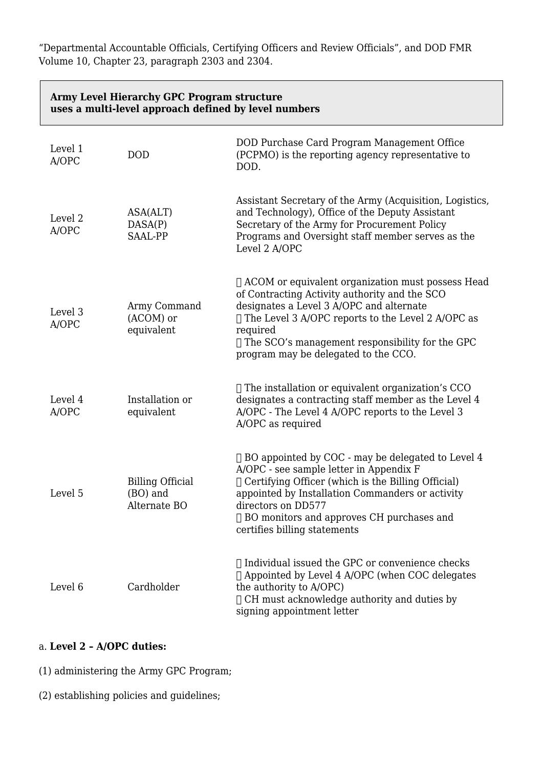"Departmental Accountable Officials, Certifying Officers and Review Officials", and DOD FMR Volume 10, Chapter 23, paragraph 2303 and 2304.

| Army Level Hierarchy GPC Program structure<br>uses a multi-level approach defined by level numbers |                                                     |                                                                                                                                                                                                                                                                                                                            |  |
|----------------------------------------------------------------------------------------------------|-----------------------------------------------------|----------------------------------------------------------------------------------------------------------------------------------------------------------------------------------------------------------------------------------------------------------------------------------------------------------------------------|--|
| Level 1<br>A/OPC                                                                                   | <b>DOD</b>                                          | DOD Purchase Card Program Management Office<br>(PCPMO) is the reporting agency representative to<br>DOD.                                                                                                                                                                                                                   |  |
| Level <sub>2</sub><br>A/OPC                                                                        | ASA(ALT)<br>DASA(P)<br>SAAL-PP                      | Assistant Secretary of the Army (Acquisition, Logistics,<br>and Technology), Office of the Deputy Assistant<br>Secretary of the Army for Procurement Policy<br>Programs and Oversight staff member serves as the<br>Level 2 A/OPC                                                                                          |  |
| Level 3<br>A/OPC                                                                                   | Army Command<br>(ACOM) or<br>equivalent             | □ ACOM or equivalent organization must possess Head<br>of Contracting Activity authority and the SCO<br>designates a Level 3 A/OPC and alternate<br>$\Box$ The Level 3 A/OPC reports to the Level 2 A/OPC as<br>required<br>$\Box$ The SCO's management responsibility for the GPC<br>program may be delegated to the CCO. |  |
| Level 4<br>A/OPC                                                                                   | Installation or<br>equivalent                       | $\Box$ The installation or equivalent organization's CCO<br>designates a contracting staff member as the Level 4<br>A/OPC - The Level 4 A/OPC reports to the Level 3<br>A/OPC as required                                                                                                                                  |  |
| Level 5                                                                                            | <b>Billing Official</b><br>(BO) and<br>Alternate BO | $\Box$ BO appointed by COC - may be delegated to Level 4<br>A/OPC - see sample letter in Appendix F<br>$\Box$ Certifying Officer (which is the Billing Official)<br>appointed by Installation Commanders or activity<br>directors on DD577<br>□ BO monitors and approves CH purchases and<br>certifies billing statements  |  |
| Level 6                                                                                            | Cardholder                                          | $\Box$ Individual issued the GPC or convenience checks<br>□ Appointed by Level 4 A/OPC (when COC delegates<br>the authority to A/OPC)<br>$\Box$ CH must acknowledge authority and duties by<br>signing appointment letter                                                                                                  |  |

#### a. **Level 2 – A/OPC duties:**

(1) administering the Army GPC Program;

(2) establishing policies and guidelines;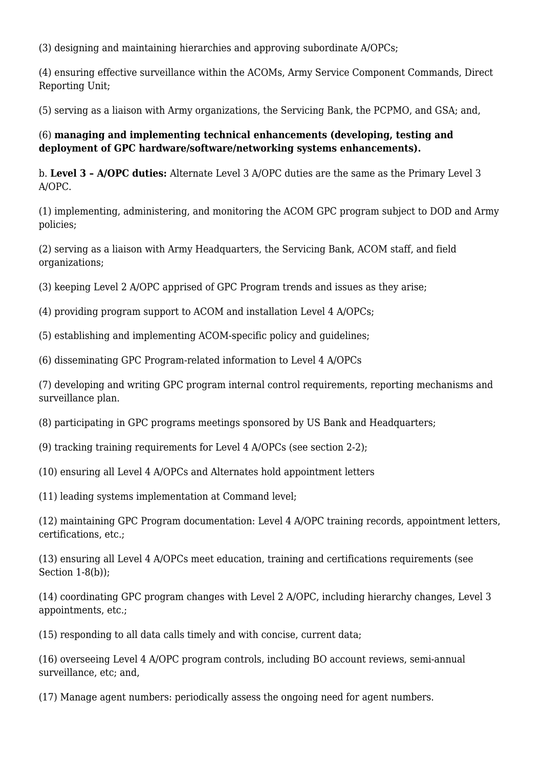(3) designing and maintaining hierarchies and approving subordinate A/OPCs;

(4) ensuring effective surveillance within the ACOMs, Army Service Component Commands, Direct Reporting Unit;

(5) serving as a liaison with Army organizations, the Servicing Bank, the PCPMO, and GSA; and,

#### (6) **managing and implementing technical enhancements (developing, testing and deployment of GPC hardware/software/networking systems enhancements).**

b. **Level 3 – A/OPC duties:** Alternate Level 3 A/OPC duties are the same as the Primary Level 3 A/OPC.

(1) implementing, administering, and monitoring the ACOM GPC program subject to DOD and Army policies;

(2) serving as a liaison with Army Headquarters, the Servicing Bank, ACOM staff, and field organizations;

(3) keeping Level 2 A/OPC apprised of GPC Program trends and issues as they arise;

(4) providing program support to ACOM and installation Level 4 A/OPCs;

(5) establishing and implementing ACOM-specific policy and guidelines;

(6) disseminating GPC Program-related information to Level 4 A/OPCs

(7) developing and writing GPC program internal control requirements, reporting mechanisms and surveillance plan.

(8) participating in GPC programs meetings sponsored by US Bank and Headquarters;

(9) tracking training requirements for Level 4 A/OPCs (see section 2-2);

(10) ensuring all Level 4 A/OPCs and Alternates hold appointment letters

(11) leading systems implementation at Command level;

(12) maintaining GPC Program documentation: Level 4 A/OPC training records, appointment letters, certifications, etc.;

(13) ensuring all Level 4 A/OPCs meet education, training and certifications requirements (see Section 1-8(b));

(14) coordinating GPC program changes with Level 2 A/OPC, including hierarchy changes, Level 3 appointments, etc.;

(15) responding to all data calls timely and with concise, current data;

(16) overseeing Level 4 A/OPC program controls, including BO account reviews, semi-annual surveillance, etc; and,

(17) Manage agent numbers: periodically assess the ongoing need for agent numbers.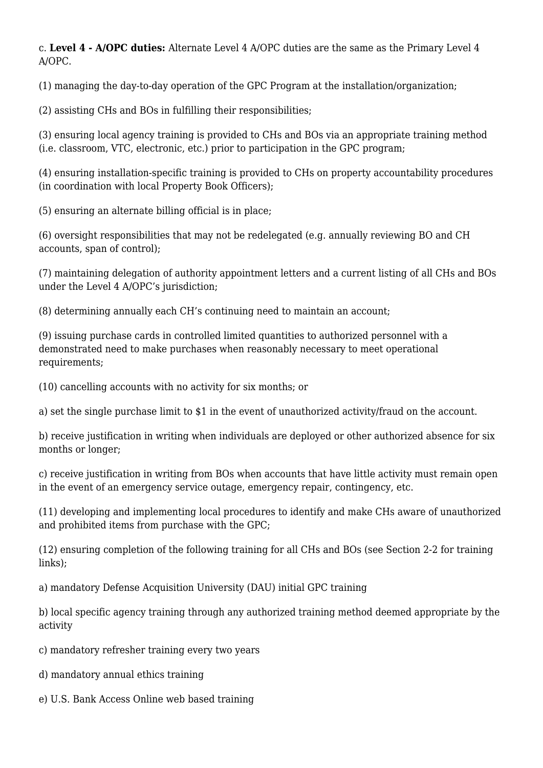c. **Level 4 - A/OPC duties:** Alternate Level 4 A/OPC duties are the same as the Primary Level 4 A/OPC.

(1) managing the day-to-day operation of the GPC Program at the installation/organization;

(2) assisting CHs and BOs in fulfilling their responsibilities;

(3) ensuring local agency training is provided to CHs and BOs via an appropriate training method (i.e. classroom, VTC, electronic, etc.) prior to participation in the GPC program;

(4) ensuring installation-specific training is provided to CHs on property accountability procedures (in coordination with local Property Book Officers);

(5) ensuring an alternate billing official is in place;

(6) oversight responsibilities that may not be redelegated (e.g. annually reviewing BO and CH accounts, span of control);

(7) maintaining delegation of authority appointment letters and a current listing of all CHs and BOs under the Level 4 A/OPC's jurisdiction;

(8) determining annually each CH's continuing need to maintain an account;

(9) issuing purchase cards in controlled limited quantities to authorized personnel with a demonstrated need to make purchases when reasonably necessary to meet operational requirements;

(10) cancelling accounts with no activity for six months; or

a) set the single purchase limit to \$1 in the event of unauthorized activity/fraud on the account.

b) receive justification in writing when individuals are deployed or other authorized absence for six months or longer;

c) receive justification in writing from BOs when accounts that have little activity must remain open in the event of an emergency service outage, emergency repair, contingency, etc.

(11) developing and implementing local procedures to identify and make CHs aware of unauthorized and prohibited items from purchase with the GPC;

(12) ensuring completion of the following training for all CHs and BOs (see Section 2-2 for training links);

a) mandatory Defense Acquisition University (DAU) initial GPC training

b) local specific agency training through any authorized training method deemed appropriate by the activity

c) mandatory refresher training every two years

d) mandatory annual ethics training

e) U.S. Bank Access Online web based training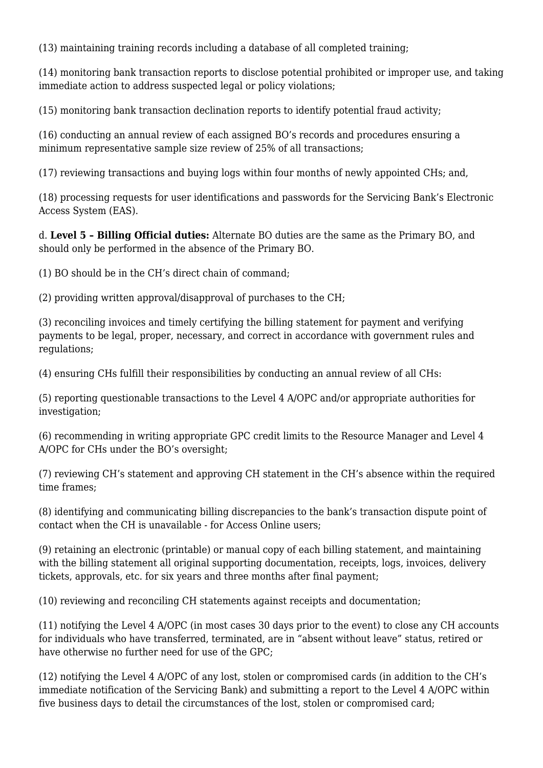(13) maintaining training records including a database of all completed training;

(14) monitoring bank transaction reports to disclose potential prohibited or improper use, and taking immediate action to address suspected legal or policy violations;

(15) monitoring bank transaction declination reports to identify potential fraud activity;

(16) conducting an annual review of each assigned BO's records and procedures ensuring a minimum representative sample size review of 25% of all transactions;

(17) reviewing transactions and buying logs within four months of newly appointed CHs; and,

(18) processing requests for user identifications and passwords for the Servicing Bank's Electronic Access System (EAS).

d. **Level 5 – Billing Official duties:** Alternate BO duties are the same as the Primary BO, and should only be performed in the absence of the Primary BO.

(1) BO should be in the CH's direct chain of command;

(2) providing written approval/disapproval of purchases to the CH;

(3) reconciling invoices and timely certifying the billing statement for payment and verifying payments to be legal, proper, necessary, and correct in accordance with government rules and regulations;

(4) ensuring CHs fulfill their responsibilities by conducting an annual review of all CHs:

(5) reporting questionable transactions to the Level 4 A/OPC and/or appropriate authorities for investigation;

(6) recommending in writing appropriate GPC credit limits to the Resource Manager and Level 4 A/OPC for CHs under the BO's oversight;

(7) reviewing CH's statement and approving CH statement in the CH's absence within the required time frames;

(8) identifying and communicating billing discrepancies to the bank's transaction dispute point of contact when the CH is unavailable - for Access Online users;

(9) retaining an electronic (printable) or manual copy of each billing statement, and maintaining with the billing statement all original supporting documentation, receipts, logs, invoices, delivery tickets, approvals, etc. for six years and three months after final payment;

(10) reviewing and reconciling CH statements against receipts and documentation;

(11) notifying the Level 4 A/OPC (in most cases 30 days prior to the event) to close any CH accounts for individuals who have transferred, terminated, are in "absent without leave" status, retired or have otherwise no further need for use of the GPC;

(12) notifying the Level 4 A/OPC of any lost, stolen or compromised cards (in addition to the CH's immediate notification of the Servicing Bank) and submitting a report to the Level 4 A/OPC within five business days to detail the circumstances of the lost, stolen or compromised card;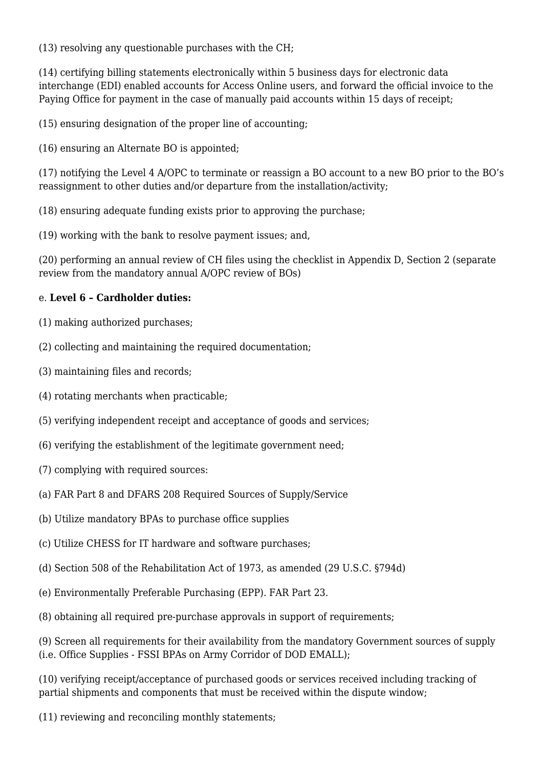(13) resolving any questionable purchases with the CH;

(14) certifying billing statements electronically within 5 business days for electronic data interchange (EDI) enabled accounts for Access Online users, and forward the official invoice to the Paying Office for payment in the case of manually paid accounts within 15 days of receipt;

(15) ensuring designation of the proper line of accounting;

(16) ensuring an Alternate BO is appointed;

(17) notifying the Level 4 A/OPC to terminate or reassign a BO account to a new BO prior to the BO's reassignment to other duties and/or departure from the installation/activity;

(18) ensuring adequate funding exists prior to approving the purchase;

(19) working with the bank to resolve payment issues; and,

(20) performing an annual review of CH files using the checklist in Appendix D, Section 2 (separate review from the mandatory annual A/OPC review of BOs)

#### e. **Level 6 – Cardholder duties:**

- (1) making authorized purchases;
- (2) collecting and maintaining the required documentation;
- (3) maintaining files and records;
- (4) rotating merchants when practicable;
- (5) verifying independent receipt and acceptance of goods and services;
- (6) verifying the establishment of the legitimate government need;
- (7) complying with required sources:
- (a) FAR Part 8 and DFARS 208 Required Sources of Supply/Service
- (b) Utilize mandatory BPAs to purchase office supplies
- (c) Utilize CHESS for IT hardware and software purchases;
- (d) Section 508 of the Rehabilitation Act of 1973, as amended (29 U.S.C. §794d)
- (e) Environmentally Preferable Purchasing (EPP). FAR Part 23.
- (8) obtaining all required pre-purchase approvals in support of requirements;

(9) Screen all requirements for their availability from the mandatory Government sources of supply (i.e. Office Supplies - FSSI BPAs on Army Corridor of DOD EMALL);

(10) verifying receipt/acceptance of purchased goods or services received including tracking of partial shipments and components that must be received within the dispute window;

(11) reviewing and reconciling monthly statements;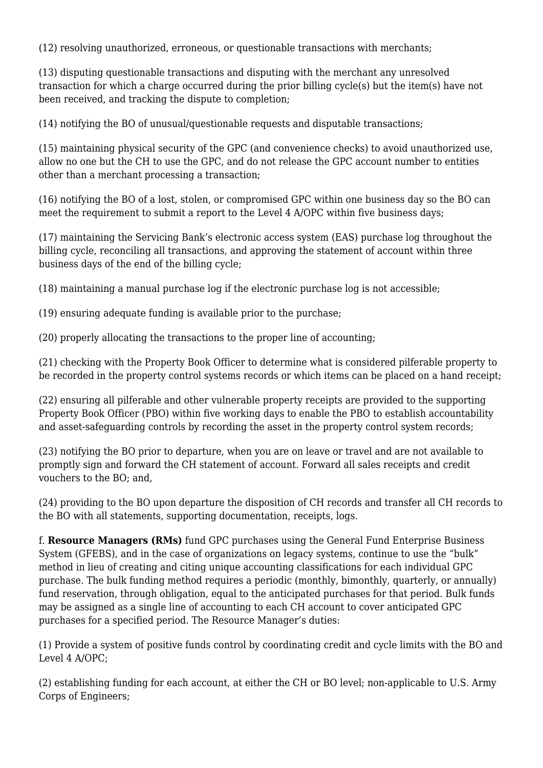(12) resolving unauthorized, erroneous, or questionable transactions with merchants;

(13) disputing questionable transactions and disputing with the merchant any unresolved transaction for which a charge occurred during the prior billing cycle(s) but the item(s) have not been received, and tracking the dispute to completion;

(14) notifying the BO of unusual/questionable requests and disputable transactions;

(15) maintaining physical security of the GPC (and convenience checks) to avoid unauthorized use, allow no one but the CH to use the GPC, and do not release the GPC account number to entities other than a merchant processing a transaction;

(16) notifying the BO of a lost, stolen, or compromised GPC within one business day so the BO can meet the requirement to submit a report to the Level 4 A/OPC within five business days;

(17) maintaining the Servicing Bank's electronic access system (EAS) purchase log throughout the billing cycle, reconciling all transactions, and approving the statement of account within three business days of the end of the billing cycle;

(18) maintaining a manual purchase log if the electronic purchase log is not accessible;

(19) ensuring adequate funding is available prior to the purchase;

(20) properly allocating the transactions to the proper line of accounting;

(21) checking with the Property Book Officer to determine what is considered pilferable property to be recorded in the property control systems records or which items can be placed on a hand receipt;

(22) ensuring all pilferable and other vulnerable property receipts are provided to the supporting Property Book Officer (PBO) within five working days to enable the PBO to establish accountability and asset-safeguarding controls by recording the asset in the property control system records;

(23) notifying the BO prior to departure, when you are on leave or travel and are not available to promptly sign and forward the CH statement of account. Forward all sales receipts and credit vouchers to the BO; and,

(24) providing to the BO upon departure the disposition of CH records and transfer all CH records to the BO with all statements, supporting documentation, receipts, logs.

f. **Resource Managers (RMs)** fund GPC purchases using the General Fund Enterprise Business System (GFEBS), and in the case of organizations on legacy systems, continue to use the "bulk" method in lieu of creating and citing unique accounting classifications for each individual GPC purchase. The bulk funding method requires a periodic (monthly, bimonthly, quarterly, or annually) fund reservation, through obligation, equal to the anticipated purchases for that period. Bulk funds may be assigned as a single line of accounting to each CH account to cover anticipated GPC purchases for a specified period. The Resource Manager's duties:

(1) Provide a system of positive funds control by coordinating credit and cycle limits with the BO and Level 4 A/OPC;

(2) establishing funding for each account, at either the CH or BO level; non-applicable to U.S. Army Corps of Engineers;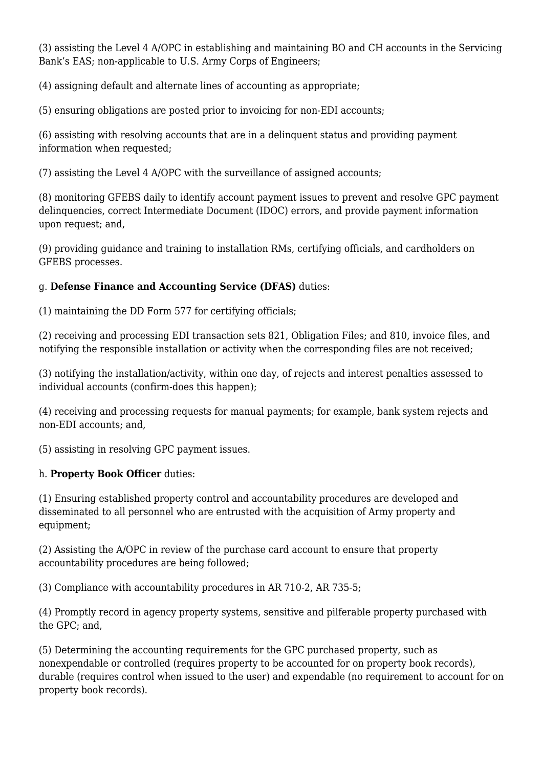(3) assisting the Level 4 A/OPC in establishing and maintaining BO and CH accounts in the Servicing Bank's EAS; non-applicable to U.S. Army Corps of Engineers;

(4) assigning default and alternate lines of accounting as appropriate;

(5) ensuring obligations are posted prior to invoicing for non-EDI accounts;

(6) assisting with resolving accounts that are in a delinquent status and providing payment information when requested;

(7) assisting the Level 4 A/OPC with the surveillance of assigned accounts;

(8) monitoring GFEBS daily to identify account payment issues to prevent and resolve GPC payment delinquencies, correct Intermediate Document (IDOC) errors, and provide payment information upon request; and,

(9) providing guidance and training to installation RMs, certifying officials, and cardholders on GFEBS processes.

#### g. **Defense Finance and Accounting Service (DFAS)** duties:

(1) maintaining the DD Form 577 for certifying officials;

(2) receiving and processing EDI transaction sets 821, Obligation Files; and 810, invoice files, and notifying the responsible installation or activity when the corresponding files are not received;

(3) notifying the installation/activity, within one day, of rejects and interest penalties assessed to individual accounts (confirm-does this happen):

(4) receiving and processing requests for manual payments; for example, bank system rejects and non-EDI accounts; and,

(5) assisting in resolving GPC payment issues.

#### h. **Property Book Officer** duties:

(1) Ensuring established property control and accountability procedures are developed and disseminated to all personnel who are entrusted with the acquisition of Army property and equipment;

(2) Assisting the A/OPC in review of the purchase card account to ensure that property accountability procedures are being followed;

(3) Compliance with accountability procedures in AR 710-2, AR 735-5;

(4) Promptly record in agency property systems, sensitive and pilferable property purchased with the GPC; and,

(5) Determining the accounting requirements for the GPC purchased property, such as nonexpendable or controlled (requires property to be accounted for on property book records), durable (requires control when issued to the user) and expendable (no requirement to account for on property book records).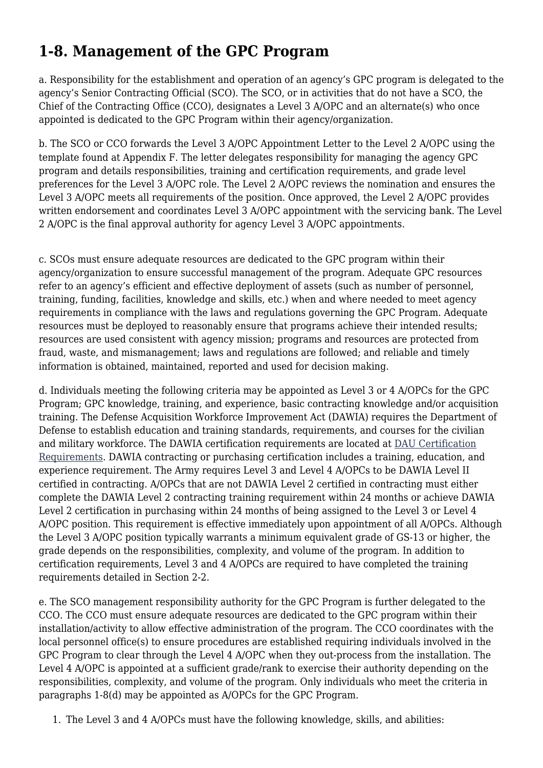# **1-8. Management of the GPC Program**

a. Responsibility for the establishment and operation of an agency's GPC program is delegated to the agency's Senior Contracting Official (SCO). The SCO, or in activities that do not have a SCO, the Chief of the Contracting Office (CCO), designates a Level 3 A/OPC and an alternate(s) who once appointed is dedicated to the GPC Program within their agency/organization.

b. The SCO or CCO forwards the Level 3 A/OPC Appointment Letter to the Level 2 A/OPC using the template found at Appendix F. The letter delegates responsibility for managing the agency GPC program and details responsibilities, training and certification requirements, and grade level preferences for the Level 3 A/OPC role. The Level 2 A/OPC reviews the nomination and ensures the Level 3 A/OPC meets all requirements of the position. Once approved, the Level 2 A/OPC provides written endorsement and coordinates Level 3 A/OPC appointment with the servicing bank. The Level 2 A/OPC is the final approval authority for agency Level 3 A/OPC appointments.

c. SCOs must ensure adequate resources are dedicated to the GPC program within their agency/organization to ensure successful management of the program. Adequate GPC resources refer to an agency's efficient and effective deployment of assets (such as number of personnel, training, funding, facilities, knowledge and skills, etc.) when and where needed to meet agency requirements in compliance with the laws and regulations governing the GPC Program. Adequate resources must be deployed to reasonably ensure that programs achieve their intended results; resources are used consistent with agency mission; programs and resources are protected from fraud, waste, and mismanagement; laws and regulations are followed; and reliable and timely information is obtained, maintained, reported and used for decision making.

d. Individuals meeting the following criteria may be appointed as Level 3 or 4 A/OPCs for the GPC Program; GPC knowledge, training, and experience, basic contracting knowledge and/or acquisition training. The Defense Acquisition Workforce Improvement Act (DAWIA) requires the Department of Defense to establish education and training standards, requirements, and courses for the civilian and military workforce. The DAWIA certification requirements are located at [DAU Certification](https://dap.dau.mil/career/pur/Pages/Certification.aspx) [Requirements.](https://dap.dau.mil/career/pur/Pages/Certification.aspx) DAWIA contracting or purchasing certification includes a training, education, and experience requirement. The Army requires Level 3 and Level 4 A/OPCs to be DAWIA Level II certified in contracting. A/OPCs that are not DAWIA Level 2 certified in contracting must either complete the DAWIA Level 2 contracting training requirement within 24 months or achieve DAWIA Level 2 certification in purchasing within 24 months of being assigned to the Level 3 or Level 4 A/OPC position. This requirement is effective immediately upon appointment of all A/OPCs. Although the Level 3 A/OPC position typically warrants a minimum equivalent grade of GS-13 or higher, the grade depends on the responsibilities, complexity, and volume of the program. In addition to certification requirements, Level 3 and 4 A/OPCs are required to have completed the training requirements detailed in Section 2-2.

e. The SCO management responsibility authority for the GPC Program is further delegated to the CCO. The CCO must ensure adequate resources are dedicated to the GPC program within their installation/activity to allow effective administration of the program. The CCO coordinates with the local personnel office(s) to ensure procedures are established requiring individuals involved in the GPC Program to clear through the Level 4 A/OPC when they out-process from the installation. The Level 4 A/OPC is appointed at a sufficient grade/rank to exercise their authority depending on the responsibilities, complexity, and volume of the program. Only individuals who meet the criteria in paragraphs 1-8(d) may be appointed as A/OPCs for the GPC Program.

1. The Level 3 and 4 A/OPCs must have the following knowledge, skills, and abilities: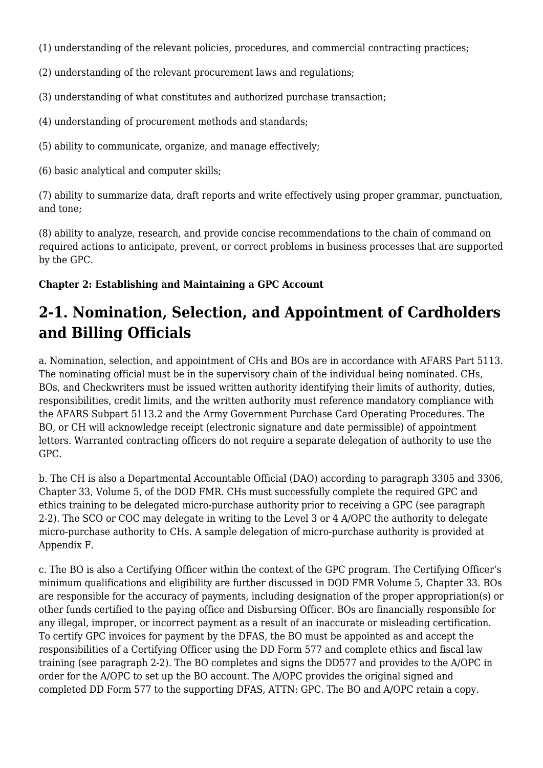- (1) understanding of the relevant policies, procedures, and commercial contracting practices;
- (2) understanding of the relevant procurement laws and regulations;
- (3) understanding of what constitutes and authorized purchase transaction;
- (4) understanding of procurement methods and standards;
- (5) ability to communicate, organize, and manage effectively;
- (6) basic analytical and computer skills;

(7) ability to summarize data, draft reports and write effectively using proper grammar, punctuation, and tone;

(8) ability to analyze, research, and provide concise recommendations to the chain of command on required actions to anticipate, prevent, or correct problems in business processes that are supported by the GPC.

#### **Chapter 2: Establishing and Maintaining a GPC Account**

### **2-1. Nomination, Selection, and Appointment of Cardholders and Billing Officials**

a. Nomination, selection, and appointment of CHs and BOs are in accordance with AFARS Part 5113. The nominating official must be in the supervisory chain of the individual being nominated. CHs, BOs, and Checkwriters must be issued written authority identifying their limits of authority, duties, responsibilities, credit limits, and the written authority must reference mandatory compliance with the AFARS Subpart 5113.2 and the Army Government Purchase Card Operating Procedures. The BO, or CH will acknowledge receipt (electronic signature and date permissible) of appointment letters. Warranted contracting officers do not require a separate delegation of authority to use the GPC.

b. The CH is also a Departmental Accountable Official (DAO) according to paragraph 3305 and 3306, Chapter 33, Volume 5, of the DOD FMR. CHs must successfully complete the required GPC and ethics training to be delegated micro-purchase authority prior to receiving a GPC (see paragraph 2-2). The SCO or COC may delegate in writing to the Level 3 or 4 A/OPC the authority to delegate micro-purchase authority to CHs. A sample delegation of micro-purchase authority is provided at Appendix F.

c. The BO is also a Certifying Officer within the context of the GPC program. The Certifying Officer's minimum qualifications and eligibility are further discussed in DOD FMR Volume 5, Chapter 33. BOs are responsible for the accuracy of payments, including designation of the proper appropriation(s) or other funds certified to the paying office and Disbursing Officer. BOs are financially responsible for any illegal, improper, or incorrect payment as a result of an inaccurate or misleading certification. To certify GPC invoices for payment by the DFAS, the BO must be appointed as and accept the responsibilities of a Certifying Officer using the DD Form 577 and complete ethics and fiscal law training (see paragraph 2-2). The BO completes and signs the DD577 and provides to the A/OPC in order for the A/OPC to set up the BO account. The A/OPC provides the original signed and completed DD Form 577 to the supporting DFAS, ATTN: GPC. The BO and A/OPC retain a copy.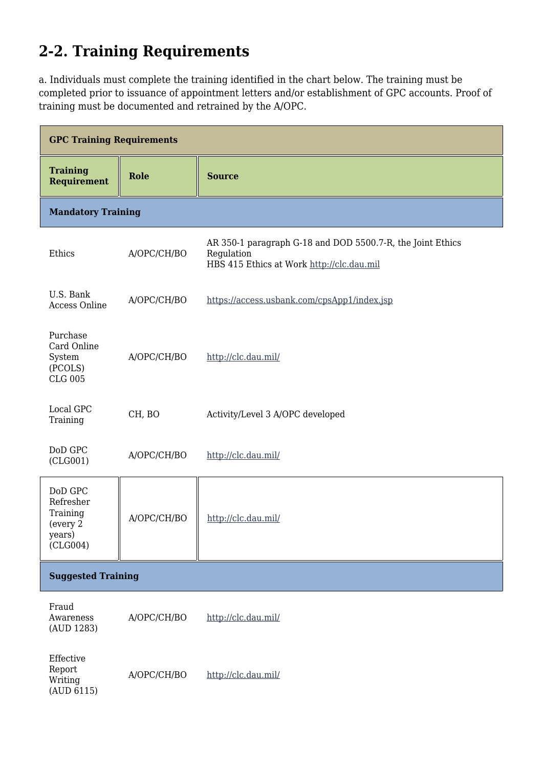# **2-2. Training Requirements**

a. Individuals must complete the training identified in the chart below. The training must be completed prior to issuance of appointment letters and/or establishment of GPC accounts. Proof of training must be documented and retrained by the A/OPC.

| <b>GPC Training Requirements</b>                                   |             |                                                                                                                       |  |
|--------------------------------------------------------------------|-------------|-----------------------------------------------------------------------------------------------------------------------|--|
| <b>Training</b><br><b>Requirement</b>                              | Role        | <b>Source</b>                                                                                                         |  |
| <b>Mandatory Training</b>                                          |             |                                                                                                                       |  |
| Ethics                                                             | A/OPC/CH/BO | AR 350-1 paragraph G-18 and DOD 5500.7-R, the Joint Ethics<br>Regulation<br>HBS 415 Ethics at Work http://clc.dau.mil |  |
| U.S. Bank<br><b>Access Online</b>                                  | A/OPC/CH/BO | https://access.usbank.com/cpsApp1/index.jsp                                                                           |  |
| Purchase<br>Card Online<br>System<br>(PCOLS)<br><b>CLG 005</b>     | A/OPC/CH/BO | http://clc.dau.mil/                                                                                                   |  |
| Local GPC<br>Training                                              | CH, BO      | Activity/Level 3 A/OPC developed                                                                                      |  |
| DoD GPC<br>(CLG001)                                                | A/OPC/CH/BO | http://clc.dau.mil/                                                                                                   |  |
| DoD GPC<br>Refresher<br>Training<br>(every 2<br>years)<br>(CLG004) | A/OPC/CH/BO | http://clc.dau.mil/                                                                                                   |  |
| <b>Suggested Training</b>                                          |             |                                                                                                                       |  |
| Fraud<br>Awareness<br>(AUD 1283)                                   | A/OPC/CH/BO | http://clc.dau.mil/                                                                                                   |  |
| Effective<br>Report<br>Writing<br>(AUD 6115)                       | A/OPC/CH/BO | http://clc.dau.mil/                                                                                                   |  |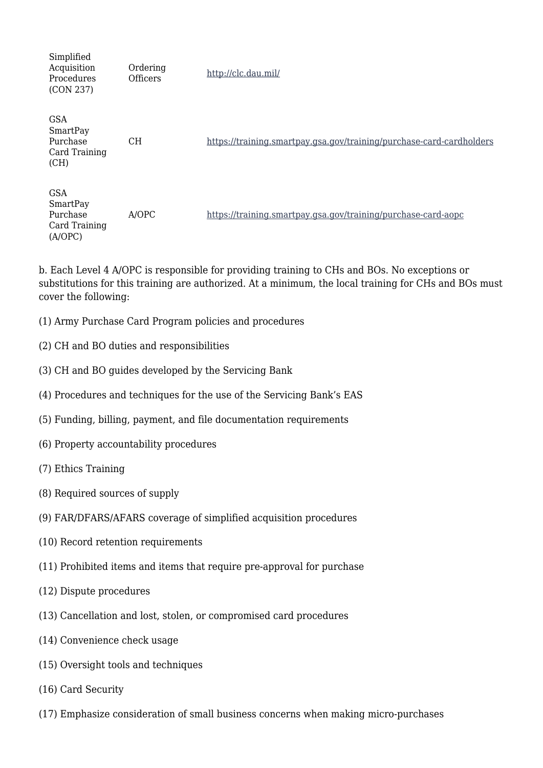Simplified Acquisition Procedures (CON 237) Ordering Officers <http://clc.dau.mil/> GSA SmartPay Purchase Card Training (CH) CH <https://training.smartpay.gsa.gov/training/purchase-card-cardholders> GSA SmartPay Purchase Card Training (A/OPC) A/OPC <https://training.smartpay.gsa.gov/training/purchase-card-aopc>

b. Each Level 4 A/OPC is responsible for providing training to CHs and BOs. No exceptions or substitutions for this training are authorized. At a minimum, the local training for CHs and BOs must cover the following:

- (1) Army Purchase Card Program policies and procedures
- (2) CH and BO duties and responsibilities
- (3) CH and BO guides developed by the Servicing Bank
- (4) Procedures and techniques for the use of the Servicing Bank's EAS
- (5) Funding, billing, payment, and file documentation requirements
- (6) Property accountability procedures
- (7) Ethics Training
- (8) Required sources of supply
- (9) FAR/DFARS/AFARS coverage of simplified acquisition procedures
- (10) Record retention requirements
- (11) Prohibited items and items that require pre-approval for purchase
- (12) Dispute procedures
- (13) Cancellation and lost, stolen, or compromised card procedures
- (14) Convenience check usage
- (15) Oversight tools and techniques
- (16) Card Security
- (17) Emphasize consideration of small business concerns when making micro-purchases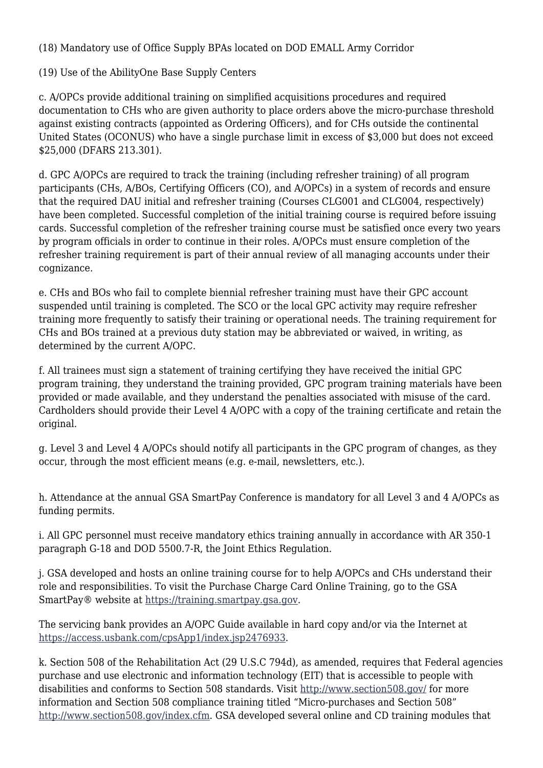(18) Mandatory use of Office Supply BPAs located on DOD EMALL Army Corridor

(19) Use of the AbilityOne Base Supply Centers

c. A/OPCs provide additional training on simplified acquisitions procedures and required documentation to CHs who are given authority to place orders above the micro-purchase threshold against existing contracts (appointed as Ordering Officers), and for CHs outside the continental United States (OCONUS) who have a single purchase limit in excess of \$3,000 but does not exceed \$25,000 (DFARS 213.301).

d. GPC A/OPCs are required to track the training (including refresher training) of all program participants (CHs, A/BOs, Certifying Officers (CO), and A/OPCs) in a system of records and ensure that the required DAU initial and refresher training (Courses CLG001 and CLG004, respectively) have been completed. Successful completion of the initial training course is required before issuing cards. Successful completion of the refresher training course must be satisfied once every two years by program officials in order to continue in their roles. A/OPCs must ensure completion of the refresher training requirement is part of their annual review of all managing accounts under their cognizance.

e. CHs and BOs who fail to complete biennial refresher training must have their GPC account suspended until training is completed. The SCO or the local GPC activity may require refresher training more frequently to satisfy their training or operational needs. The training requirement for CHs and BOs trained at a previous duty station may be abbreviated or waived, in writing, as determined by the current A/OPC.

f. All trainees must sign a statement of training certifying they have received the initial GPC program training, they understand the training provided, GPC program training materials have been provided or made available, and they understand the penalties associated with misuse of the card. Cardholders should provide their Level 4 A/OPC with a copy of the training certificate and retain the original.

g. Level 3 and Level 4 A/OPCs should notify all participants in the GPC program of changes, as they occur, through the most efficient means (e.g. e-mail, newsletters, etc.).

h. Attendance at the annual GSA SmartPay Conference is mandatory for all Level 3 and 4 A/OPCs as funding permits.

i. All GPC personnel must receive mandatory ethics training annually in accordance with AR 350-1 paragraph G-18 and DOD 5500.7-R, the Joint Ethics Regulation.

j. GSA developed and hosts an online training course for to help A/OPCs and CHs understand their role and responsibilities. To visit the Purchase Charge Card Online Training, go to the GSA SmartPay® website at [https://training.smartpay.gsa.gov.](https://training.smartpay.gsa.gov)

The servicing bank provides an A/OPC Guide available in hard copy and/or via the Internet at <https://access.usbank.com/cpsApp1/index.jsp2476933>.

k. Section 508 of the Rehabilitation Act (29 U.S.C 794d), as amended, requires that Federal agencies purchase and use electronic and information technology (EIT) that is accessible to people with disabilities and conforms to Section 508 standards. Visit<http://www.section508.gov/>for more information and Section 508 compliance training titled "Micro-purchases and Section 508" [http://www.section508.gov/index.cfm.](http://www.section508.gov/index.cfm) GSA developed several online and CD training modules that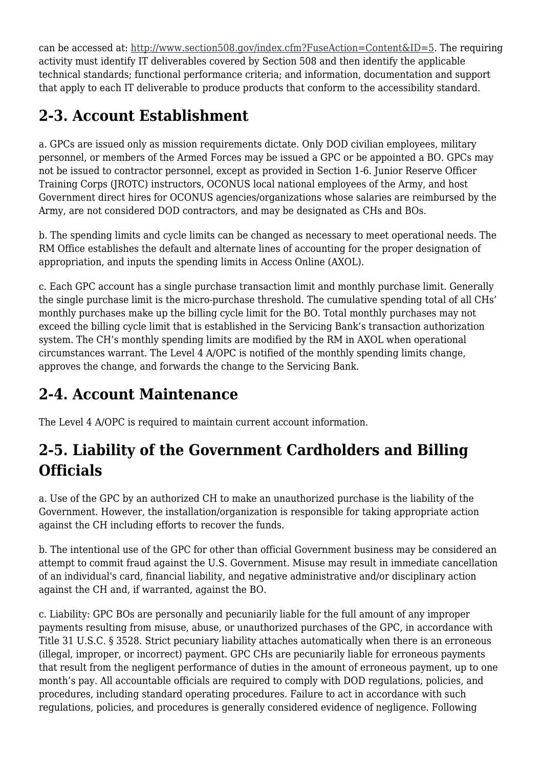can be accessed at:<http://www.section508.gov/index.cfm?FuseAction=Content&ID=5>. The requiring activity must identify IT deliverables covered by Section 508 and then identify the applicable technical standards; functional performance criteria; and information, documentation and support that apply to each IT deliverable to produce products that conform to the accessibility standard.

# **2-3. Account Establishment**

a. GPCs are issued only as mission requirements dictate. Only DOD civilian employees, military personnel, or members of the Armed Forces may be issued a GPC or be appointed a BO. GPCs may not be issued to contractor personnel, except as provided in Section 1-6. Junior Reserve Officer Training Corps (JROTC) instructors, OCONUS local national employees of the Army, and host Government direct hires for OCONUS agencies/organizations whose salaries are reimbursed by the Army, are not considered DOD contractors, and may be designated as CHs and BOs.

b. The spending limits and cycle limits can be changed as necessary to meet operational needs. The RM Office establishes the default and alternate lines of accounting for the proper designation of appropriation, and inputs the spending limits in Access Online (AXOL).

c. Each GPC account has a single purchase transaction limit and monthly purchase limit. Generally the single purchase limit is the micro-purchase threshold. The cumulative spending total of all CHs' monthly purchases make up the billing cycle limit for the BO. Total monthly purchases may not exceed the billing cycle limit that is established in the Servicing Bank's transaction authorization system. The CH's monthly spending limits are modified by the RM in AXOL when operational circumstances warrant. The Level 4 A/OPC is notified of the monthly spending limits change, approves the change, and forwards the change to the Servicing Bank.

# **2-4. Account Maintenance**

The Level 4 A/OPC is required to maintain current account information.

### **2-5. Liability of the Government Cardholders and Billing Officials**

a. Use of the GPC by an authorized CH to make an unauthorized purchase is the liability of the Government. However, the installation/organization is responsible for taking appropriate action against the CH including efforts to recover the funds.

b. The intentional use of the GPC for other than official Government business may be considered an attempt to commit fraud against the U.S. Government. Misuse may result in immediate cancellation of an individual's card, financial liability, and negative administrative and/or disciplinary action against the CH and, if warranted, against the BO.

c. Liability: GPC BOs are personally and pecuniarily liable for the full amount of any improper payments resulting from misuse, abuse, or unauthorized purchases of the GPC, in accordance with Title 31 U.S.C. § 3528. Strict pecuniary liability attaches automatically when there is an erroneous (illegal, improper, or incorrect) payment. GPC CHs are pecuniarily liable for erroneous payments that result from the negligent performance of duties in the amount of erroneous payment, up to one month's pay. All accountable officials are required to comply with DOD regulations, policies, and procedures, including standard operating procedures. Failure to act in accordance with such regulations, policies, and procedures is generally considered evidence of negligence. Following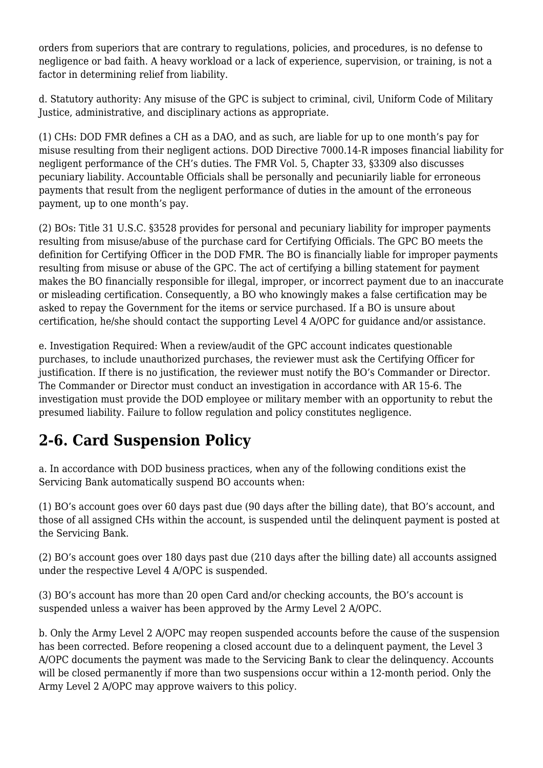orders from superiors that are contrary to regulations, policies, and procedures, is no defense to negligence or bad faith. A heavy workload or a lack of experience, supervision, or training, is not a factor in determining relief from liability.

d. Statutory authority: Any misuse of the GPC is subject to criminal, civil, Uniform Code of Military Justice, administrative, and disciplinary actions as appropriate.

(1) CHs: DOD FMR defines a CH as a DAO, and as such, are liable for up to one month's pay for misuse resulting from their negligent actions. DOD Directive 7000.14-R imposes financial liability for negligent performance of the CH's duties. The FMR Vol. 5, Chapter 33, §3309 also discusses pecuniary liability. Accountable Officials shall be personally and pecuniarily liable for erroneous payments that result from the negligent performance of duties in the amount of the erroneous payment, up to one month's pay.

(2) BOs: Title 31 U.S.C. §3528 provides for personal and pecuniary liability for improper payments resulting from misuse/abuse of the purchase card for Certifying Officials. The GPC BO meets the definition for Certifying Officer in the DOD FMR. The BO is financially liable for improper payments resulting from misuse or abuse of the GPC. The act of certifying a billing statement for payment makes the BO financially responsible for illegal, improper, or incorrect payment due to an inaccurate or misleading certification. Consequently, a BO who knowingly makes a false certification may be asked to repay the Government for the items or service purchased. If a BO is unsure about certification, he/she should contact the supporting Level 4 A/OPC for guidance and/or assistance.

e. Investigation Required: When a review/audit of the GPC account indicates questionable purchases, to include unauthorized purchases, the reviewer must ask the Certifying Officer for justification. If there is no justification, the reviewer must notify the BO's Commander or Director. The Commander or Director must conduct an investigation in accordance with AR 15-6. The investigation must provide the DOD employee or military member with an opportunity to rebut the presumed liability. Failure to follow regulation and policy constitutes negligence.

# **2-6. Card Suspension Policy**

a. In accordance with DOD business practices, when any of the following conditions exist the Servicing Bank automatically suspend BO accounts when:

(1) BO's account goes over 60 days past due (90 days after the billing date), that BO's account, and those of all assigned CHs within the account, is suspended until the delinquent payment is posted at the Servicing Bank.

(2) BO's account goes over 180 days past due (210 days after the billing date) all accounts assigned under the respective Level 4 A/OPC is suspended.

(3) BO's account has more than 20 open Card and/or checking accounts, the BO's account is suspended unless a waiver has been approved by the Army Level 2 A/OPC.

b. Only the Army Level 2 A/OPC may reopen suspended accounts before the cause of the suspension has been corrected. Before reopening a closed account due to a delinquent payment, the Level 3 A/OPC documents the payment was made to the Servicing Bank to clear the delinquency. Accounts will be closed permanently if more than two suspensions occur within a 12-month period. Only the Army Level 2 A/OPC may approve waivers to this policy.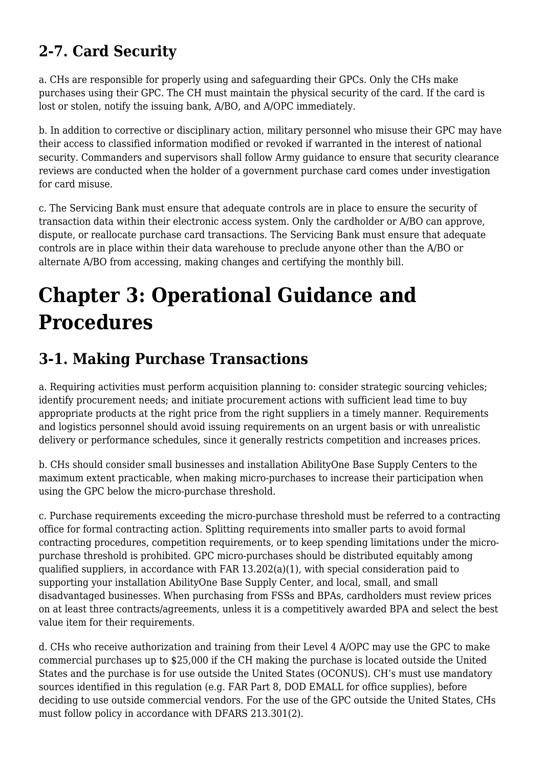# **2-7. Card Security**

a. CHs are responsible for properly using and safeguarding their GPCs. Only the CHs make purchases using their GPC. The CH must maintain the physical security of the card. If the card is lost or stolen, notify the issuing bank, A/BO, and A/OPC immediately.

b. In addition to corrective or disciplinary action, military personnel who misuse their GPC may have their access to classified information modified or revoked if warranted in the interest of national security. Commanders and supervisors shall follow Army guidance to ensure that security clearance reviews are conducted when the holder of a government purchase card comes under investigation for card misuse.

c. The Servicing Bank must ensure that adequate controls are in place to ensure the security of transaction data within their electronic access system. Only the cardholder or A/BO can approve, dispute, or reallocate purchase card transactions. The Servicing Bank must ensure that adequate controls are in place within their data warehouse to preclude anyone other than the A/BO or alternate A/BO from accessing, making changes and certifying the monthly bill.

# **Chapter 3: Operational Guidance and Procedures**

### **3-1. Making Purchase Transactions**

a. Requiring activities must perform acquisition planning to: consider strategic sourcing vehicles; identify procurement needs; and initiate procurement actions with sufficient lead time to buy appropriate products at the right price from the right suppliers in a timely manner. Requirements and logistics personnel should avoid issuing requirements on an urgent basis or with unrealistic delivery or performance schedules, since it generally restricts competition and increases prices.

b. CHs should consider small businesses and installation AbilityOne Base Supply Centers to the maximum extent practicable, when making micro-purchases to increase their participation when using the GPC below the micro-purchase threshold.

c. Purchase requirements exceeding the micro-purchase threshold must be referred to a contracting office for formal contracting action. Splitting requirements into smaller parts to avoid formal contracting procedures, competition requirements, or to keep spending limitations under the micropurchase threshold is prohibited. GPC micro-purchases should be distributed equitably among qualified suppliers, in accordance with FAR 13.202(a)(1), with special consideration paid to supporting your installation AbilityOne Base Supply Center, and local, small, and small disadvantaged businesses. When purchasing from FSSs and BPAs, cardholders must review prices on at least three contracts/agreements, unless it is a competitively awarded BPA and select the best value item for their requirements.

d. CHs who receive authorization and training from their Level 4 A/OPC may use the GPC to make commercial purchases up to \$25,000 if the CH making the purchase is located outside the United States and the purchase is for use outside the United States (OCONUS). CH's must use mandatory sources identified in this regulation (e.g. FAR Part 8, DOD EMALL for office supplies), before deciding to use outside commercial vendors. For the use of the GPC outside the United States, CHs must follow policy in accordance with DFARS 213.301(2).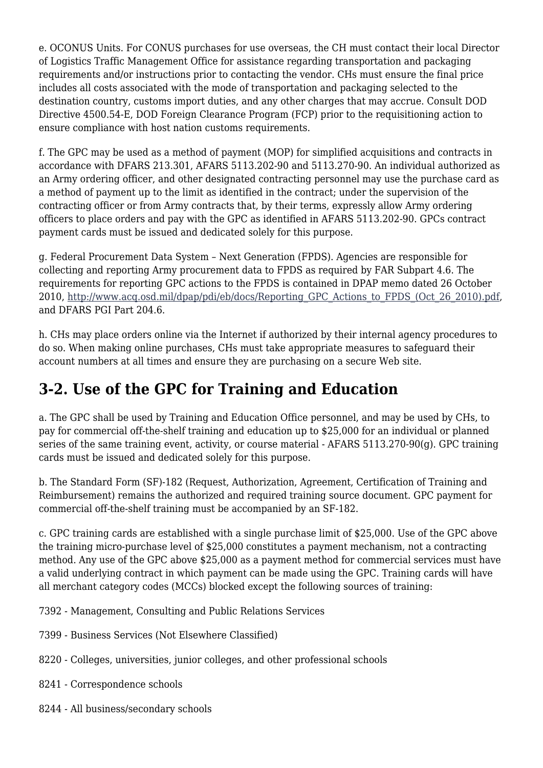e. OCONUS Units. For CONUS purchases for use overseas, the CH must contact their local Director of Logistics Traffic Management Office for assistance regarding transportation and packaging requirements and/or instructions prior to contacting the vendor. CHs must ensure the final price includes all costs associated with the mode of transportation and packaging selected to the destination country, customs import duties, and any other charges that may accrue. Consult DOD Directive 4500.54-E, DOD Foreign Clearance Program (FCP) prior to the requisitioning action to ensure compliance with host nation customs requirements.

f. The GPC may be used as a method of payment (MOP) for simplified acquisitions and contracts in accordance with DFARS 213.301, AFARS 5113.202-90 and 5113.270-90. An individual authorized as an Army ordering officer, and other designated contracting personnel may use the purchase card as a method of payment up to the limit as identified in the contract; under the supervision of the contracting officer or from Army contracts that, by their terms, expressly allow Army ordering officers to place orders and pay with the GPC as identified in AFARS 5113.202-90. GPCs contract payment cards must be issued and dedicated solely for this purpose.

g. Federal Procurement Data System – Next Generation (FPDS). Agencies are responsible for collecting and reporting Army procurement data to FPDS as required by FAR Subpart 4.6. The requirements for reporting GPC actions to the FPDS is contained in DPAP memo dated 26 October 2010, [http://www.acq.osd.mil/dpap/pdi/eb/docs/Reporting\\_GPC\\_Actions\\_to\\_FPDS\\_\(Oct\\_26\\_2010\).pdf,](http://www.acq.osd.mil/dpap/pdi/eb/docs/Reporting_GPC_Actions_to_FPDS_(Oct_26_2010).pdf) and DFARS PGI Part 204.6.

h. CHs may place orders online via the Internet if authorized by their internal agency procedures to do so. When making online purchases, CHs must take appropriate measures to safeguard their account numbers at all times and ensure they are purchasing on a secure Web site.

### **3-2. Use of the GPC for Training and Education**

a. The GPC shall be used by Training and Education Office personnel, and may be used by CHs, to pay for commercial off-the-shelf training and education up to \$25,000 for an individual or planned series of the same training event, activity, or course material - AFARS 5113.270-90(g). GPC training cards must be issued and dedicated solely for this purpose.

b. The Standard Form (SF)-182 (Request, Authorization, Agreement, Certification of Training and Reimbursement) remains the authorized and required training source document. GPC payment for commercial off-the-shelf training must be accompanied by an SF-182.

c. GPC training cards are established with a single purchase limit of \$25,000. Use of the GPC above the training micro-purchase level of \$25,000 constitutes a payment mechanism, not a contracting method. Any use of the GPC above \$25,000 as a payment method for commercial services must have a valid underlying contract in which payment can be made using the GPC. Training cards will have all merchant category codes (MCCs) blocked except the following sources of training:

- 7392 Management, Consulting and Public Relations Services
- 7399 Business Services (Not Elsewhere Classified)
- 8220 Colleges, universities, junior colleges, and other professional schools
- 8241 Correspondence schools
- 8244 All business/secondary schools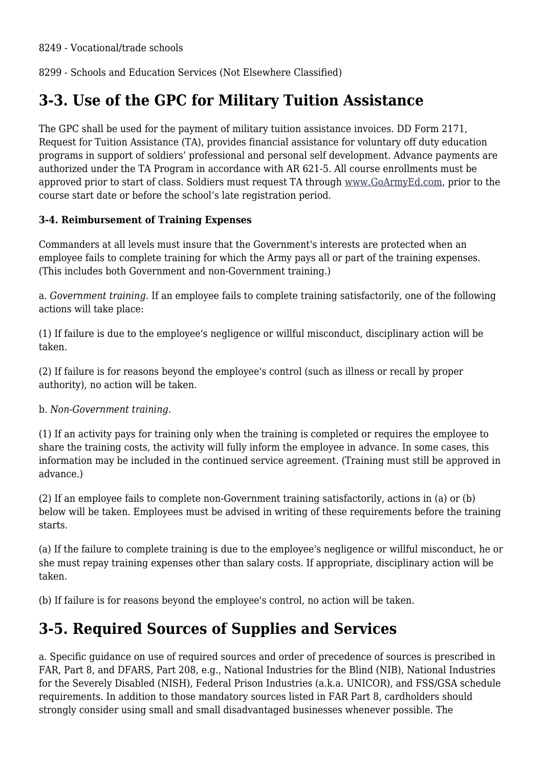8299 - Schools and Education Services (Not Elsewhere Classified)

### **3-3. Use of the GPC for Military Tuition Assistance**

The GPC shall be used for the payment of military tuition assistance invoices. DD Form 2171, Request for Tuition Assistance (TA), provides financial assistance for voluntary off duty education programs in support of soldiers' professional and personal self development. Advance payments are authorized under the TA Program in accordance with AR 621-5. All course enrollments must be approved prior to start of class. Soldiers must request TA through [www.GoArmyEd.com](http://www.GoArmyEd.com), prior to the course start date or before the school's late registration period.

#### **3-4. Reimbursement of Training Expenses**

Commanders at all levels must insure that the Government's interests are protected when an employee fails to complete training for which the Army pays all or part of the training expenses. (This includes both Government and non-Government training.)

a. *Government training*. If an employee fails to complete training satisfactorily, one of the following actions will take place:

(1) If failure is due to the employee's negligence or willful misconduct, disciplinary action will be taken.

(2) If failure is for reasons beyond the employee's control (such as illness or recall by proper authority), no action will be taken.

#### b. *Non-Government training*.

(1) If an activity pays for training only when the training is completed or requires the employee to share the training costs, the activity will fully inform the employee in advance. In some cases, this information may be included in the continued service agreement. (Training must still be approved in advance.)

(2) If an employee fails to complete non-Government training satisfactorily, actions in (a) or (b) below will be taken. Employees must be advised in writing of these requirements before the training starts.

(a) If the failure to complete training is due to the employee's negligence or willful misconduct, he or she must repay training expenses other than salary costs. If appropriate, disciplinary action will be taken.

(b) If failure is for reasons beyond the employee's control, no action will be taken.

### **3-5. Required Sources of Supplies and Services**

a. Specific guidance on use of required sources and order of precedence of sources is prescribed in FAR, Part 8, and DFARS, Part 208, e.g., National Industries for the Blind (NIB), National Industries for the Severely Disabled (NISH), Federal Prison Industries (a.k.a. UNICOR), and FSS/GSA schedule requirements. In addition to those mandatory sources listed in FAR Part 8, cardholders should strongly consider using small and small disadvantaged businesses whenever possible. The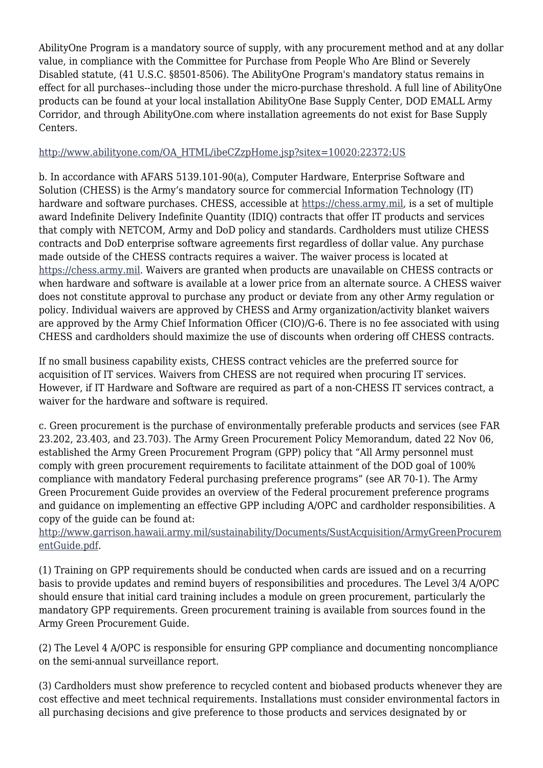AbilityOne Program is a mandatory source of supply, with any procurement method and at any dollar value, in compliance with the Committee for Purchase from People Who Are Blind or Severely Disabled statute, (41 U.S.C. §8501-8506). The AbilityOne Program's mandatory status remains in effect for all purchases--including those under the micro-purchase threshold. A full line of AbilityOne products can be found at your local installation AbilityOne Base Supply Center, DOD EMALL Army Corridor, and through AbilityOne.com where installation agreements do not exist for Base Supply Centers.

#### [http://www.abilityone.com/OA\\_HTML/ibeCZzpHome.jsp?sitex=10020:22372:US](http://www.abilityone.com/OA_HTML/ibeCZzpHome.jsp?sitex=10020:22372:US)

b. In accordance with AFARS 5139.101-90(a), Computer Hardware, Enterprise Software and Solution (CHESS) is the Army's mandatory source for commercial Information Technology (IT) hardware and software purchases. CHESS, accessible at <https://chess.army.mil>, is a set of multiple award Indefinite Delivery Indefinite Quantity (IDIQ) contracts that offer IT products and services that comply with NETCOM, Army and DoD policy and standards. Cardholders must utilize CHESS contracts and DoD enterprise software agreements first regardless of dollar value. Any purchase made outside of the CHESS contracts requires a waiver. The waiver process is located at [https://chess.army.mil.](https://chess.army.mil) Waivers are granted when products are unavailable on CHESS contracts or when hardware and software is available at a lower price from an alternate source. A CHESS waiver does not constitute approval to purchase any product or deviate from any other Army regulation or policy. Individual waivers are approved by CHESS and Army organization/activity blanket waivers are approved by the Army Chief Information Officer (CIO)/G-6. There is no fee associated with using CHESS and cardholders should maximize the use of discounts when ordering off CHESS contracts.

If no small business capability exists, CHESS contract vehicles are the preferred source for acquisition of IT services. Waivers from CHESS are not required when procuring IT services. However, if IT Hardware and Software are required as part of a non-CHESS IT services contract, a waiver for the hardware and software is required.

c. Green procurement is the purchase of environmentally preferable products and services (see FAR 23.202, 23.403, and 23.703). The Army Green Procurement Policy Memorandum, dated 22 Nov 06, established the Army Green Procurement Program (GPP) policy that "All Army personnel must comply with green procurement requirements to facilitate attainment of the DOD goal of 100% compliance with mandatory Federal purchasing preference programs" (see AR 70-1). The Army Green Procurement Guide provides an overview of the Federal procurement preference programs and guidance on implementing an effective GPP including A/OPC and cardholder responsibilities. A copy of the guide can be found at:

#### [http://www.garrison.hawaii.army.mil/sustainability/Documents/SustAcquisition/ArmyGreenProcurem](http://www.garrison.hawaii.army.mil/sustainability/Documents/SustAcquisition/ArmyGreenProcurementGuide.pdf) [entGuide.pdf.](http://www.garrison.hawaii.army.mil/sustainability/Documents/SustAcquisition/ArmyGreenProcurementGuide.pdf)

(1) Training on GPP requirements should be conducted when cards are issued and on a recurring basis to provide updates and remind buyers of responsibilities and procedures. The Level 3/4 A/OPC should ensure that initial card training includes a module on green procurement, particularly the mandatory GPP requirements. Green procurement training is available from sources found in the Army Green Procurement Guide.

(2) The Level 4 A/OPC is responsible for ensuring GPP compliance and documenting noncompliance on the semi-annual surveillance report.

(3) Cardholders must show preference to recycled content and biobased products whenever they are cost effective and meet technical requirements. Installations must consider environmental factors in all purchasing decisions and give preference to those products and services designated by or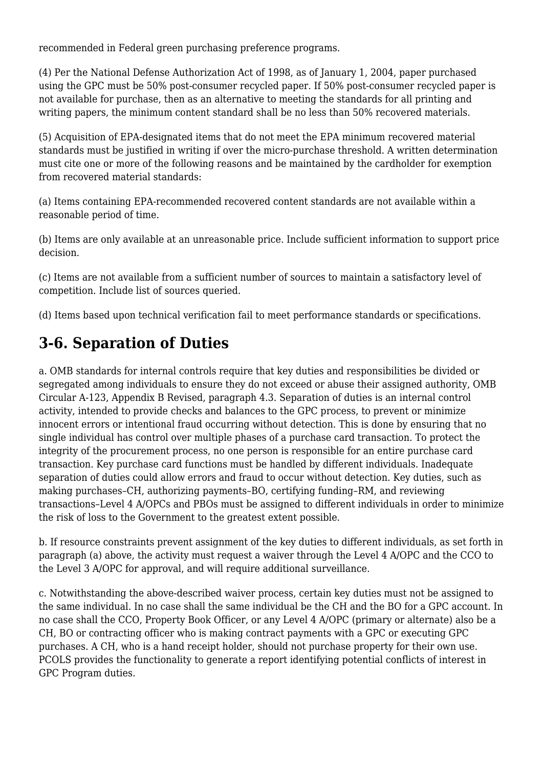recommended in Federal green purchasing preference programs.

(4) Per the National Defense Authorization Act of 1998, as of January 1, 2004, paper purchased using the GPC must be 50% post-consumer recycled paper. If 50% post-consumer recycled paper is not available for purchase, then as an alternative to meeting the standards for all printing and writing papers, the minimum content standard shall be no less than 50% recovered materials.

(5) Acquisition of EPA-designated items that do not meet the EPA minimum recovered material standards must be justified in writing if over the micro-purchase threshold. A written determination must cite one or more of the following reasons and be maintained by the cardholder for exemption from recovered material standards:

(a) Items containing EPA-recommended recovered content standards are not available within a reasonable period of time.

(b) Items are only available at an unreasonable price. Include sufficient information to support price decision.

(c) Items are not available from a sufficient number of sources to maintain a satisfactory level of competition. Include list of sources queried.

(d) Items based upon technical verification fail to meet performance standards or specifications.

### **3-6. Separation of Duties**

a. OMB standards for internal controls require that key duties and responsibilities be divided or segregated among individuals to ensure they do not exceed or abuse their assigned authority, OMB Circular A-123, Appendix B Revised, paragraph 4.3. Separation of duties is an internal control activity, intended to provide checks and balances to the GPC process, to prevent or minimize innocent errors or intentional fraud occurring without detection. This is done by ensuring that no single individual has control over multiple phases of a purchase card transaction. To protect the integrity of the procurement process, no one person is responsible for an entire purchase card transaction. Key purchase card functions must be handled by different individuals. Inadequate separation of duties could allow errors and fraud to occur without detection. Key duties, such as making purchases–CH, authorizing payments–BO, certifying funding–RM, and reviewing transactions–Level 4 A/OPCs and PBOs must be assigned to different individuals in order to minimize the risk of loss to the Government to the greatest extent possible.

b. If resource constraints prevent assignment of the key duties to different individuals, as set forth in paragraph (a) above, the activity must request a waiver through the Level 4 A/OPC and the CCO to the Level 3 A/OPC for approval, and will require additional surveillance.

c. Notwithstanding the above-described waiver process, certain key duties must not be assigned to the same individual. In no case shall the same individual be the CH and the BO for a GPC account. In no case shall the CCO, Property Book Officer, or any Level 4 A/OPC (primary or alternate) also be a CH, BO or contracting officer who is making contract payments with a GPC or executing GPC purchases. A CH, who is a hand receipt holder, should not purchase property for their own use. PCOLS provides the functionality to generate a report identifying potential conflicts of interest in GPC Program duties.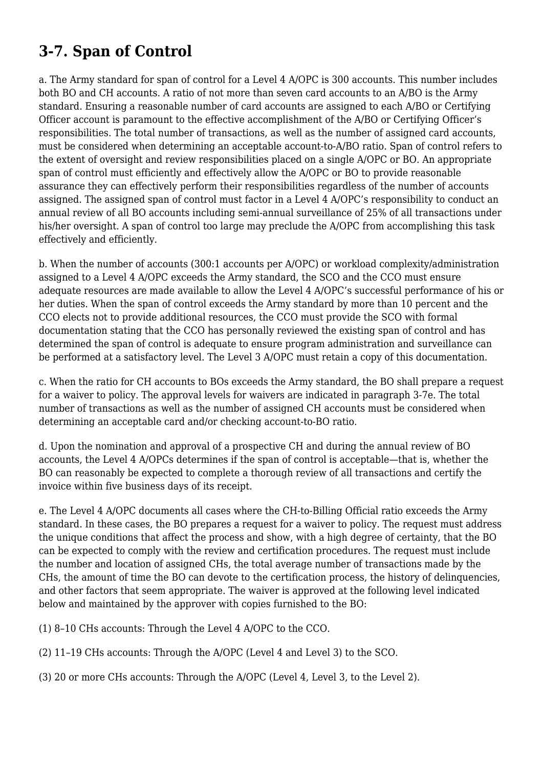# **3-7. Span of Control**

a. The Army standard for span of control for a Level 4 A/OPC is 300 accounts. This number includes both BO and CH accounts. A ratio of not more than seven card accounts to an A/BO is the Army standard. Ensuring a reasonable number of card accounts are assigned to each A/BO or Certifying Officer account is paramount to the effective accomplishment of the A/BO or Certifying Officer's responsibilities. The total number of transactions, as well as the number of assigned card accounts, must be considered when determining an acceptable account-to-A/BO ratio. Span of control refers to the extent of oversight and review responsibilities placed on a single A/OPC or BO. An appropriate span of control must efficiently and effectively allow the A/OPC or BO to provide reasonable assurance they can effectively perform their responsibilities regardless of the number of accounts assigned. The assigned span of control must factor in a Level 4 A/OPC's responsibility to conduct an annual review of all BO accounts including semi-annual surveillance of 25% of all transactions under his/her oversight. A span of control too large may preclude the A/OPC from accomplishing this task effectively and efficiently.

b. When the number of accounts (300:1 accounts per A/OPC) or workload complexity/administration assigned to a Level 4 A/OPC exceeds the Army standard, the SCO and the CCO must ensure adequate resources are made available to allow the Level 4 A/OPC's successful performance of his or her duties. When the span of control exceeds the Army standard by more than 10 percent and the CCO elects not to provide additional resources, the CCO must provide the SCO with formal documentation stating that the CCO has personally reviewed the existing span of control and has determined the span of control is adequate to ensure program administration and surveillance can be performed at a satisfactory level. The Level 3 A/OPC must retain a copy of this documentation.

c. When the ratio for CH accounts to BOs exceeds the Army standard, the BO shall prepare a request for a waiver to policy. The approval levels for waivers are indicated in paragraph 3-7e. The total number of transactions as well as the number of assigned CH accounts must be considered when determining an acceptable card and/or checking account-to-BO ratio.

d. Upon the nomination and approval of a prospective CH and during the annual review of BO accounts, the Level 4 A/OPCs determines if the span of control is acceptable—that is, whether the BO can reasonably be expected to complete a thorough review of all transactions and certify the invoice within five business days of its receipt.

e. The Level 4 A/OPC documents all cases where the CH-to-Billing Official ratio exceeds the Army standard. In these cases, the BO prepares a request for a waiver to policy. The request must address the unique conditions that affect the process and show, with a high degree of certainty, that the BO can be expected to comply with the review and certification procedures. The request must include the number and location of assigned CHs, the total average number of transactions made by the CHs, the amount of time the BO can devote to the certification process, the history of delinquencies, and other factors that seem appropriate. The waiver is approved at the following level indicated below and maintained by the approver with copies furnished to the BO:

(1) 8–10 CHs accounts: Through the Level 4 A/OPC to the CCO.

(2) 11–19 CHs accounts: Through the A/OPC (Level 4 and Level 3) to the SCO.

(3) 20 or more CHs accounts: Through the A/OPC (Level 4, Level 3, to the Level 2).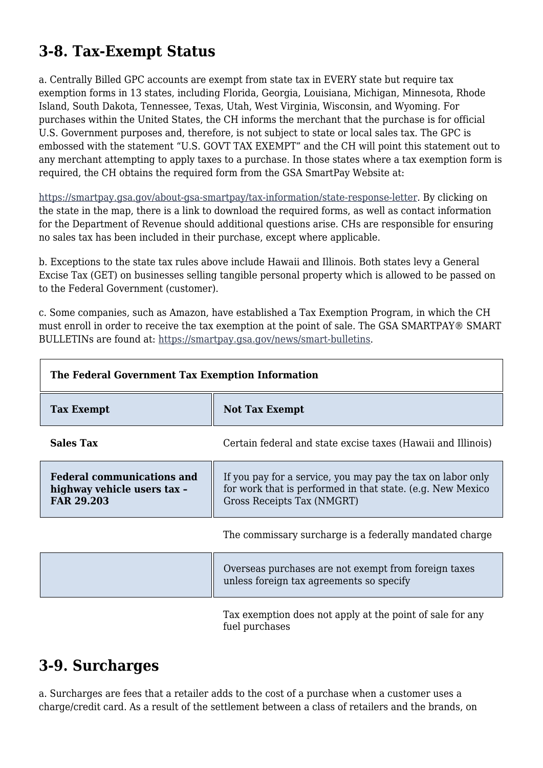### **3-8. Tax-Exempt Status**

a. Centrally Billed GPC accounts are exempt from state tax in EVERY state but require tax exemption forms in 13 states, including Florida, Georgia, Louisiana, Michigan, Minnesota, Rhode Island, South Dakota, Tennessee, Texas, Utah, West Virginia, Wisconsin, and Wyoming. For purchases within the United States, the CH informs the merchant that the purchase is for official U.S. Government purposes and, therefore, is not subject to state or local sales tax. The GPC is embossed with the statement "U.S. GOVT TAX EXEMPT" and the CH will point this statement out to any merchant attempting to apply taxes to a purchase. In those states where a tax exemption form is required, the CH obtains the required form from the GSA SmartPay Website at:

[https://smartpay.gsa.gov/about-gsa-smartpay/tax-information/state-response-letter.](https://smartpay.gsa.gov/about-gsa-smartpay/tax-information/state-response-letter) By clicking on the state in the map, there is a link to download the required forms, as well as contact information for the Department of Revenue should additional questions arise. CHs are responsible for ensuring no sales tax has been included in their purchase, except where applicable.

b. Exceptions to the state tax rules above include Hawaii and Illinois. Both states levy a General Excise Tax (GET) on businesses selling tangible personal property which is allowed to be passed on to the Federal Government (customer).

c. Some companies, such as Amazon, have established a Tax Exemption Program, in which the CH must enroll in order to receive the tax exemption at the point of sale. The GSA SMARTPAY® SMART BULLETINs are found at: <https://smartpay.gsa.gov/news/smart-bulletins>.

| The Federal Government Tax Exemption Information                                      |                                                                                                                                                         |  |
|---------------------------------------------------------------------------------------|---------------------------------------------------------------------------------------------------------------------------------------------------------|--|
| <b>Tax Exempt</b>                                                                     | <b>Not Tax Exempt</b>                                                                                                                                   |  |
| <b>Sales Tax</b>                                                                      | Certain federal and state excise taxes (Hawaii and Illinois)                                                                                            |  |
| <b>Federal communications and</b><br>highway vehicle users tax -<br><b>FAR 29.203</b> | If you pay for a service, you may pay the tax on labor only<br>for work that is performed in that state. (e.g. New Mexico<br>Gross Receipts Tax (NMGRT) |  |
|                                                                                       | The commissary surcharge is a federally mandated charge                                                                                                 |  |
|                                                                                       | Overseas purchases are not exempt from foreign taxes<br>unless foreign tax agreements so specify                                                        |  |
|                                                                                       |                                                                                                                                                         |  |

Tax exemption does not apply at the point of sale for any fuel purchases

### **3-9. Surcharges**

a. Surcharges are fees that a retailer adds to the cost of a purchase when a customer uses a charge/credit card. As a result of the settlement between a class of retailers and the brands, on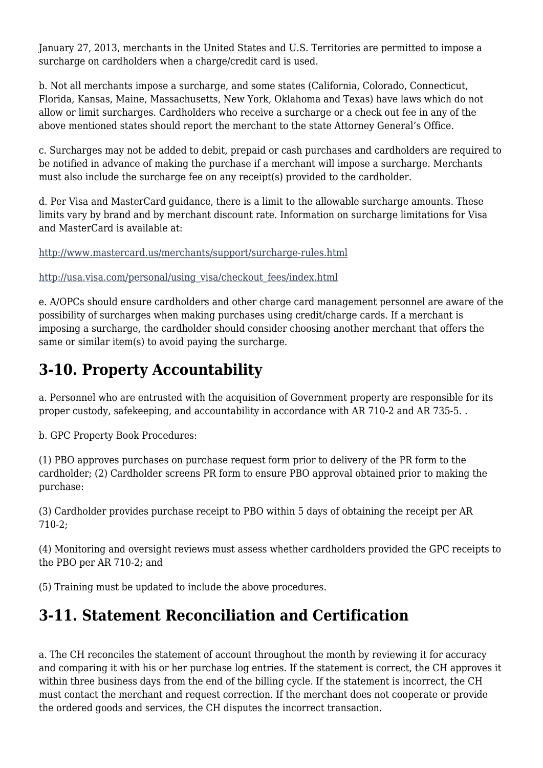January 27, 2013, merchants in the United States and U.S. Territories are permitted to impose a surcharge on cardholders when a charge/credit card is used.

b. Not all merchants impose a surcharge, and some states (California, Colorado, Connecticut, Florida, Kansas, Maine, Massachusetts, New York, Oklahoma and Texas) have laws which do not allow or limit surcharges. Cardholders who receive a surcharge or a check out fee in any of the above mentioned states should report the merchant to the state Attorney General's Office.

c. Surcharges may not be added to debit, prepaid or cash purchases and cardholders are required to be notified in advance of making the purchase if a merchant will impose a surcharge. Merchants must also include the surcharge fee on any receipt(s) provided to the cardholder.

d. Per Visa and MasterCard guidance, there is a limit to the allowable surcharge amounts. These limits vary by brand and by merchant discount rate. Information on surcharge limitations for Visa and MasterCard is available at:

<http://www.mastercard.us/merchants/support/surcharge-rules.html>

[http://usa.visa.com/personal/using\\_visa/checkout\\_fees/index.html](http://usa.visa.com/personal/using_visa/checkout_fees/index.html)

e. A/OPCs should ensure cardholders and other charge card management personnel are aware of the possibility of surcharges when making purchases using credit/charge cards. If a merchant is imposing a surcharge, the cardholder should consider choosing another merchant that offers the same or similar item(s) to avoid paying the surcharge.

# **3-10. Property Accountability**

a. Personnel who are entrusted with the acquisition of Government property are responsible for its proper custody, safekeeping, and accountability in accordance with AR 710-2 and AR 735-5. .

b. GPC Property Book Procedures:

(1) PBO approves purchases on purchase request form prior to delivery of the PR form to the cardholder; (2) Cardholder screens PR form to ensure PBO approval obtained prior to making the purchase:

(3) Cardholder provides purchase receipt to PBO within 5 days of obtaining the receipt per AR 710-2;

(4) Monitoring and oversight reviews must assess whether cardholders provided the GPC receipts to the PBO per AR 710-2; and

(5) Training must be updated to include the above procedures.

# **3-11. Statement Reconciliation and Certification**

a. The CH reconciles the statement of account throughout the month by reviewing it for accuracy and comparing it with his or her purchase log entries. If the statement is correct, the CH approves it within three business days from the end of the billing cycle. If the statement is incorrect, the CH must contact the merchant and request correction. If the merchant does not cooperate or provide the ordered goods and services, the CH disputes the incorrect transaction.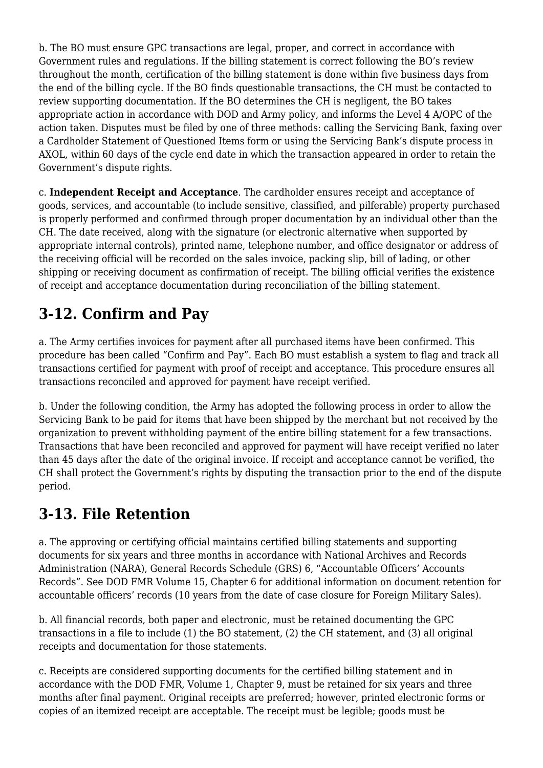b. The BO must ensure GPC transactions are legal, proper, and correct in accordance with Government rules and regulations. If the billing statement is correct following the BO's review throughout the month, certification of the billing statement is done within five business days from the end of the billing cycle. If the BO finds questionable transactions, the CH must be contacted to review supporting documentation. If the BO determines the CH is negligent, the BO takes appropriate action in accordance with DOD and Army policy, and informs the Level 4 A/OPC of the action taken. Disputes must be filed by one of three methods: calling the Servicing Bank, faxing over a Cardholder Statement of Questioned Items form or using the Servicing Bank's dispute process in AXOL, within 60 days of the cycle end date in which the transaction appeared in order to retain the Government's dispute rights.

c. **Independent Receipt and Acceptance**. The cardholder ensures receipt and acceptance of goods, services, and accountable (to include sensitive, classified, and pilferable) property purchased is properly performed and confirmed through proper documentation by an individual other than the CH. The date received, along with the signature (or electronic alternative when supported by appropriate internal controls), printed name, telephone number, and office designator or address of the receiving official will be recorded on the sales invoice, packing slip, bill of lading, or other shipping or receiving document as confirmation of receipt. The billing official verifies the existence of receipt and acceptance documentation during reconciliation of the billing statement.

# **3-12. Confirm and Pay**

a. The Army certifies invoices for payment after all purchased items have been confirmed. This procedure has been called "Confirm and Pay". Each BO must establish a system to flag and track all transactions certified for payment with proof of receipt and acceptance. This procedure ensures all transactions reconciled and approved for payment have receipt verified.

b. Under the following condition, the Army has adopted the following process in order to allow the Servicing Bank to be paid for items that have been shipped by the merchant but not received by the organization to prevent withholding payment of the entire billing statement for a few transactions. Transactions that have been reconciled and approved for payment will have receipt verified no later than 45 days after the date of the original invoice. If receipt and acceptance cannot be verified, the CH shall protect the Government's rights by disputing the transaction prior to the end of the dispute period.

### **3-13. File Retention**

a. The approving or certifying official maintains certified billing statements and supporting documents for six years and three months in accordance with National Archives and Records Administration (NARA), General Records Schedule (GRS) 6, "Accountable Officers' Accounts Records". See DOD FMR Volume 15, Chapter 6 for additional information on document retention for accountable officers' records (10 years from the date of case closure for Foreign Military Sales).

b. All financial records, both paper and electronic, must be retained documenting the GPC transactions in a file to include (1) the BO statement, (2) the CH statement, and (3) all original receipts and documentation for those statements.

c. Receipts are considered supporting documents for the certified billing statement and in accordance with the DOD FMR, Volume 1, Chapter 9, must be retained for six years and three months after final payment. Original receipts are preferred; however, printed electronic forms or copies of an itemized receipt are acceptable. The receipt must be legible; goods must be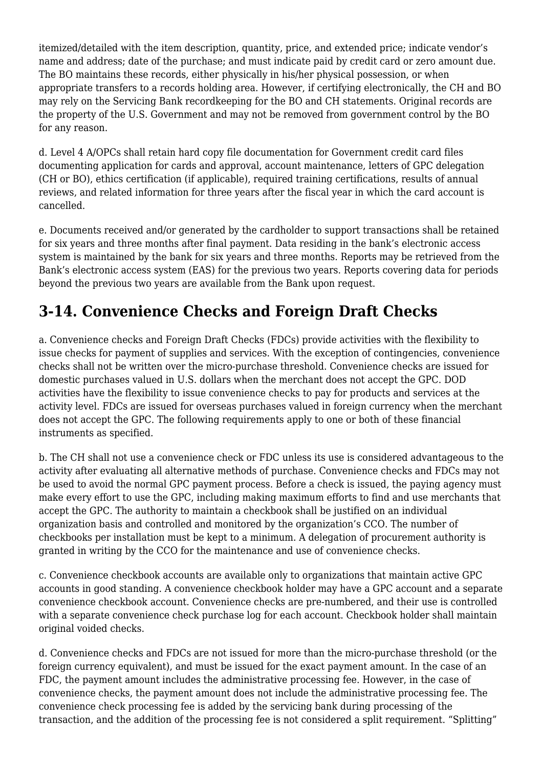itemized/detailed with the item description, quantity, price, and extended price; indicate vendor's name and address; date of the purchase; and must indicate paid by credit card or zero amount due. The BO maintains these records, either physically in his/her physical possession, or when appropriate transfers to a records holding area. However, if certifying electronically, the CH and BO may rely on the Servicing Bank recordkeeping for the BO and CH statements. Original records are the property of the U.S. Government and may not be removed from government control by the BO for any reason.

d. Level 4 A/OPCs shall retain hard copy file documentation for Government credit card files documenting application for cards and approval, account maintenance, letters of GPC delegation (CH or BO), ethics certification (if applicable), required training certifications, results of annual reviews, and related information for three years after the fiscal year in which the card account is cancelled.

e. Documents received and/or generated by the cardholder to support transactions shall be retained for six years and three months after final payment. Data residing in the bank's electronic access system is maintained by the bank for six years and three months. Reports may be retrieved from the Bank's electronic access system (EAS) for the previous two years. Reports covering data for periods beyond the previous two years are available from the Bank upon request.

### **3-14. Convenience Checks and Foreign Draft Checks**

a. Convenience checks and Foreign Draft Checks (FDCs) provide activities with the flexibility to issue checks for payment of supplies and services. With the exception of contingencies, convenience checks shall not be written over the micro-purchase threshold. Convenience checks are issued for domestic purchases valued in U.S. dollars when the merchant does not accept the GPC. DOD activities have the flexibility to issue convenience checks to pay for products and services at the activity level. FDCs are issued for overseas purchases valued in foreign currency when the merchant does not accept the GPC. The following requirements apply to one or both of these financial instruments as specified.

b. The CH shall not use a convenience check or FDC unless its use is considered advantageous to the activity after evaluating all alternative methods of purchase. Convenience checks and FDCs may not be used to avoid the normal GPC payment process. Before a check is issued, the paying agency must make every effort to use the GPC, including making maximum efforts to find and use merchants that accept the GPC. The authority to maintain a checkbook shall be justified on an individual organization basis and controlled and monitored by the organization's CCO. The number of checkbooks per installation must be kept to a minimum. A delegation of procurement authority is granted in writing by the CCO for the maintenance and use of convenience checks.

c. Convenience checkbook accounts are available only to organizations that maintain active GPC accounts in good standing. A convenience checkbook holder may have a GPC account and a separate convenience checkbook account. Convenience checks are pre-numbered, and their use is controlled with a separate convenience check purchase log for each account. Checkbook holder shall maintain original voided checks.

d. Convenience checks and FDCs are not issued for more than the micro-purchase threshold (or the foreign currency equivalent), and must be issued for the exact payment amount. In the case of an FDC, the payment amount includes the administrative processing fee. However, in the case of convenience checks, the payment amount does not include the administrative processing fee. The convenience check processing fee is added by the servicing bank during processing of the transaction, and the addition of the processing fee is not considered a split requirement. "Splitting"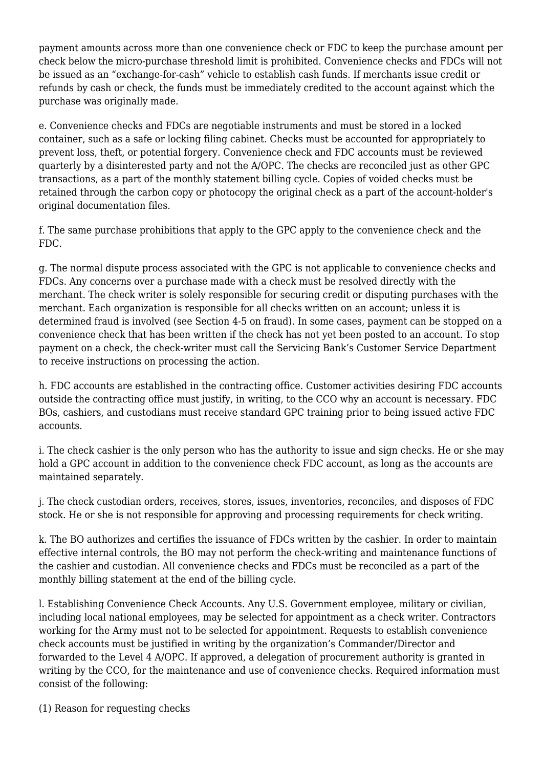payment amounts across more than one convenience check or FDC to keep the purchase amount per check below the micro-purchase threshold limit is prohibited. Convenience checks and FDCs will not be issued as an "exchange-for-cash" vehicle to establish cash funds. If merchants issue credit or refunds by cash or check, the funds must be immediately credited to the account against which the purchase was originally made.

e. Convenience checks and FDCs are negotiable instruments and must be stored in a locked container, such as a safe or locking filing cabinet. Checks must be accounted for appropriately to prevent loss, theft, or potential forgery. Convenience check and FDC accounts must be reviewed quarterly by a disinterested party and not the A/OPC. The checks are reconciled just as other GPC transactions, as a part of the monthly statement billing cycle. Copies of voided checks must be retained through the carbon copy or photocopy the original check as a part of the account-holder's original documentation files.

f. The same purchase prohibitions that apply to the GPC apply to the convenience check and the FDC.

g. The normal dispute process associated with the GPC is not applicable to convenience checks and FDCs. Any concerns over a purchase made with a check must be resolved directly with the merchant. The check writer is solely responsible for securing credit or disputing purchases with the merchant. Each organization is responsible for all checks written on an account; unless it is determined fraud is involved (see Section 4-5 on fraud). In some cases, payment can be stopped on a convenience check that has been written if the check has not yet been posted to an account. To stop payment on a check, the check-writer must call the Servicing Bank's Customer Service Department to receive instructions on processing the action.

h. FDC accounts are established in the contracting office. Customer activities desiring FDC accounts outside the contracting office must justify, in writing, to the CCO why an account is necessary. FDC BOs, cashiers, and custodians must receive standard GPC training prior to being issued active FDC accounts.

i. The check cashier is the only person who has the authority to issue and sign checks. He or she may hold a GPC account in addition to the convenience check FDC account, as long as the accounts are maintained separately.

j. The check custodian orders, receives, stores, issues, inventories, reconciles, and disposes of FDC stock. He or she is not responsible for approving and processing requirements for check writing.

k. The BO authorizes and certifies the issuance of FDCs written by the cashier. In order to maintain effective internal controls, the BO may not perform the check-writing and maintenance functions of the cashier and custodian. All convenience checks and FDCs must be reconciled as a part of the monthly billing statement at the end of the billing cycle.

l. Establishing Convenience Check Accounts. Any U.S. Government employee, military or civilian, including local national employees, may be selected for appointment as a check writer. Contractors working for the Army must not to be selected for appointment. Requests to establish convenience check accounts must be justified in writing by the organization's Commander/Director and forwarded to the Level 4 A/OPC. If approved, a delegation of procurement authority is granted in writing by the CCO, for the maintenance and use of convenience checks. Required information must consist of the following:

(1) Reason for requesting checks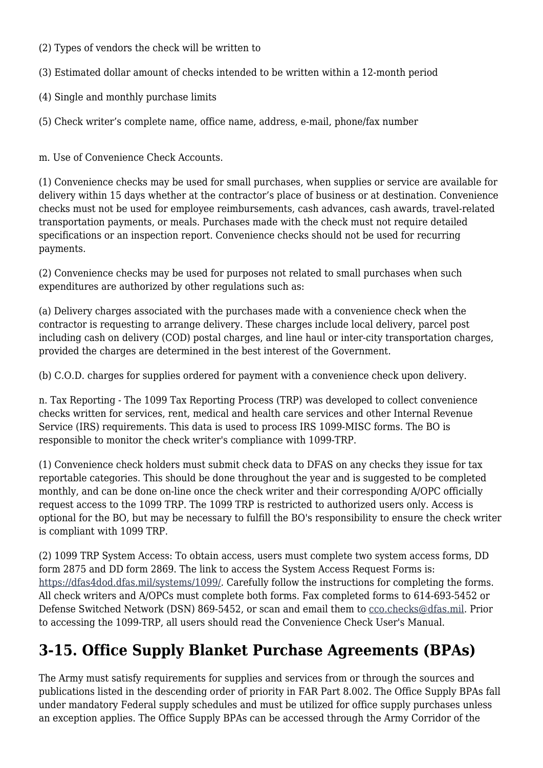- (2) Types of vendors the check will be written to
- (3) Estimated dollar amount of checks intended to be written within a 12-month period
- (4) Single and monthly purchase limits
- (5) Check writer's complete name, office name, address, e-mail, phone/fax number

m. Use of Convenience Check Accounts.

(1) Convenience checks may be used for small purchases, when supplies or service are available for delivery within 15 days whether at the contractor's place of business or at destination. Convenience checks must not be used for employee reimbursements, cash advances, cash awards, travel-related transportation payments, or meals. Purchases made with the check must not require detailed specifications or an inspection report. Convenience checks should not be used for recurring payments.

(2) Convenience checks may be used for purposes not related to small purchases when such expenditures are authorized by other regulations such as:

(a) Delivery charges associated with the purchases made with a convenience check when the contractor is requesting to arrange delivery. These charges include local delivery, parcel post including cash on delivery (COD) postal charges, and line haul or inter-city transportation charges, provided the charges are determined in the best interest of the Government.

(b) C.O.D. charges for supplies ordered for payment with a convenience check upon delivery.

n. Tax Reporting - The 1099 Tax Reporting Process (TRP) was developed to collect convenience checks written for services, rent, medical and health care services and other Internal Revenue Service (IRS) requirements. This data is used to process IRS 1099-MISC forms. The BO is responsible to monitor the check writer's compliance with 1099-TRP.

(1) Convenience check holders must submit check data to DFAS on any checks they issue for tax reportable categories. This should be done throughout the year and is suggested to be completed monthly, and can be done on-line once the check writer and their corresponding A/OPC officially request access to the 1099 TRP. The 1099 TRP is restricted to authorized users only. Access is optional for the BO, but may be necessary to fulfill the BO's responsibility to ensure the check writer is compliant with 1099 TRP.

(2) 1099 TRP System Access: To obtain access, users must complete two system access forms, DD form 2875 and DD form 2869. The link to access the System Access Request Forms is: <https://dfas4dod.dfas.mil/systems/1099/>. Carefully follow the instructions for completing the forms. All check writers and A/OPCs must complete both forms. Fax completed forms to 614-693-5452 or Defense Switched Network (DSN) 869-5452, or scan and email them to [cco.checks@dfas.mil.](mailto:cco.checks@dfas.mil) Prior to accessing the 1099-TRP, all users should read the Convenience Check User's Manual.

# **3-15. Office Supply Blanket Purchase Agreements (BPAs)**

The Army must satisfy requirements for supplies and services from or through the sources and publications listed in the descending order of priority in FAR Part 8.002. The Office Supply BPAs fall under mandatory Federal supply schedules and must be utilized for office supply purchases unless an exception applies. The Office Supply BPAs can be accessed through the Army Corridor of the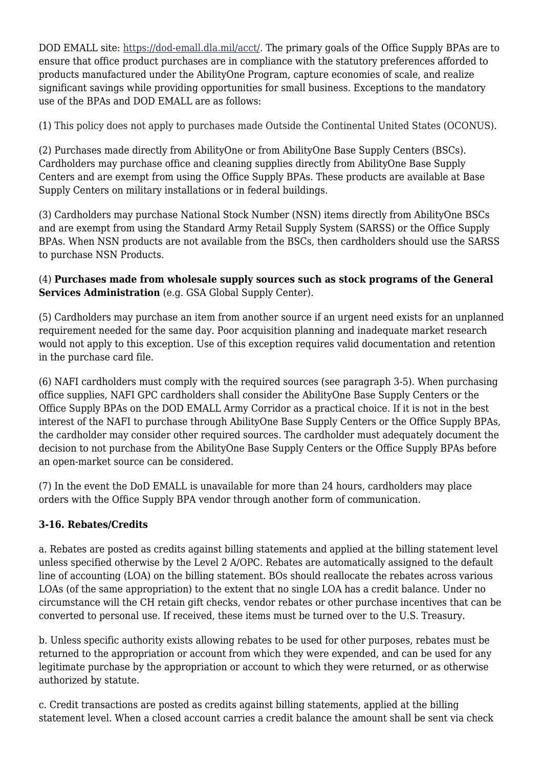DOD EMALL site: <https://dod-emall.dla.mil/acct/>. The primary goals of the Office Supply BPAs are to ensure that office product purchases are in compliance with the statutory preferences afforded to products manufactured under the AbilityOne Program, capture economies of scale, and realize significant savings while providing opportunities for small business. Exceptions to the mandatory use of the BPAs and DOD EMALL are as follows:

(1) This policy does not apply to purchases made Outside the Continental United States (OCONUS).

(2) Purchases made directly from AbilityOne or from AbilityOne Base Supply Centers (BSCs). Cardholders may purchase office and cleaning supplies directly from AbilityOne Base Supply Centers and are exempt from using the Office Supply BPAs. These products are available at Base Supply Centers on military installations or in federal buildings.

(3) Cardholders may purchase National Stock Number (NSN) items directly from AbilityOne BSCs and are exempt from using the Standard Army Retail Supply System (SARSS) or the Office Supply BPAs. When NSN products are not available from the BSCs, then cardholders should use the SARSS to purchase NSN Products.

(4) **Purchases made from wholesale supply sources such as stock programs of the General Services Administration** (e.g. GSA Global Supply Center).

(5) Cardholders may purchase an item from another source if an urgent need exists for an unplanned requirement needed for the same day. Poor acquisition planning and inadequate market research would not apply to this exception. Use of this exception requires valid documentation and retention in the purchase card file.

(6) NAFI cardholders must comply with the required sources (see paragraph 3-5). When purchasing office supplies, NAFI GPC cardholders shall consider the AbilityOne Base Supply Centers or the Office Supply BPAs on the DOD EMALL Army Corridor as a practical choice. If it is not in the best interest of the NAFI to purchase through AbilityOne Base Supply Centers or the Office Supply BPAs, the cardholder may consider other required sources. The cardholder must adequately document the decision to not purchase from the AbilityOne Base Supply Centers or the Office Supply BPAs before an open-market source can be considered.

(7) In the event the DoD EMALL is unavailable for more than 24 hours, cardholders may place orders with the Office Supply BPA vendor through another form of communication.

#### **3-16. Rebates/Credits**

a. Rebates are posted as credits against billing statements and applied at the billing statement level unless specified otherwise by the Level 2 A/OPC. Rebates are automatically assigned to the default line of accounting (LOA) on the billing statement. BOs should reallocate the rebates across various LOAs (of the same appropriation) to the extent that no single LOA has a credit balance. Under no circumstance will the CH retain gift checks, vendor rebates or other purchase incentives that can be converted to personal use. If received, these items must be turned over to the U.S. Treasury.

b. Unless specific authority exists allowing rebates to be used for other purposes, rebates must be returned to the appropriation or account from which they were expended, and can be used for any legitimate purchase by the appropriation or account to which they were returned, or as otherwise authorized by statute.

c. Credit transactions are posted as credits against billing statements, applied at the billing statement level. When a closed account carries a credit balance the amount shall be sent via check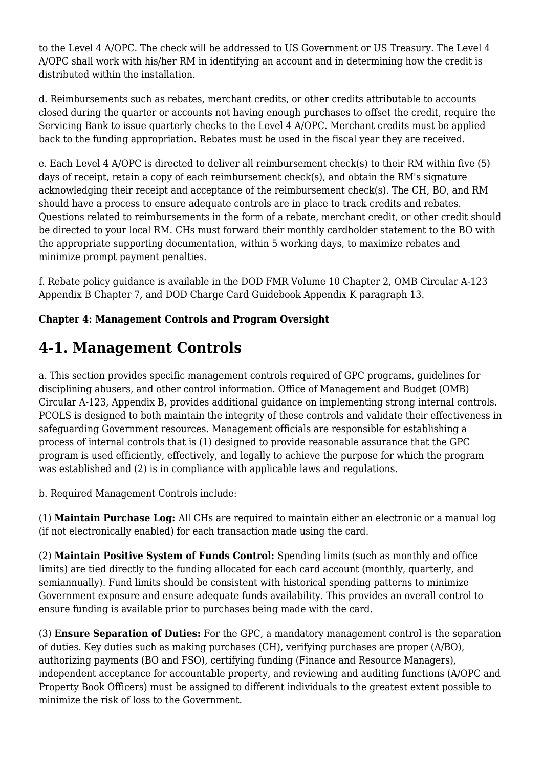to the Level 4 A/OPC. The check will be addressed to US Government or US Treasury. The Level 4 A/OPC shall work with his/her RM in identifying an account and in determining how the credit is distributed within the installation.

d. Reimbursements such as rebates, merchant credits, or other credits attributable to accounts closed during the quarter or accounts not having enough purchases to offset the credit, require the Servicing Bank to issue quarterly checks to the Level 4 A/OPC. Merchant credits must be applied back to the funding appropriation. Rebates must be used in the fiscal year they are received.

e. Each Level 4 A/OPC is directed to deliver all reimbursement check(s) to their RM within five (5) days of receipt, retain a copy of each reimbursement check(s), and obtain the RM's signature acknowledging their receipt and acceptance of the reimbursement check(s). The CH, BO, and RM should have a process to ensure adequate controls are in place to track credits and rebates. Questions related to reimbursements in the form of a rebate, merchant credit, or other credit should be directed to your local RM. CHs must forward their monthly cardholder statement to the BO with the appropriate supporting documentation, within 5 working days, to maximize rebates and minimize prompt payment penalties.

f. Rebate policy guidance is available in the DOD FMR Volume 10 Chapter 2, OMB Circular A-123 Appendix B Chapter 7, and DOD Charge Card Guidebook Appendix K paragraph 13.

#### **Chapter 4: Management Controls and Program Oversight**

### **4-1. Management Controls**

a. This section provides specific management controls required of GPC programs, guidelines for disciplining abusers, and other control information. Office of Management and Budget (OMB) Circular A-123, Appendix B, provides additional guidance on implementing strong internal controls. PCOLS is designed to both maintain the integrity of these controls and validate their effectiveness in safeguarding Government resources. Management officials are responsible for establishing a process of internal controls that is (1) designed to provide reasonable assurance that the GPC program is used efficiently, effectively, and legally to achieve the purpose for which the program was established and (2) is in compliance with applicable laws and regulations.

b. Required Management Controls include:

(1) **Maintain Purchase Log:** All CHs are required to maintain either an electronic or a manual log (if not electronically enabled) for each transaction made using the card.

(2) **Maintain Positive System of Funds Control:** Spending limits (such as monthly and office limits) are tied directly to the funding allocated for each card account (monthly, quarterly, and semiannually). Fund limits should be consistent with historical spending patterns to minimize Government exposure and ensure adequate funds availability. This provides an overall control to ensure funding is available prior to purchases being made with the card.

(3) **Ensure Separation of Duties:** For the GPC, a mandatory management control is the separation of duties. Key duties such as making purchases (CH), verifying purchases are proper (A/BO), authorizing payments (BO and FSO), certifying funding (Finance and Resource Managers), independent acceptance for accountable property, and reviewing and auditing functions (A/OPC and Property Book Officers) must be assigned to different individuals to the greatest extent possible to minimize the risk of loss to the Government.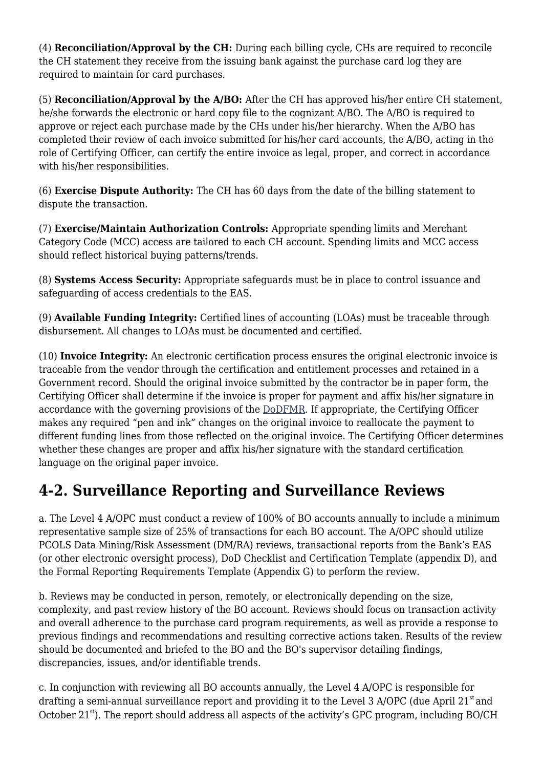(4) **Reconciliation/Approval by the CH:** During each billing cycle, CHs are required to reconcile the CH statement they receive from the issuing bank against the purchase card log they are required to maintain for card purchases.

(5) **Reconciliation/Approval by the A/BO:** After the CH has approved his/her entire CH statement, he/she forwards the electronic or hard copy file to the cognizant A/BO. The A/BO is required to approve or reject each purchase made by the CHs under his/her hierarchy. When the A/BO has completed their review of each invoice submitted for his/her card accounts, the A/BO, acting in the role of Certifying Officer, can certify the entire invoice as legal, proper, and correct in accordance with his/her responsibilities.

(6) **Exercise Dispute Authority:** The CH has 60 days from the date of the billing statement to dispute the transaction.

(7) **Exercise/Maintain Authorization Controls:** Appropriate spending limits and Merchant Category Code (MCC) access are tailored to each CH account. Spending limits and MCC access should reflect historical buying patterns/trends.

(8) **Systems Access Security:** Appropriate safeguards must be in place to control issuance and safeguarding of access credentials to the EAS.

(9) **Available Funding Integrity:** Certified lines of accounting (LOAs) must be traceable through disbursement. All changes to LOAs must be documented and certified.

(10) **Invoice Integrity:** An electronic certification process ensures the original electronic invoice is traceable from the vendor through the certification and entitlement processes and retained in a Government record. Should the original invoice submitted by the contractor be in paper form, the Certifying Officer shall determine if the invoice is proper for payment and affix his/her signature in accordance with the governing provisions of the [DoDFMR.](http://comptroller.defense.gov/fmr/05/05_33.pdf) If appropriate, the Certifying Officer makes any required "pen and ink" changes on the original invoice to reallocate the payment to different funding lines from those reflected on the original invoice. The Certifying Officer determines whether these changes are proper and affix his/her signature with the standard certification language on the original paper invoice.

### **4-2. Surveillance Reporting and Surveillance Reviews**

a. The Level 4 A/OPC must conduct a review of 100% of BO accounts annually to include a minimum representative sample size of 25% of transactions for each BO account. The A/OPC should utilize PCOLS Data Mining/Risk Assessment (DM/RA) reviews, transactional reports from the Bank's EAS (or other electronic oversight process), DoD Checklist and Certification Template (appendix D), and the Formal Reporting Requirements Template (Appendix G) to perform the review.

b. Reviews may be conducted in person, remotely, or electronically depending on the size, complexity, and past review history of the BO account. Reviews should focus on transaction activity and overall adherence to the purchase card program requirements, as well as provide a response to previous findings and recommendations and resulting corrective actions taken. Results of the review should be documented and briefed to the BO and the BO's supervisor detailing findings, discrepancies, issues, and/or identifiable trends.

c. In conjunction with reviewing all BO accounts annually, the Level 4 A/OPC is responsible for drafting a semi-annual surveillance report and providing it to the Level 3 A/OPC (due April  $21<sup>st</sup>$  and October 21<sup>st</sup>). The report should address all aspects of the activity's GPC program, including BO/CH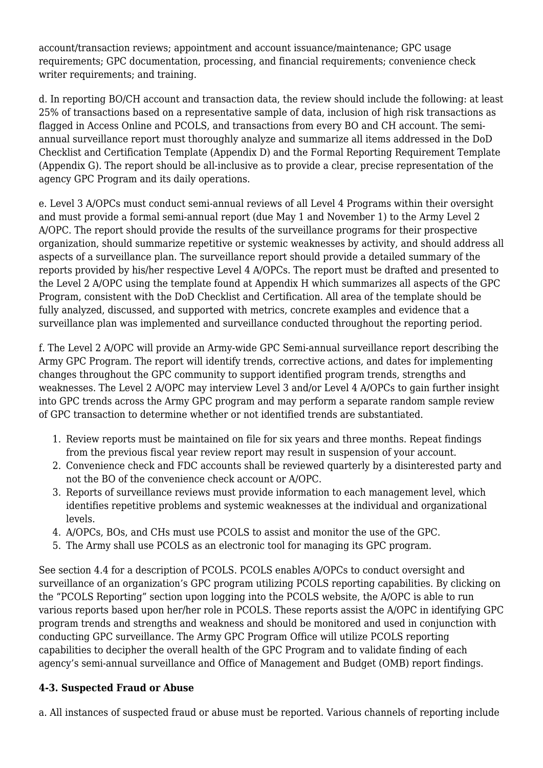account/transaction reviews; appointment and account issuance/maintenance; GPC usage requirements; GPC documentation, processing, and financial requirements; convenience check writer requirements; and training.

d. In reporting BO/CH account and transaction data, the review should include the following: at least 25% of transactions based on a representative sample of data, inclusion of high risk transactions as flagged in Access Online and PCOLS, and transactions from every BO and CH account. The semiannual surveillance report must thoroughly analyze and summarize all items addressed in the DoD Checklist and Certification Template (Appendix D) and the Formal Reporting Requirement Template (Appendix G). The report should be all-inclusive as to provide a clear, precise representation of the agency GPC Program and its daily operations.

e. Level 3 A/OPCs must conduct semi-annual reviews of all Level 4 Programs within their oversight and must provide a formal semi-annual report (due May 1 and November 1) to the Army Level 2 A/OPC. The report should provide the results of the surveillance programs for their prospective organization, should summarize repetitive or systemic weaknesses by activity, and should address all aspects of a surveillance plan. The surveillance report should provide a detailed summary of the reports provided by his/her respective Level 4 A/OPCs. The report must be drafted and presented to the Level 2 A/OPC using the template found at Appendix H which summarizes all aspects of the GPC Program, consistent with the DoD Checklist and Certification. All area of the template should be fully analyzed, discussed, and supported with metrics, concrete examples and evidence that a surveillance plan was implemented and surveillance conducted throughout the reporting period.

f. The Level 2 A/OPC will provide an Army-wide GPC Semi-annual surveillance report describing the Army GPC Program. The report will identify trends, corrective actions, and dates for implementing changes throughout the GPC community to support identified program trends, strengths and weaknesses. The Level 2 A/OPC may interview Level 3 and/or Level 4 A/OPCs to gain further insight into GPC trends across the Army GPC program and may perform a separate random sample review of GPC transaction to determine whether or not identified trends are substantiated.

- 1. Review reports must be maintained on file for six years and three months. Repeat findings from the previous fiscal year review report may result in suspension of your account.
- 2. Convenience check and FDC accounts shall be reviewed quarterly by a disinterested party and not the BO of the convenience check account or A/OPC.
- 3. Reports of surveillance reviews must provide information to each management level, which identifies repetitive problems and systemic weaknesses at the individual and organizational levels.
- 4. A/OPCs, BOs, and CHs must use PCOLS to assist and monitor the use of the GPC.
- 5. The Army shall use PCOLS as an electronic tool for managing its GPC program.

See section 4.4 for a description of PCOLS. PCOLS enables A/OPCs to conduct oversight and surveillance of an organization's GPC program utilizing PCOLS reporting capabilities. By clicking on the "PCOLS Reporting" section upon logging into the PCOLS website, the A/OPC is able to run various reports based upon her/her role in PCOLS. These reports assist the A/OPC in identifying GPC program trends and strengths and weakness and should be monitored and used in conjunction with conducting GPC surveillance. The Army GPC Program Office will utilize PCOLS reporting capabilities to decipher the overall health of the GPC Program and to validate finding of each agency's semi-annual surveillance and Office of Management and Budget (OMB) report findings.

#### **4-3. Suspected Fraud or Abuse**

a. All instances of suspected fraud or abuse must be reported. Various channels of reporting include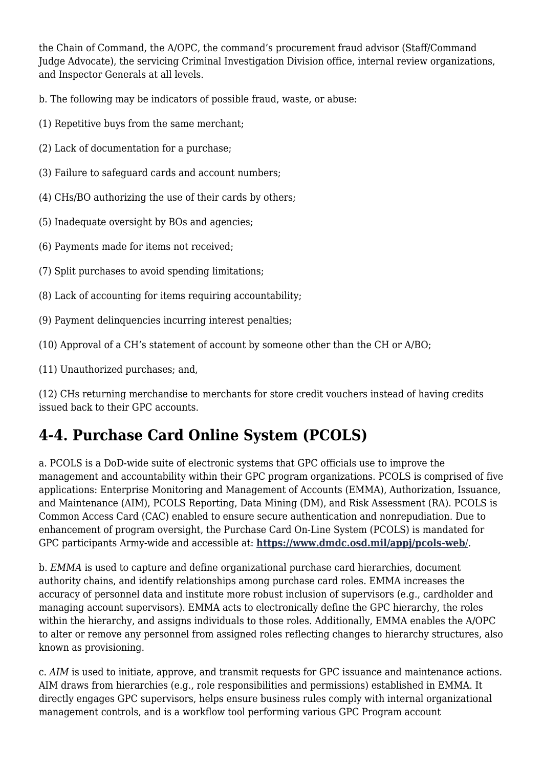the Chain of Command, the A/OPC, the command's procurement fraud advisor (Staff/Command Judge Advocate), the servicing Criminal Investigation Division office, internal review organizations, and Inspector Generals at all levels.

b. The following may be indicators of possible fraud, waste, or abuse:

- (1) Repetitive buys from the same merchant;
- (2) Lack of documentation for a purchase;
- (3) Failure to safeguard cards and account numbers;
- (4) CHs/BO authorizing the use of their cards by others;
- (5) Inadequate oversight by BOs and agencies;
- (6) Payments made for items not received;
- (7) Split purchases to avoid spending limitations;
- (8) Lack of accounting for items requiring accountability;
- (9) Payment delinquencies incurring interest penalties;
- (10) Approval of a CH's statement of account by someone other than the CH or A/BO;
- (11) Unauthorized purchases; and,

(12) CHs returning merchandise to merchants for store credit vouchers instead of having credits issued back to their GPC accounts.

# **4-4. Purchase Card Online System (PCOLS)**

a. PCOLS is a DoD-wide suite of electronic systems that GPC officials use to improve the management and accountability within their GPC program organizations. PCOLS is comprised of five applications: Enterprise Monitoring and Management of Accounts (EMMA), Authorization, Issuance, and Maintenance (AIM), PCOLS Reporting, Data Mining (DM), and Risk Assessment (RA). PCOLS is Common Access Card (CAC) enabled to ensure secure authentication and nonrepudiation. Due to enhancement of program oversight, the Purchase Card On-Line System (PCOLS) is mandated for GPC participants Army-wide and accessible at: **[https://www.dmdc.osd.mil/appj/pcols-web](https://www.dmdc.osd.mil/appj/pcols-web/)**[/](https://www.dmdc.osd.mil/appj/pcols-web/).

b. *EMMA* is used to capture and define organizational purchase card hierarchies, document authority chains, and identify relationships among purchase card roles. EMMA increases the accuracy of personnel data and institute more robust inclusion of supervisors (e.g., cardholder and managing account supervisors). EMMA acts to electronically define the GPC hierarchy, the roles within the hierarchy, and assigns individuals to those roles. Additionally, EMMA enables the A/OPC to alter or remove any personnel from assigned roles reflecting changes to hierarchy structures, also known as provisioning.

c. *AIM* is used to initiate, approve, and transmit requests for GPC issuance and maintenance actions. AIM draws from hierarchies (e.g., role responsibilities and permissions) established in EMMA. It directly engages GPC supervisors, helps ensure business rules comply with internal organizational management controls, and is a workflow tool performing various GPC Program account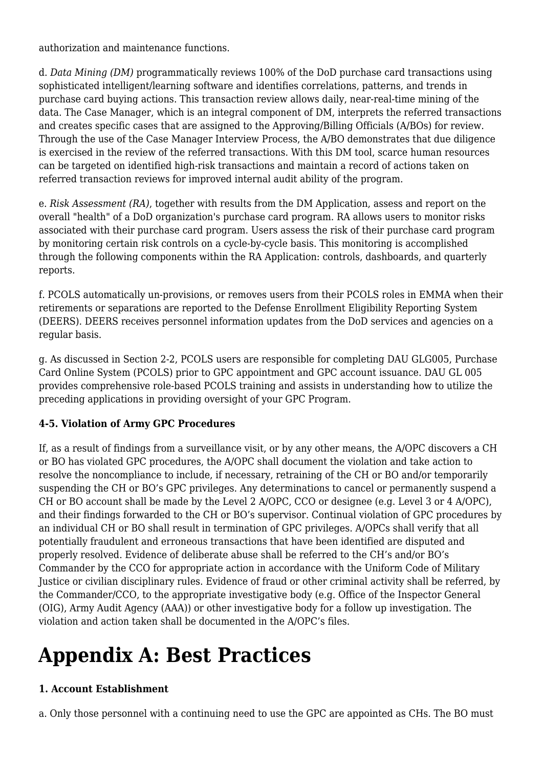authorization and maintenance functions.

d. *Data Mining (DM)* programmatically reviews 100% of the DoD purchase card transactions using sophisticated intelligent/learning software and identifies correlations, patterns, and trends in purchase card buying actions. This transaction review allows daily, near-real-time mining of the data. The Case Manager, which is an integral component of DM, interprets the referred transactions and creates specific cases that are assigned to the Approving/Billing Officials (A/BOs) for review. Through the use of the Case Manager Interview Process, the A/BO demonstrates that due diligence is exercised in the review of the referred transactions. With this DM tool, scarce human resources can be targeted on identified high-risk transactions and maintain a record of actions taken on referred transaction reviews for improved internal audit ability of the program.

e. *Risk Assessment (RA)*, together with results from the DM Application, assess and report on the overall "health" of a DoD organization's purchase card program. RA allows users to monitor risks associated with their purchase card program. Users assess the risk of their purchase card program by monitoring certain risk controls on a cycle-by-cycle basis. This monitoring is accomplished through the following components within the RA Application: controls, dashboards, and quarterly reports.

f. PCOLS automatically un-provisions, or removes users from their PCOLS roles in EMMA when their retirements or separations are reported to the Defense Enrollment Eligibility Reporting System (DEERS). DEERS receives personnel information updates from the DoD services and agencies on a regular basis.

g. As discussed in Section 2-2, PCOLS users are responsible for completing DAU GLG005, Purchase Card Online System (PCOLS) prior to GPC appointment and GPC account issuance. DAU GL 005 provides comprehensive role-based PCOLS training and assists in understanding how to utilize the preceding applications in providing oversight of your GPC Program.

#### **4-5. Violation of Army GPC Procedures**

If, as a result of findings from a surveillance visit, or by any other means, the A/OPC discovers a CH or BO has violated GPC procedures, the A/OPC shall document the violation and take action to resolve the noncompliance to include, if necessary, retraining of the CH or BO and/or temporarily suspending the CH or BO's GPC privileges. Any determinations to cancel or permanently suspend a CH or BO account shall be made by the Level 2 A/OPC, CCO or designee (e.g. Level 3 or 4 A/OPC), and their findings forwarded to the CH or BO's supervisor. Continual violation of GPC procedures by an individual CH or BO shall result in termination of GPC privileges. A/OPCs shall verify that all potentially fraudulent and erroneous transactions that have been identified are disputed and properly resolved. Evidence of deliberate abuse shall be referred to the CH's and/or BO's Commander by the CCO for appropriate action in accordance with the Uniform Code of Military Justice or civilian disciplinary rules. Evidence of fraud or other criminal activity shall be referred, by the Commander/CCO, to the appropriate investigative body (e.g. Office of the Inspector General (OIG), Army Audit Agency (AAA)) or other investigative body for a follow up investigation. The violation and action taken shall be documented in the A/OPC's files.

# **Appendix A: Best Practices**

# **1. Account Establishment**

a. Only those personnel with a continuing need to use the GPC are appointed as CHs. The BO must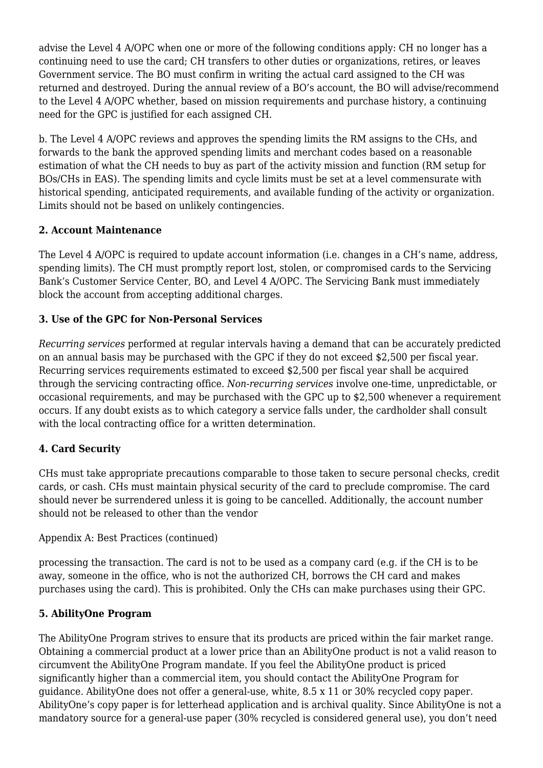advise the Level 4 A/OPC when one or more of the following conditions apply: CH no longer has a continuing need to use the card; CH transfers to other duties or organizations, retires, or leaves Government service. The BO must confirm in writing the actual card assigned to the CH was returned and destroyed. During the annual review of a BO's account, the BO will advise/recommend to the Level 4 A/OPC whether, based on mission requirements and purchase history, a continuing need for the GPC is justified for each assigned CH.

b. The Level 4 A/OPC reviews and approves the spending limits the RM assigns to the CHs, and forwards to the bank the approved spending limits and merchant codes based on a reasonable estimation of what the CH needs to buy as part of the activity mission and function (RM setup for BOs/CHs in EAS). The spending limits and cycle limits must be set at a level commensurate with historical spending, anticipated requirements, and available funding of the activity or organization. Limits should not be based on unlikely contingencies.

#### **2. Account Maintenance**

The Level 4 A/OPC is required to update account information (i.e. changes in a CH's name, address, spending limits). The CH must promptly report lost, stolen, or compromised cards to the Servicing Bank's Customer Service Center, BO, and Level 4 A/OPC. The Servicing Bank must immediately block the account from accepting additional charges.

#### **3. Use of the GPC for Non-Personal Services**

*Recurring services* performed at regular intervals having a demand that can be accurately predicted on an annual basis may be purchased with the GPC if they do not exceed \$2,500 per fiscal year. Recurring services requirements estimated to exceed \$2,500 per fiscal year shall be acquired through the servicing contracting office. *Non-recurring services* involve one-time, unpredictable, or occasional requirements, and may be purchased with the GPC up to \$2,500 whenever a requirement occurs. If any doubt exists as to which category a service falls under, the cardholder shall consult with the local contracting office for a written determination.

#### **4. Card Security**

CHs must take appropriate precautions comparable to those taken to secure personal checks, credit cards, or cash. CHs must maintain physical security of the card to preclude compromise. The card should never be surrendered unless it is going to be cancelled. Additionally, the account number should not be released to other than the vendor

#### Appendix A: Best Practices (continued)

processing the transaction. The card is not to be used as a company card (e.g. if the CH is to be away, someone in the office, who is not the authorized CH, borrows the CH card and makes purchases using the card). This is prohibited. Only the CHs can make purchases using their GPC.

#### **5. AbilityOne Program**

The AbilityOne Program strives to ensure that its products are priced within the fair market range. Obtaining a commercial product at a lower price than an AbilityOne product is not a valid reason to circumvent the AbilityOne Program mandate. If you feel the AbilityOne product is priced significantly higher than a commercial item, you should contact the AbilityOne Program for guidance. AbilityOne does not offer a general-use, white, 8.5 x 11 or 30% recycled copy paper. AbilityOne's copy paper is for letterhead application and is archival quality. Since AbilityOne is not a mandatory source for a general-use paper (30% recycled is considered general use), you don't need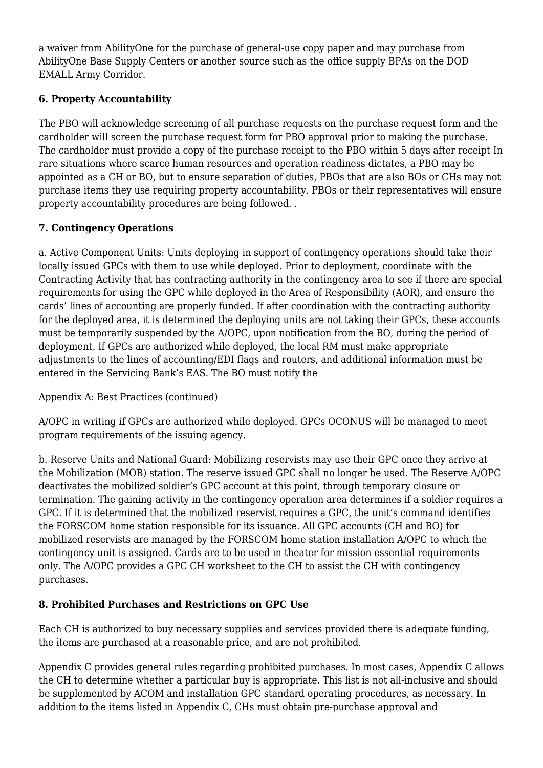a waiver from AbilityOne for the purchase of general-use copy paper and may purchase from AbilityOne Base Supply Centers or another source such as the office supply BPAs on the DOD EMALL Army Corridor.

# **6. Property Accountability**

The PBO will acknowledge screening of all purchase requests on the purchase request form and the cardholder will screen the purchase request form for PBO approval prior to making the purchase. The cardholder must provide a copy of the purchase receipt to the PBO within 5 days after receipt In rare situations where scarce human resources and operation readiness dictates, a PBO may be appointed as a CH or BO, but to ensure separation of duties, PBOs that are also BOs or CHs may not purchase items they use requiring property accountability. PBOs or their representatives will ensure property accountability procedures are being followed. .

#### **7. Contingency Operations**

a. Active Component Units: Units deploying in support of contingency operations should take their locally issued GPCs with them to use while deployed. Prior to deployment, coordinate with the Contracting Activity that has contracting authority in the contingency area to see if there are special requirements for using the GPC while deployed in the Area of Responsibility (AOR), and ensure the cards' lines of accounting are properly funded. If after coordination with the contracting authority for the deployed area, it is determined the deploying units are not taking their GPCs, these accounts must be temporarily suspended by the A/OPC, upon notification from the BO, during the period of deployment. If GPCs are authorized while deployed, the local RM must make appropriate adjustments to the lines of accounting/EDI flags and routers, and additional information must be entered in the Servicing Bank's EAS. The BO must notify the

Appendix A: Best Practices (continued)

A/OPC in writing if GPCs are authorized while deployed. GPCs OCONUS will be managed to meet program requirements of the issuing agency.

b. Reserve Units and National Guard: Mobilizing reservists may use their GPC once they arrive at the Mobilization (MOB) station. The reserve issued GPC shall no longer be used. The Reserve A/OPC deactivates the mobilized soldier's GPC account at this point, through temporary closure or termination. The gaining activity in the contingency operation area determines if a soldier requires a GPC. If it is determined that the mobilized reservist requires a GPC, the unit's command identifies the FORSCOM home station responsible for its issuance. All GPC accounts (CH and BO) for mobilized reservists are managed by the FORSCOM home station installation A/OPC to which the contingency unit is assigned. Cards are to be used in theater for mission essential requirements only. The A/OPC provides a GPC CH worksheet to the CH to assist the CH with contingency purchases.

# **8. Prohibited Purchases and Restrictions on GPC Use**

Each CH is authorized to buy necessary supplies and services provided there is adequate funding, the items are purchased at a reasonable price, and are not prohibited.

Appendix C provides general rules regarding prohibited purchases. In most cases, Appendix C allows the CH to determine whether a particular buy is appropriate. This list is not all-inclusive and should be supplemented by ACOM and installation GPC standard operating procedures, as necessary. In addition to the items listed in Appendix C, CHs must obtain pre-purchase approval and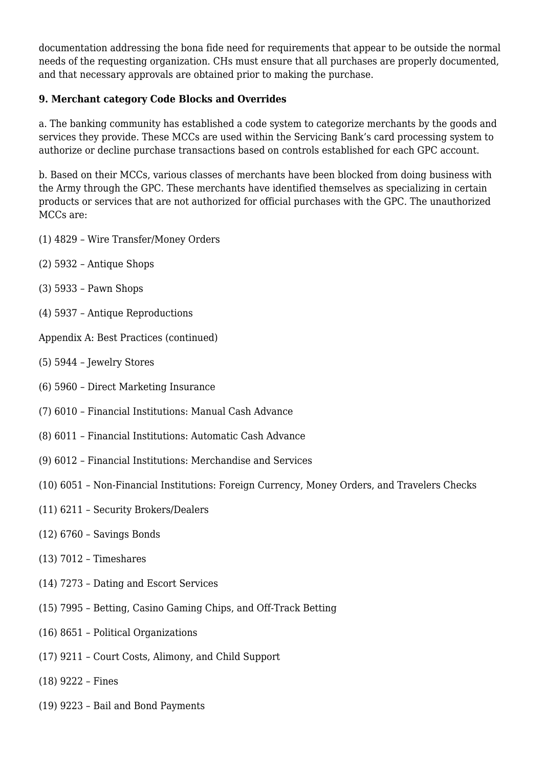documentation addressing the bona fide need for requirements that appear to be outside the normal needs of the requesting organization. CHs must ensure that all purchases are properly documented, and that necessary approvals are obtained prior to making the purchase.

#### **9. Merchant category Code Blocks and Overrides**

a. The banking community has established a code system to categorize merchants by the goods and services they provide. These MCCs are used within the Servicing Bank's card processing system to authorize or decline purchase transactions based on controls established for each GPC account.

b. Based on their MCCs, various classes of merchants have been blocked from doing business with the Army through the GPC. These merchants have identified themselves as specializing in certain products or services that are not authorized for official purchases with the GPC. The unauthorized MCCs are:

- (1) 4829 Wire Transfer/Money Orders
- (2) 5932 Antique Shops
- (3) 5933 Pawn Shops
- (4) 5937 Antique Reproductions

Appendix A: Best Practices (continued)

- (5) 5944 Jewelry Stores
- (6) 5960 Direct Marketing Insurance
- (7) 6010 Financial Institutions: Manual Cash Advance
- (8) 6011 Financial Institutions: Automatic Cash Advance
- (9) 6012 Financial Institutions: Merchandise and Services
- (10) 6051 Non-Financial Institutions: Foreign Currency, Money Orders, and Travelers Checks
- (11) 6211 Security Brokers/Dealers
- (12) 6760 Savings Bonds
- (13) 7012 Timeshares
- (14) 7273 Dating and Escort Services
- (15) 7995 Betting, Casino Gaming Chips, and Off-Track Betting
- (16) 8651 Political Organizations
- (17) 9211 Court Costs, Alimony, and Child Support
- (18) 9222 Fines
- (19) 9223 Bail and Bond Payments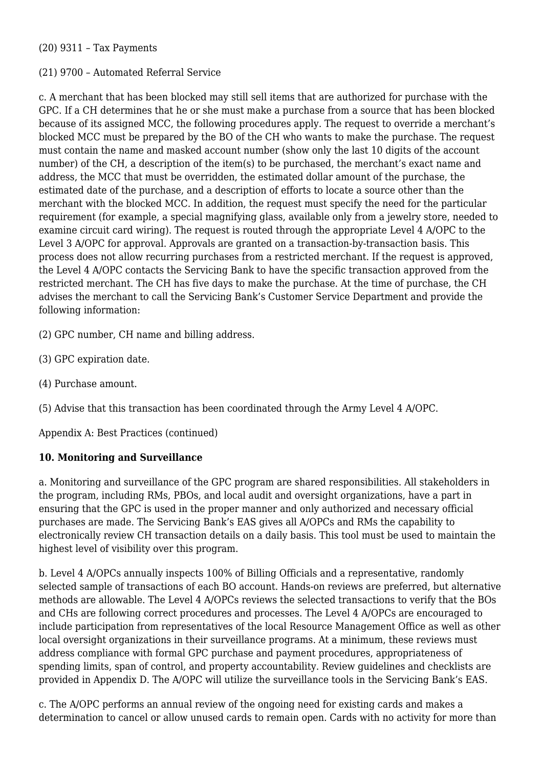#### (20) 9311 – Tax Payments

#### (21) 9700 – Automated Referral Service

c. A merchant that has been blocked may still sell items that are authorized for purchase with the GPC. If a CH determines that he or she must make a purchase from a source that has been blocked because of its assigned MCC, the following procedures apply. The request to override a merchant's blocked MCC must be prepared by the BO of the CH who wants to make the purchase. The request must contain the name and masked account number (show only the last 10 digits of the account number) of the CH, a description of the item(s) to be purchased, the merchant's exact name and address, the MCC that must be overridden, the estimated dollar amount of the purchase, the estimated date of the purchase, and a description of efforts to locate a source other than the merchant with the blocked MCC. In addition, the request must specify the need for the particular requirement (for example, a special magnifying glass, available only from a jewelry store, needed to examine circuit card wiring). The request is routed through the appropriate Level 4 A/OPC to the Level 3 A/OPC for approval. Approvals are granted on a transaction-by-transaction basis. This process does not allow recurring purchases from a restricted merchant. If the request is approved, the Level 4 A/OPC contacts the Servicing Bank to have the specific transaction approved from the restricted merchant. The CH has five days to make the purchase. At the time of purchase, the CH advises the merchant to call the Servicing Bank's Customer Service Department and provide the following information:

- (2) GPC number, CH name and billing address.
- (3) GPC expiration date.
- (4) Purchase amount.
- (5) Advise that this transaction has been coordinated through the Army Level 4 A/OPC.

Appendix A: Best Practices (continued)

#### **10. Monitoring and Surveillance**

a. Monitoring and surveillance of the GPC program are shared responsibilities. All stakeholders in the program, including RMs, PBOs, and local audit and oversight organizations, have a part in ensuring that the GPC is used in the proper manner and only authorized and necessary official purchases are made. The Servicing Bank's EAS gives all A/OPCs and RMs the capability to electronically review CH transaction details on a daily basis. This tool must be used to maintain the highest level of visibility over this program.

b. Level 4 A/OPCs annually inspects 100% of Billing Officials and a representative, randomly selected sample of transactions of each BO account. Hands-on reviews are preferred, but alternative methods are allowable. The Level 4 A/OPCs reviews the selected transactions to verify that the BOs and CHs are following correct procedures and processes. The Level 4 A/OPCs are encouraged to include participation from representatives of the local Resource Management Office as well as other local oversight organizations in their surveillance programs. At a minimum, these reviews must address compliance with formal GPC purchase and payment procedures, appropriateness of spending limits, span of control, and property accountability. Review guidelines and checklists are provided in Appendix D. The A/OPC will utilize the surveillance tools in the Servicing Bank's EAS.

c. The A/OPC performs an annual review of the ongoing need for existing cards and makes a determination to cancel or allow unused cards to remain open. Cards with no activity for more than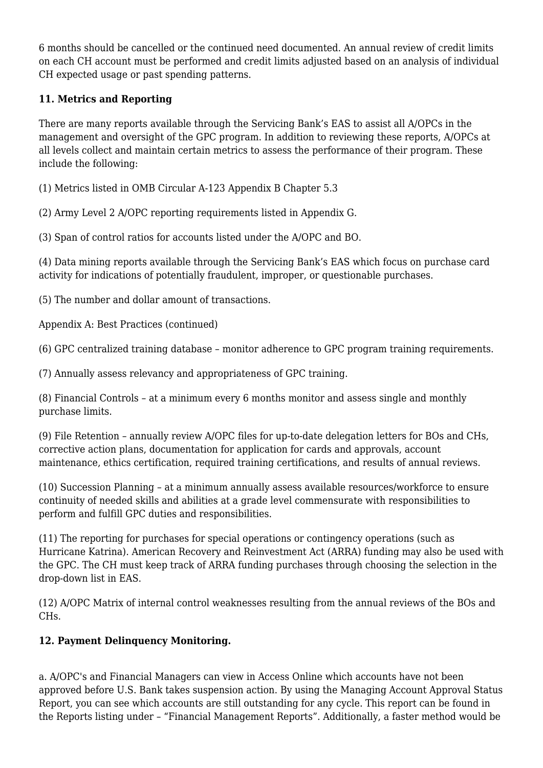6 months should be cancelled or the continued need documented. An annual review of credit limits on each CH account must be performed and credit limits adjusted based on an analysis of individual CH expected usage or past spending patterns.

# **11. Metrics and Reporting**

There are many reports available through the Servicing Bank's EAS to assist all A/OPCs in the management and oversight of the GPC program. In addition to reviewing these reports, A/OPCs at all levels collect and maintain certain metrics to assess the performance of their program. These include the following:

(1) Metrics listed in OMB Circular A-123 Appendix B Chapter 5.3

(2) Army Level 2 A/OPC reporting requirements listed in Appendix G.

(3) Span of control ratios for accounts listed under the A/OPC and BO.

(4) Data mining reports available through the Servicing Bank's EAS which focus on purchase card activity for indications of potentially fraudulent, improper, or questionable purchases.

(5) The number and dollar amount of transactions.

Appendix A: Best Practices (continued)

(6) GPC centralized training database – monitor adherence to GPC program training requirements.

(7) Annually assess relevancy and appropriateness of GPC training.

(8) Financial Controls – at a minimum every 6 months monitor and assess single and monthly purchase limits.

(9) File Retention – annually review A/OPC files for up-to-date delegation letters for BOs and CHs, corrective action plans, documentation for application for cards and approvals, account maintenance, ethics certification, required training certifications, and results of annual reviews.

(10) Succession Planning – at a minimum annually assess available resources/workforce to ensure continuity of needed skills and abilities at a grade level commensurate with responsibilities to perform and fulfill GPC duties and responsibilities.

(11) The reporting for purchases for special operations or contingency operations (such as Hurricane Katrina). American Recovery and Reinvestment Act (ARRA) funding may also be used with the GPC. The CH must keep track of ARRA funding purchases through choosing the selection in the drop-down list in EAS.

(12) A/OPC Matrix of internal control weaknesses resulting from the annual reviews of the BOs and CHs.

# **12. Payment Delinquency Monitoring.**

a. A/OPC's and Financial Managers can view in Access Online which accounts have not been approved before U.S. Bank takes suspension action. By using the Managing Account Approval Status Report, you can see which accounts are still outstanding for any cycle. This report can be found in the Reports listing under – "Financial Management Reports". Additionally, a faster method would be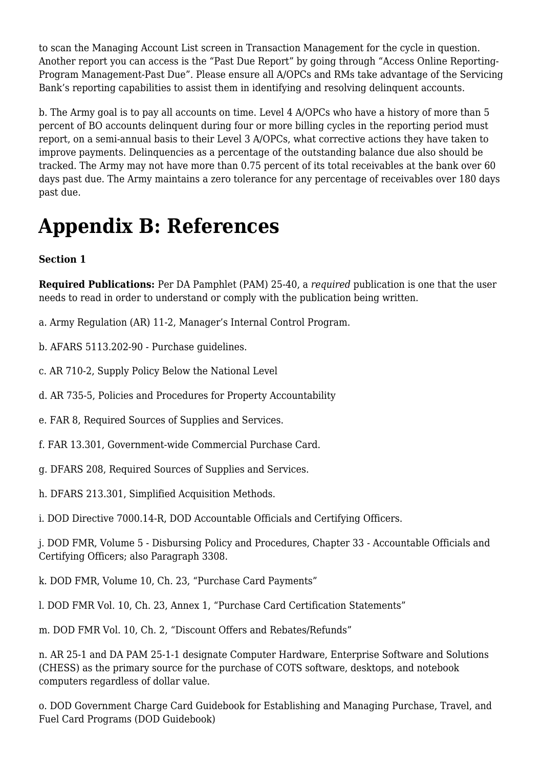to scan the Managing Account List screen in Transaction Management for the cycle in question. Another report you can access is the "Past Due Report" by going through "Access Online Reporting-Program Management-Past Due". Please ensure all A/OPCs and RMs take advantage of the Servicing Bank's reporting capabilities to assist them in identifying and resolving delinquent accounts.

b. The Army goal is to pay all accounts on time. Level 4 A/OPCs who have a history of more than 5 percent of BO accounts delinquent during four or more billing cycles in the reporting period must report, on a semi-annual basis to their Level 3 A/OPCs, what corrective actions they have taken to improve payments. Delinquencies as a percentage of the outstanding balance due also should be tracked. The Army may not have more than 0.75 percent of its total receivables at the bank over 60 days past due. The Army maintains a zero tolerance for any percentage of receivables over 180 days past due.

# **Appendix B: References**

**Section 1**

**Required Publications:** Per DA Pamphlet (PAM) 25-40, a *required* publication is one that the user needs to read in order to understand or comply with the publication being written.

a. Army Regulation (AR) 11-2, Manager's Internal Control Program.

b. AFARS 5113.202-90 - Purchase guidelines.

c. AR 710-2, Supply Policy Below the National Level

d. AR 735-5, Policies and Procedures for Property Accountability

e. FAR 8, Required Sources of Supplies and Services.

f. FAR 13.301, Government-wide Commercial Purchase Card.

g. DFARS 208, Required Sources of Supplies and Services.

h. DFARS 213.301, Simplified Acquisition Methods.

i. DOD Directive 7000.14-R, DOD Accountable Officials and Certifying Officers.

j. DOD FMR, Volume 5 - Disbursing Policy and Procedures, Chapter 33 - Accountable Officials and Certifying Officers; also Paragraph 3308.

k. DOD FMR, Volume 10, Ch. 23, "Purchase Card Payments"

l. DOD FMR Vol. 10, Ch. 23, Annex 1, "Purchase Card Certification Statements"

m. DOD FMR Vol. 10, Ch. 2, "Discount Offers and Rebates/Refunds"

n. AR 25-1 and DA PAM 25-1-1 designate Computer Hardware, Enterprise Software and Solutions (CHESS) as the primary source for the purchase of COTS software, desktops, and notebook computers regardless of dollar value.

o. DOD Government Charge Card Guidebook for Establishing and Managing Purchase, Travel, and Fuel Card Programs (DOD Guidebook)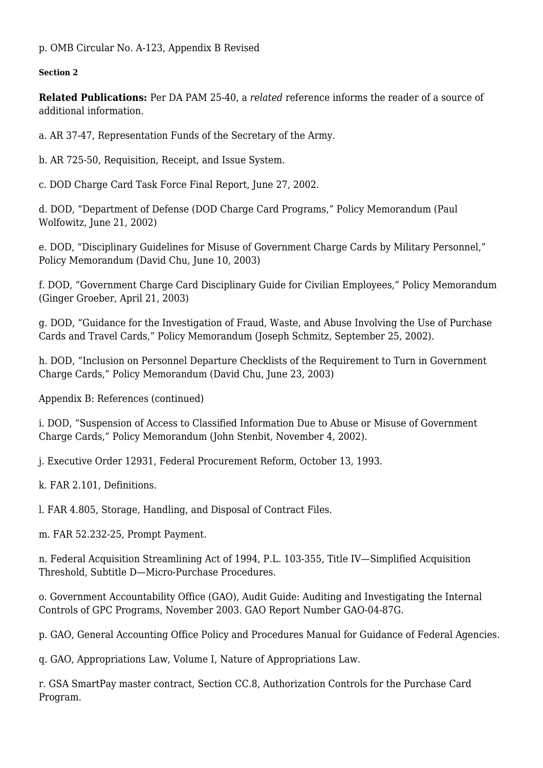p. OMB Circular No. A-123, Appendix B Revised

#### **Section 2**

**Related Publications:** Per DA PAM 25-40, a *related* reference informs the reader of a source of additional information.

a. AR 37-47, Representation Funds of the Secretary of the Army.

b. AR 725-50, Requisition, Receipt, and Issue System.

c. DOD Charge Card Task Force Final Report, June 27, 2002.

d. DOD, "Department of Defense (DOD Charge Card Programs," Policy Memorandum (Paul Wolfowitz, June 21, 2002)

e. DOD, "Disciplinary Guidelines for Misuse of Government Charge Cards by Military Personnel," Policy Memorandum (David Chu, June 10, 2003)

f. DOD, "Government Charge Card Disciplinary Guide for Civilian Employees," Policy Memorandum (Ginger Groeber, April 21, 2003)

g. DOD, "Guidance for the Investigation of Fraud, Waste, and Abuse Involving the Use of Purchase Cards and Travel Cards," Policy Memorandum (Joseph Schmitz, September 25, 2002).

h. DOD, "Inclusion on Personnel Departure Checklists of the Requirement to Turn in Government Charge Cards," Policy Memorandum (David Chu, June 23, 2003)

Appendix B: References (continued)

i. DOD, "Suspension of Access to Classified Information Due to Abuse or Misuse of Government Charge Cards," Policy Memorandum (John Stenbit, November 4, 2002).

j. Executive Order 12931, Federal Procurement Reform, October 13, 1993.

k. FAR 2.101, Definitions.

l. FAR 4.805, Storage, Handling, and Disposal of Contract Files.

m. FAR 52.232-25, Prompt Payment.

n. Federal Acquisition Streamlining Act of 1994, P.L. 103-355, Title IV—Simplified Acquisition Threshold, Subtitle D—Micro-Purchase Procedures.

o. Government Accountability Office (GAO), Audit Guide: Auditing and Investigating the Internal Controls of GPC Programs, November 2003. GAO Report Number GAO-04-87G.

p. GAO, General Accounting Office Policy and Procedures Manual for Guidance of Federal Agencies.

q. GAO, Appropriations Law, Volume I, Nature of Appropriations Law.

r. GSA SmartPay master contract, Section CC.8, Authorization Controls for the Purchase Card Program.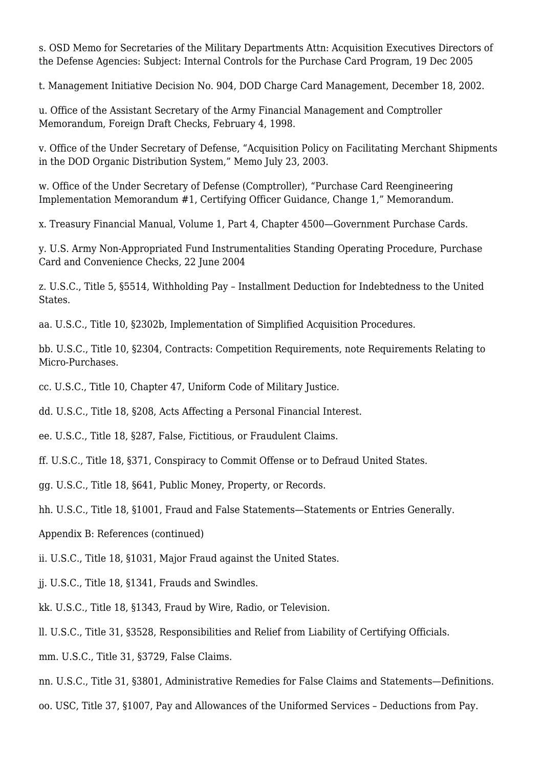s. OSD Memo for Secretaries of the Military Departments Attn: Acquisition Executives Directors of the Defense Agencies: Subject: Internal Controls for the Purchase Card Program, 19 Dec 2005

t. Management Initiative Decision No. 904, DOD Charge Card Management, December 18, 2002.

u. Office of the Assistant Secretary of the Army Financial Management and Comptroller Memorandum, Foreign Draft Checks, February 4, 1998.

v. Office of the Under Secretary of Defense, "Acquisition Policy on Facilitating Merchant Shipments in the DOD Organic Distribution System," Memo July 23, 2003.

w. Office of the Under Secretary of Defense (Comptroller), "Purchase Card Reengineering Implementation Memorandum #1, Certifying Officer Guidance, Change 1," Memorandum.

x. Treasury Financial Manual, Volume 1, Part 4, Chapter 4500—Government Purchase Cards.

y. U.S. Army Non-Appropriated Fund Instrumentalities Standing Operating Procedure, Purchase Card and Convenience Checks, 22 June 2004

z. U.S.C., Title 5, §5514, Withholding Pay – Installment Deduction for Indebtedness to the United States.

aa. U.S.C., Title 10, §2302b, Implementation of Simplified Acquisition Procedures.

bb. U.S.C., Title 10, §2304, Contracts: Competition Requirements, note Requirements Relating to Micro-Purchases.

cc. U.S.C., Title 10, Chapter 47, Uniform Code of Military Justice.

dd. U.S.C., Title 18, §208, Acts Affecting a Personal Financial Interest.

ee. U.S.C., Title 18, §287, False, Fictitious, or Fraudulent Claims.

ff. U.S.C., Title 18, §371, Conspiracy to Commit Offense or to Defraud United States.

gg. U.S.C., Title 18, §641, Public Money, Property, or Records.

hh. U.S.C., Title 18, §1001, Fraud and False Statements—Statements or Entries Generally.

Appendix B: References (continued)

ii. U.S.C., Title 18, §1031, Major Fraud against the United States.

jj. U.S.C., Title 18, §1341, Frauds and Swindles.

kk. U.S.C., Title 18, §1343, Fraud by Wire, Radio, or Television.

ll. U.S.C., Title 31, §3528, Responsibilities and Relief from Liability of Certifying Officials.

mm. U.S.C., Title 31, §3729, False Claims.

nn. U.S.C., Title 31, §3801, Administrative Remedies for False Claims and Statements—Definitions.

oo. USC, Title 37, §1007, Pay and Allowances of the Uniformed Services – Deductions from Pay.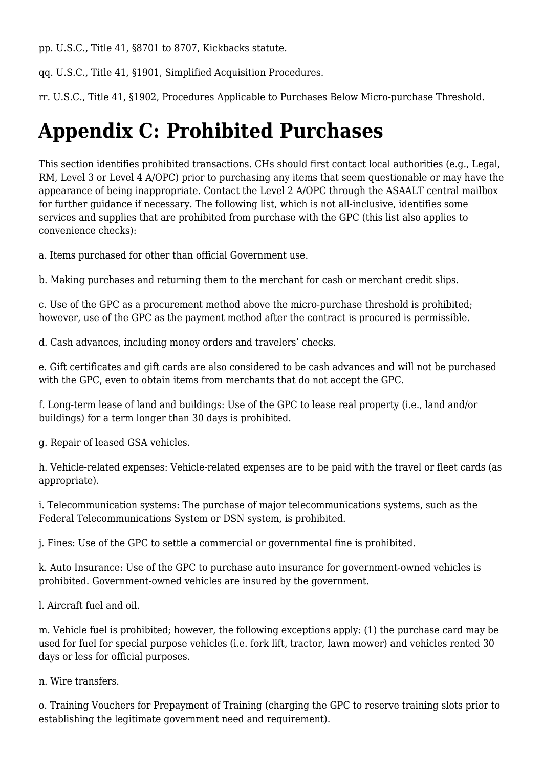pp. U.S.C., Title 41, §8701 to 8707, Kickbacks statute.

qq. U.S.C., Title 41, §1901, Simplified Acquisition Procedures.

rr. U.S.C., Title 41, §1902, Procedures Applicable to Purchases Below Micro-purchase Threshold.

# **Appendix C: Prohibited Purchases**

This section identifies prohibited transactions. CHs should first contact local authorities (e.g., Legal, RM, Level 3 or Level 4 A/OPC) prior to purchasing any items that seem questionable or may have the appearance of being inappropriate. Contact the Level 2 A/OPC through the ASAALT central mailbox for further guidance if necessary. The following list, which is not all-inclusive, identifies some services and supplies that are prohibited from purchase with the GPC (this list also applies to convenience checks):

a. Items purchased for other than official Government use.

b. Making purchases and returning them to the merchant for cash or merchant credit slips.

c. Use of the GPC as a procurement method above the micro-purchase threshold is prohibited; however, use of the GPC as the payment method after the contract is procured is permissible.

d. Cash advances, including money orders and travelers' checks.

e. Gift certificates and gift cards are also considered to be cash advances and will not be purchased with the GPC, even to obtain items from merchants that do not accept the GPC.

f. Long-term lease of land and buildings: Use of the GPC to lease real property (i.e., land and/or buildings) for a term longer than 30 days is prohibited.

g. Repair of leased GSA vehicles.

h. Vehicle-related expenses: Vehicle-related expenses are to be paid with the travel or fleet cards (as appropriate).

i. Telecommunication systems: The purchase of major telecommunications systems, such as the Federal Telecommunications System or DSN system, is prohibited.

j. Fines: Use of the GPC to settle a commercial or governmental fine is prohibited.

k. Auto Insurance: Use of the GPC to purchase auto insurance for government-owned vehicles is prohibited. Government-owned vehicles are insured by the government.

l. Aircraft fuel and oil.

m. Vehicle fuel is prohibited; however, the following exceptions apply: (1) the purchase card may be used for fuel for special purpose vehicles (i.e. fork lift, tractor, lawn mower) and vehicles rented 30 days or less for official purposes.

n. Wire transfers.

o. Training Vouchers for Prepayment of Training (charging the GPC to reserve training slots prior to establishing the legitimate government need and requirement).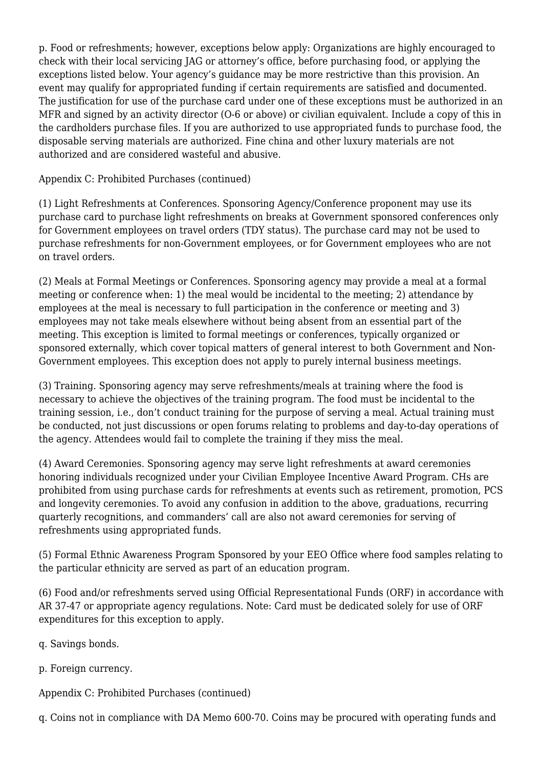p. Food or refreshments; however, exceptions below apply: Organizations are highly encouraged to check with their local servicing JAG or attorney's office, before purchasing food, or applying the exceptions listed below. Your agency's guidance may be more restrictive than this provision. An event may qualify for appropriated funding if certain requirements are satisfied and documented. The justification for use of the purchase card under one of these exceptions must be authorized in an MFR and signed by an activity director (O-6 or above) or civilian equivalent. Include a copy of this in the cardholders purchase files. If you are authorized to use appropriated funds to purchase food, the disposable serving materials are authorized. Fine china and other luxury materials are not authorized and are considered wasteful and abusive.

Appendix C: Prohibited Purchases (continued)

(1) Light Refreshments at Conferences. Sponsoring Agency/Conference proponent may use its purchase card to purchase light refreshments on breaks at Government sponsored conferences only for Government employees on travel orders (TDY status). The purchase card may not be used to purchase refreshments for non-Government employees, or for Government employees who are not on travel orders.

(2) Meals at Formal Meetings or Conferences. Sponsoring agency may provide a meal at a formal meeting or conference when: 1) the meal would be incidental to the meeting; 2) attendance by employees at the meal is necessary to full participation in the conference or meeting and 3) employees may not take meals elsewhere without being absent from an essential part of the meeting. This exception is limited to formal meetings or conferences, typically organized or sponsored externally, which cover topical matters of general interest to both Government and Non-Government employees. This exception does not apply to purely internal business meetings.

(3) Training. Sponsoring agency may serve refreshments/meals at training where the food is necessary to achieve the objectives of the training program. The food must be incidental to the training session, i.e., don't conduct training for the purpose of serving a meal. Actual training must be conducted, not just discussions or open forums relating to problems and day-to-day operations of the agency. Attendees would fail to complete the training if they miss the meal.

(4) Award Ceremonies. Sponsoring agency may serve light refreshments at award ceremonies honoring individuals recognized under your Civilian Employee Incentive Award Program. CHs are prohibited from using purchase cards for refreshments at events such as retirement, promotion, PCS and longevity ceremonies. To avoid any confusion in addition to the above, graduations, recurring quarterly recognitions, and commanders' call are also not award ceremonies for serving of refreshments using appropriated funds.

(5) Formal Ethnic Awareness Program Sponsored by your EEO Office where food samples relating to the particular ethnicity are served as part of an education program.

(6) Food and/or refreshments served using Official Representational Funds (ORF) in accordance with AR 37-47 or appropriate agency regulations. Note: Card must be dedicated solely for use of ORF expenditures for this exception to apply.

q. Savings bonds.

p. Foreign currency.

Appendix C: Prohibited Purchases (continued)

q. Coins not in compliance with DA Memo 600-70. Coins may be procured with operating funds and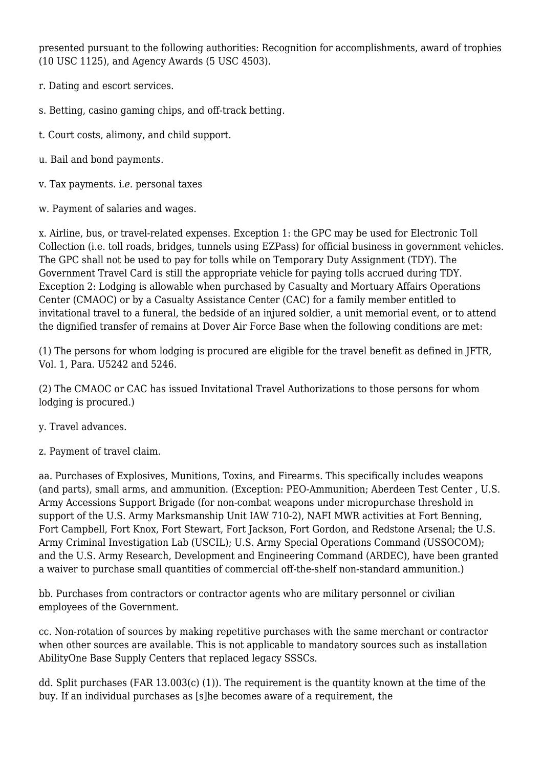presented pursuant to the following authorities: Recognition for accomplishments, award of trophies (10 USC 1125), and Agency Awards (5 USC 4503).

- r. Dating and escort services.
- s. Betting, casino gaming chips, and off-track betting.
- t. Court costs, alimony, and child support.
- u. Bail and bond payment*s.*
- v. Tax payments. i*.e.* personal taxes
- w. Payment of salaries and wages.

x. Airline, bus, or travel-related expenses. Exception 1: the GPC may be used for Electronic Toll Collection (i.e. toll roads, bridges, tunnels using EZPass) for official business in government vehicles. The GPC shall not be used to pay for tolls while on Temporary Duty Assignment (TDY). The Government Travel Card is still the appropriate vehicle for paying tolls accrued during TDY. Exception 2: Lodging is allowable when purchased by Casualty and Mortuary Affairs Operations Center (CMAOC) or by a Casualty Assistance Center (CAC) for a family member entitled to invitational travel to a funeral, the bedside of an injured soldier, a unit memorial event, or to attend the dignified transfer of remains at Dover Air Force Base when the following conditions are met:

(1) The persons for whom lodging is procured are eligible for the travel benefit as defined in JFTR, Vol. 1, Para. U5242 and 5246.

(2) The CMAOC or CAC has issued Invitational Travel Authorizations to those persons for whom lodging is procured.)

- y. Travel advances.
- z. Payment of travel claim.

aa. Purchases of Explosives, Munitions, Toxins, and Firearms. This specifically includes weapons (and parts), small arms, and ammunition. (Exception: PEO-Ammunition; Aberdeen Test Center , U.S. Army Accessions Support Brigade (for non-combat weapons under micropurchase threshold in support of the U.S. Army Marksmanship Unit IAW 710-2), NAFI MWR activities at Fort Benning, Fort Campbell, Fort Knox, Fort Stewart, Fort Jackson, Fort Gordon, and Redstone Arsenal; the U.S. Army Criminal Investigation Lab (USCIL); U.S. Army Special Operations Command (USSOCOM); and the U.S. Army Research, Development and Engineering Command (ARDEC), have been granted a waiver to purchase small quantities of commercial off-the-shelf non-standard ammunition.)

bb. Purchases from contractors or contractor agents who are military personnel or civilian employees of the Government.

cc. Non-rotation of sources by making repetitive purchases with the same merchant or contractor when other sources are available. This is not applicable to mandatory sources such as installation AbilityOne Base Supply Centers that replaced legacy SSSCs.

dd. Split purchases (FAR 13.003(c) (1)). The requirement is the quantity known at the time of the buy. If an individual purchases as [s]he becomes aware of a requirement, the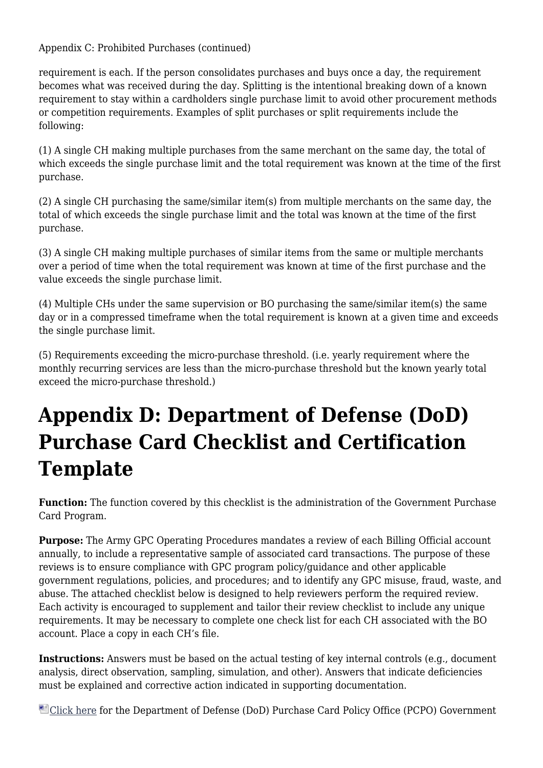Appendix C: Prohibited Purchases (continued)

requirement is each. If the person consolidates purchases and buys once a day, the requirement becomes what was received during the day. Splitting is the intentional breaking down of a known requirement to stay within a cardholders single purchase limit to avoid other procurement methods or competition requirements. Examples of split purchases or split requirements include the following:

(1) A single CH making multiple purchases from the same merchant on the same day, the total of which exceeds the single purchase limit and the total requirement was known at the time of the first purchase.

(2) A single CH purchasing the same/similar item(s) from multiple merchants on the same day, the total of which exceeds the single purchase limit and the total was known at the time of the first purchase.

(3) A single CH making multiple purchases of similar items from the same or multiple merchants over a period of time when the total requirement was known at time of the first purchase and the value exceeds the single purchase limit.

(4) Multiple CHs under the same supervision or BO purchasing the same/similar item(s) the same day or in a compressed timeframe when the total requirement is known at a given time and exceeds the single purchase limit.

(5) Requirements exceeding the micro-purchase threshold. (i.e. yearly requirement where the monthly recurring services are less than the micro-purchase threshold but the known yearly total exceed the micro-purchase threshold.)

# **Appendix D: Department of Defense (DoD) Purchase Card Checklist and Certification Template**

**Function:** The function covered by this checklist is the administration of the Government Purchase Card Program.

**Purpose:** The Army GPC Operating Procedures mandates a review of each Billing Official account annually, to include a representative sample of associated card transactions. The purpose of these reviews is to ensure compliance with GPC program policy/guidance and other applicable government regulations, policies, and procedures; and to identify any GPC misuse, fraud, waste, and abuse. The attached checklist below is designed to help reviewers perform the required review. Each activity is encouraged to supplement and tailor their review checklist to include any unique requirements. It may be necessary to complete one check list for each CH associated with the BO account. Place a copy in each CH's file.

**Instructions:** Answers must be based on the actual testing of key internal controls (e.g., document analysis, direct observation, sampling, simulation, and other). Answers that indicate deficiencies must be explained and corrective action indicated in supporting documentation.

[Click here](http://www.acq.osd.mil/dpap/pdi/pc/docs/DOD_PCPO_GPC_Review_Best-Practice_Checklist_2012.07.26_(editable).docx) for the Department of Defense (DoD) Purchase Card Policy Office (PCPO) Government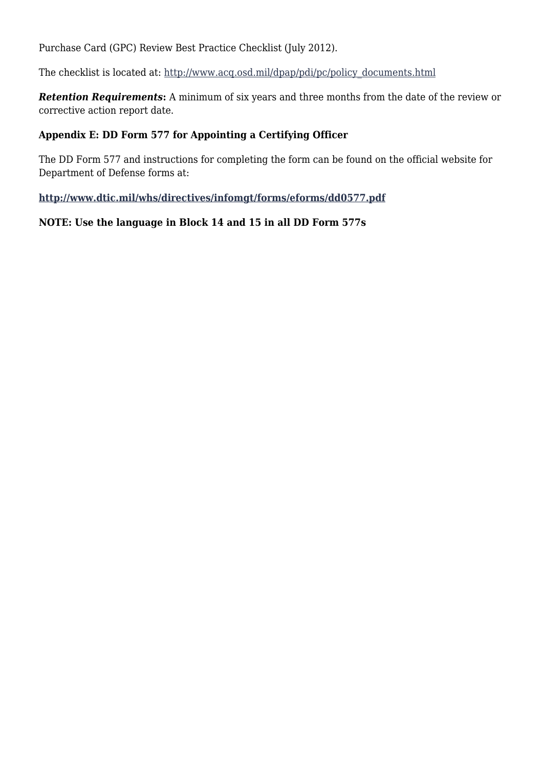Purchase Card (GPC) Review Best Practice Checklist (July 2012).

The checklist is located at: [http://www.acq.osd.mil/dpap/pdi/pc/policy\\_documents.html](http://www.acq.osd.mil/dpap/pdi/pc/policy_documents.html)

**Retention Requirements:** A minimum of six years and three months from the date of the review or corrective action report date.

#### **Appendix E: DD Form 577 for Appointing a Certifying Officer**

The DD Form 577 and instructions for completing the form can be found on the official website for Department of Defense forms at:

**<http://www.dtic.mil/whs/directives/infomgt/forms/eforms/dd0577.pdf>**

#### **NOTE: Use the language in Block 14 and 15 in all DD Form 577s**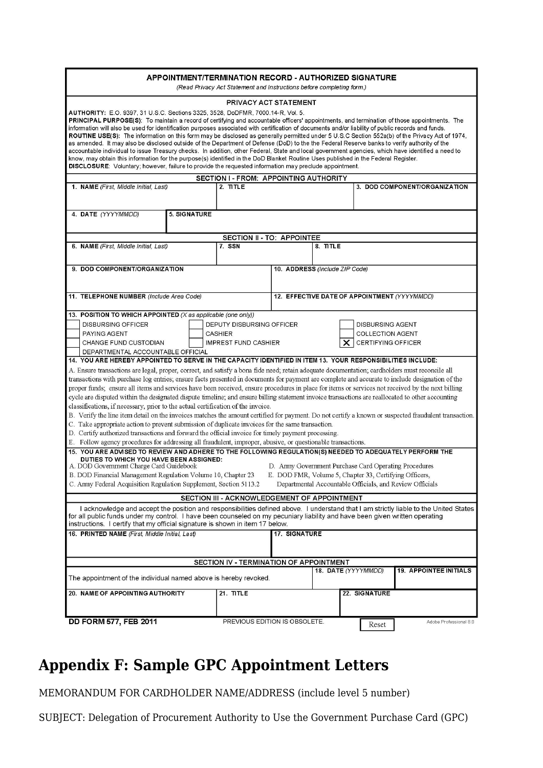|                                                                                                                                                                                                                                                                                                                                                                                                                                                                                                                                                                                                                                                                                                                                                                                                                                                                                                                                                                                                                                                                                                                                                                                                                                                                                                                                                                                                                                                                                                                                                                                                                                                                                                                                                    |              | APPOINTMENT/TERMINATION RECORD - AUTHORIZED SIGNATURE<br>(Read Privacy Act Statement and Instructions before completing form.) |                                |          |                                                                                                                                                                                                    |                               |
|----------------------------------------------------------------------------------------------------------------------------------------------------------------------------------------------------------------------------------------------------------------------------------------------------------------------------------------------------------------------------------------------------------------------------------------------------------------------------------------------------------------------------------------------------------------------------------------------------------------------------------------------------------------------------------------------------------------------------------------------------------------------------------------------------------------------------------------------------------------------------------------------------------------------------------------------------------------------------------------------------------------------------------------------------------------------------------------------------------------------------------------------------------------------------------------------------------------------------------------------------------------------------------------------------------------------------------------------------------------------------------------------------------------------------------------------------------------------------------------------------------------------------------------------------------------------------------------------------------------------------------------------------------------------------------------------------------------------------------------------------|--------------|--------------------------------------------------------------------------------------------------------------------------------|--------------------------------|----------|----------------------------------------------------------------------------------------------------------------------------------------------------------------------------------------------------|-------------------------------|
| <b>AUTHORITY:</b> E.O. 9397, 31 U.S.C. Sections 3325, 3528, DoDFMR, 7000.14-R, Vol. 5.<br>PRINCIPAL PURPOSE(S): To maintain a record of certifying and accountable officers' appointments, and termination of those appointments. The<br>information will also be used for identification purposes associated with certification of documents and/or liability of public records and funds.<br>ROUTINE USE(S): The information on this form may be disclosed as generally permitted under 5 U.S.C Section 552a(b) of the Privacy Act of 1974,<br>as amended. It may also be disclosed outside of the Department of Defense (DoD) to the the Federal Reserve banks to verify authority of the<br>accountable individual to issue Treasury checks. In addition, other Federal, State and local government agencies, which have identified a need to<br>know, may obtain this information for the purpose(s) identified in the DoD Blanket Routine Uses published in the Federal Register.<br>DISCLOSURE: Voluntary; however, failure to provide the requested information may preclude appointment.                                                                                                                                                                                                                                                                                                                                                                                                                                                                                                                                                                                                                                                  |              | PRIVACY ACT STATEMENT                                                                                                          |                                |          |                                                                                                                                                                                                    |                               |
| 1. NAME (First, Middle Initial, Last)                                                                                                                                                                                                                                                                                                                                                                                                                                                                                                                                                                                                                                                                                                                                                                                                                                                                                                                                                                                                                                                                                                                                                                                                                                                                                                                                                                                                                                                                                                                                                                                                                                                                                                              |              | <b>SECTION I - FROM: APPOINTING AUTHORITY</b><br>$2.$ TITLE                                                                    |                                |          |                                                                                                                                                                                                    | 3. DOD COMPONENT/ORGANIZATION |
|                                                                                                                                                                                                                                                                                                                                                                                                                                                                                                                                                                                                                                                                                                                                                                                                                                                                                                                                                                                                                                                                                                                                                                                                                                                                                                                                                                                                                                                                                                                                                                                                                                                                                                                                                    |              |                                                                                                                                |                                |          |                                                                                                                                                                                                    |                               |
| 4. DATE (YYYYMMDD)                                                                                                                                                                                                                                                                                                                                                                                                                                                                                                                                                                                                                                                                                                                                                                                                                                                                                                                                                                                                                                                                                                                                                                                                                                                                                                                                                                                                                                                                                                                                                                                                                                                                                                                                 | 5. SIGNATURE |                                                                                                                                |                                |          |                                                                                                                                                                                                    |                               |
|                                                                                                                                                                                                                                                                                                                                                                                                                                                                                                                                                                                                                                                                                                                                                                                                                                                                                                                                                                                                                                                                                                                                                                                                                                                                                                                                                                                                                                                                                                                                                                                                                                                                                                                                                    |              | <b>SECTION II - TO: APPOINTEE</b>                                                                                              |                                |          |                                                                                                                                                                                                    |                               |
| 6. NAME (First, Middle Initial, Last)                                                                                                                                                                                                                                                                                                                                                                                                                                                                                                                                                                                                                                                                                                                                                                                                                                                                                                                                                                                                                                                                                                                                                                                                                                                                                                                                                                                                                                                                                                                                                                                                                                                                                                              |              | 7. SSN                                                                                                                         |                                | 8. TITLE |                                                                                                                                                                                                    |                               |
| 9. DOD COMPONENT/ORGANIZATION                                                                                                                                                                                                                                                                                                                                                                                                                                                                                                                                                                                                                                                                                                                                                                                                                                                                                                                                                                                                                                                                                                                                                                                                                                                                                                                                                                                                                                                                                                                                                                                                                                                                                                                      |              |                                                                                                                                | 10. ADDRESS (Include ZIP Code) |          |                                                                                                                                                                                                    |                               |
| 11. TELEPHONE NUMBER (Include Area Code)                                                                                                                                                                                                                                                                                                                                                                                                                                                                                                                                                                                                                                                                                                                                                                                                                                                                                                                                                                                                                                                                                                                                                                                                                                                                                                                                                                                                                                                                                                                                                                                                                                                                                                           |              |                                                                                                                                |                                |          | 12. EFFECTIVE DATE OF APPOINTMENT (YYYYMMDD)                                                                                                                                                       |                               |
| 13. POSITION TO WHICH APPOINTED (X as applicable (one only))<br><b>DISBURSING OFFICER</b><br><b>PAYING AGENT</b><br>CHANGE FUND CUSTODIAN<br>DEPARTMENTAL ACCOUNTABLE OFFICIAL<br>14. YOU ARE HEREBY APPOINTED TO SERVE IN THE CAPACITY IDENTIFIED IN ITEM 13. YOUR RESPONSIBILITIES INCLUDE:<br>A. Ensure transactions are legal, proper, correct, and satisfy a bona fide need; retain adequate documentation; cardholders must reconcile all<br>transactions with purchase log entries; ensure facts presented in documents for payment are complete and accurate to include designation of the<br>proper funds; ensure all items and services have been received, ensure procedures in place for items or services not received by the next billing<br>cycle are disputed within the designated dispute timeline; and ensure billing statement invoice transactions are reallocated to other accounting<br>classifications, if necessary, prior to the actual certification of the invoice.<br>B. Verify the line item detail on the invoices matches the amount certified for payment. Do not certify a known or suspected fraudulent transaction.<br>C. Take appropriate action to prevent submission of duplicate invoices for the same transaction.<br>D. Certify authorized transactions and forward the official invoice for timely payment processing.<br>E. Follow agency procedures for addressing all fraudulent, improper, abusive, or questionable transactions.<br>15. YOU ARE ADVISED TO REVIEW AND ADHERE TO THE FOLLOWING REGULATION(S) NEEDED TO ADEQUATELY PERFORM THE<br>DUTIES TO WHICH YOU HAVE BEEN ASSIGNED:<br>A. DOD Government Charge Card Guidebook<br>B. DOD Financial Management Regulation Volume 10, Chapter 23 |              | DEPUTY DISBURSING OFFICER<br><b>CASHIER</b><br><b>IMPREST FUND CASHIER</b>                                                     |                                |          | <b>DISBURSING AGENT</b><br><b>COLLECTION AGENT</b><br><b>CERTIFYING OFFICER</b><br>D. Army Government Purchase Card Operating Procedures<br>E. DOD FMR, Volume 5, Chapter 33, Certifying Officers, |                               |
| C. Army Federal Acquisition Regulation Supplement, Section 5113.2                                                                                                                                                                                                                                                                                                                                                                                                                                                                                                                                                                                                                                                                                                                                                                                                                                                                                                                                                                                                                                                                                                                                                                                                                                                                                                                                                                                                                                                                                                                                                                                                                                                                                  |              |                                                                                                                                |                                |          | Departmental Accountable Officials, and Review Officials                                                                                                                                           |                               |
|                                                                                                                                                                                                                                                                                                                                                                                                                                                                                                                                                                                                                                                                                                                                                                                                                                                                                                                                                                                                                                                                                                                                                                                                                                                                                                                                                                                                                                                                                                                                                                                                                                                                                                                                                    |              | SECTION III - ACKNOWLEDGEMENT OF APPOINTMENT                                                                                   |                                |          |                                                                                                                                                                                                    |                               |
| I acknowledge and accept the position and responsibilities defined above. I understand that I am strictly liable to the United States<br>for all public funds under my control. I have been counseled on my pecuniary liability and have been given written operating<br>instructions. I certify that my official signature is shown in item 17 below.                                                                                                                                                                                                                                                                                                                                                                                                                                                                                                                                                                                                                                                                                                                                                                                                                                                                                                                                                                                                                                                                                                                                                                                                                                                                                                                                                                                             |              |                                                                                                                                |                                |          |                                                                                                                                                                                                    |                               |
| 16. PRINTED NAME (First. Middle Initial, Last)                                                                                                                                                                                                                                                                                                                                                                                                                                                                                                                                                                                                                                                                                                                                                                                                                                                                                                                                                                                                                                                                                                                                                                                                                                                                                                                                                                                                                                                                                                                                                                                                                                                                                                     |              |                                                                                                                                | 17. SIGNATURE                  |          |                                                                                                                                                                                                    |                               |
|                                                                                                                                                                                                                                                                                                                                                                                                                                                                                                                                                                                                                                                                                                                                                                                                                                                                                                                                                                                                                                                                                                                                                                                                                                                                                                                                                                                                                                                                                                                                                                                                                                                                                                                                                    |              | SECTION IV - TERMINATION OF APPOINTMENT                                                                                        |                                |          |                                                                                                                                                                                                    | <b>19. APPOINTEE INITIALS</b> |
| The appointment of the individual named above is hereby revoked.                                                                                                                                                                                                                                                                                                                                                                                                                                                                                                                                                                                                                                                                                                                                                                                                                                                                                                                                                                                                                                                                                                                                                                                                                                                                                                                                                                                                                                                                                                                                                                                                                                                                                   |              |                                                                                                                                |                                |          | 18. DATE (YYYYMMDD)                                                                                                                                                                                |                               |
| 20. NAME OF APPOINTING AUTHORITY                                                                                                                                                                                                                                                                                                                                                                                                                                                                                                                                                                                                                                                                                                                                                                                                                                                                                                                                                                                                                                                                                                                                                                                                                                                                                                                                                                                                                                                                                                                                                                                                                                                                                                                   |              | 21. TITLE                                                                                                                      |                                |          | 22. SIGNATURE                                                                                                                                                                                      |                               |
| <b>DD FORM 577, FEB 2011</b>                                                                                                                                                                                                                                                                                                                                                                                                                                                                                                                                                                                                                                                                                                                                                                                                                                                                                                                                                                                                                                                                                                                                                                                                                                                                                                                                                                                                                                                                                                                                                                                                                                                                                                                       |              | PREVIOUS EDITION IS OBSOLETE.                                                                                                  |                                |          | Reset                                                                                                                                                                                              | Adobe Professional 8.0        |

# **Appendix F: Sample GPC Appointment Letters**

MEMORANDUM FOR CARDHOLDER NAME/ADDRESS (include level 5 number)

SUBJECT: Delegation of Procurement Authority to Use the Government Purchase Card (GPC)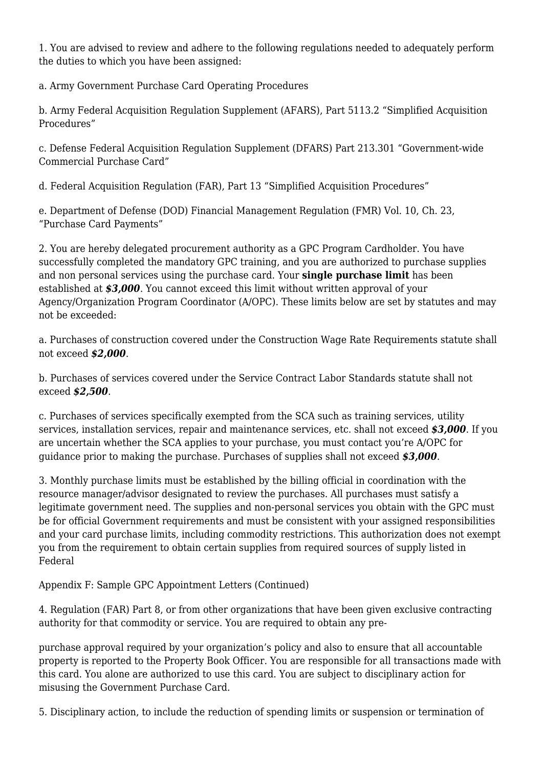1. You are advised to review and adhere to the following regulations needed to adequately perform the duties to which you have been assigned:

a. Army Government Purchase Card Operating Procedures

b. Army Federal Acquisition Regulation Supplement (AFARS), Part 5113.2 "Simplified Acquisition Procedures"

c. Defense Federal Acquisition Regulation Supplement (DFARS) Part 213.301 "Government-wide Commercial Purchase Card"

d. Federal Acquisition Regulation (FAR), Part 13 "Simplified Acquisition Procedures"

e. Department of Defense (DOD) Financial Management Regulation (FMR) Vol. 10, Ch. 23, "Purchase Card Payments"

2. You are hereby delegated procurement authority as a GPC Program Cardholder. You have successfully completed the mandatory GPC training, and you are authorized to purchase supplies and non personal services using the purchase card. Your **single purchase limit** has been established at *\$3,000*. You cannot exceed this limit without written approval of your Agency/Organization Program Coordinator (A/OPC). These limits below are set by statutes and may not be exceeded:

a. Purchases of construction covered under the Construction Wage Rate Requirements statute shall not exceed *\$2,000*.

b. Purchases of services covered under the Service Contract Labor Standards statute shall not exceed *\$2,500*.

c. Purchases of services specifically exempted from the SCA such as training services, utility services, installation services, repair and maintenance services, etc. shall not exceed *\$3,000*. If you are uncertain whether the SCA applies to your purchase, you must contact you're A/OPC for guidance prior to making the purchase. Purchases of supplies shall not exceed *\$3,000*.

3. Monthly purchase limits must be established by the billing official in coordination with the resource manager/advisor designated to review the purchases. All purchases must satisfy a legitimate government need. The supplies and non-personal services you obtain with the GPC must be for official Government requirements and must be consistent with your assigned responsibilities and your card purchase limits, including commodity restrictions. This authorization does not exempt you from the requirement to obtain certain supplies from required sources of supply listed in Federal

Appendix F: Sample GPC Appointment Letters (Continued)

4. Regulation (FAR) Part 8, or from other organizations that have been given exclusive contracting authority for that commodity or service. You are required to obtain any pre-

purchase approval required by your organization's policy and also to ensure that all accountable property is reported to the Property Book Officer. You are responsible for all transactions made with this card. You alone are authorized to use this card. You are subject to disciplinary action for misusing the Government Purchase Card.

5. Disciplinary action, to include the reduction of spending limits or suspension or termination of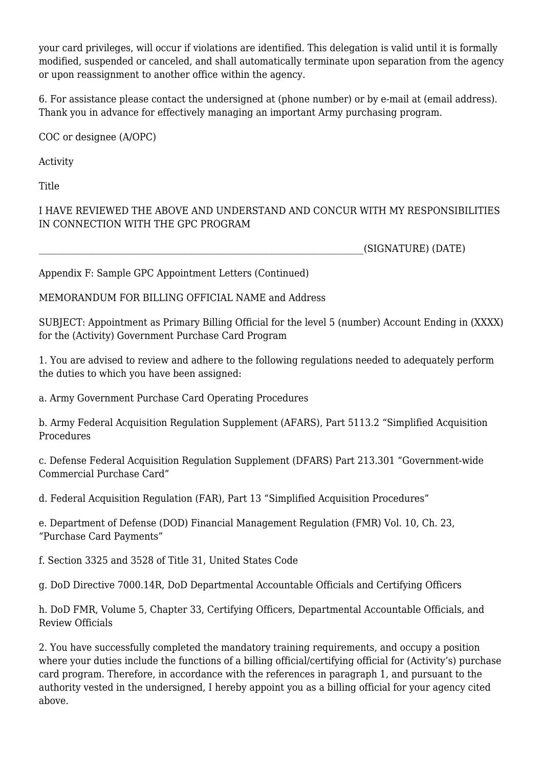your card privileges, will occur if violations are identified. This delegation is valid until it is formally modified, suspended or canceled, and shall automatically terminate upon separation from the agency or upon reassignment to another office within the agency.

6. For assistance please contact the undersigned at (phone number) or by e-mail at (email address). Thank you in advance for effectively managing an important Army purchasing program.

COC or designee (A/OPC)

Activity

**Title** 

I HAVE REVIEWED THE ABOVE AND UNDERSTAND AND CONCUR WITH MY RESPONSIBILITIES IN CONNECTION WITH THE GPC PROGRAM

\_\_\_\_\_\_\_\_\_\_\_\_\_\_\_\_\_\_\_\_\_\_\_\_\_\_\_\_\_\_\_\_\_\_\_\_\_\_\_\_\_\_\_\_\_\_\_\_\_\_\_\_\_\_\_\_\_\_\_\_\_\_\_\_\_\_\_\_\_\_\_\_(SIGNATURE) (DATE)

Appendix F: Sample GPC Appointment Letters (Continued)

MEMORANDUM FOR BILLING OFFICIAL NAME and Address

SUBJECT: Appointment as Primary Billing Official for the level 5 (number) Account Ending in (XXXX) for the (Activity) Government Purchase Card Program

1. You are advised to review and adhere to the following regulations needed to adequately perform the duties to which you have been assigned:

a. Army Government Purchase Card Operating Procedures

b. Army Federal Acquisition Regulation Supplement (AFARS), Part 5113.2 "Simplified Acquisition Procedures

c. Defense Federal Acquisition Regulation Supplement (DFARS) Part 213.301 "Government-wide Commercial Purchase Card"

d. Federal Acquisition Regulation (FAR), Part 13 "Simplified Acquisition Procedures"

e. Department of Defense (DOD) Financial Management Regulation (FMR) Vol. 10, Ch. 23, "Purchase Card Payments"

f. Section 3325 and 3528 of Title 31, United States Code

g. DoD Directive 7000.14R, DoD Departmental Accountable Officials and Certifying Officers

h. DoD FMR, Volume 5, Chapter 33, Certifying Officers, Departmental Accountable Officials, and Review Officials

2. You have successfully completed the mandatory training requirements, and occupy a position where your duties include the functions of a billing official/certifying official for (Activity's) purchase card program. Therefore, in accordance with the references in paragraph 1, and pursuant to the authority vested in the undersigned, I hereby appoint you as a billing official for your agency cited above.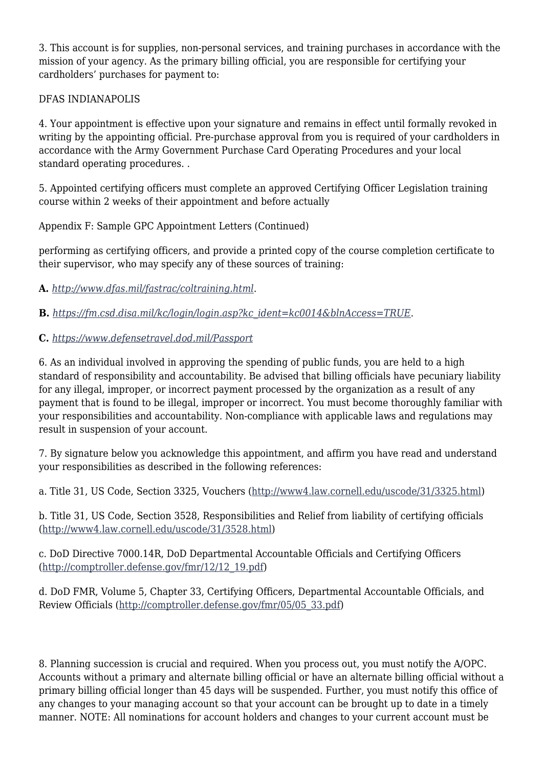3. This account is for supplies, non-personal services, and training purchases in accordance with the mission of your agency. As the primary billing official, you are responsible for certifying your cardholders' purchases for payment to:

#### DFAS INDIANAPOLIS

4. Your appointment is effective upon your signature and remains in effect until formally revoked in writing by the appointing official. Pre-purchase approval from you is required of your cardholders in accordance with the Army Government Purchase Card Operating Procedures and your local standard operating procedures. .

5. Appointed certifying officers must complete an approved Certifying Officer Legislation training course within 2 weeks of their appointment and before actually

Appendix F: Sample GPC Appointment Letters (Continued)

performing as certifying officers, and provide a printed copy of the course completion certificate to their supervisor, who may specify any of these sources of training:

**A.** *<http://www.dfas.mil/fastrac/coltraining.html>*.

**B.** *[https://fm.csd.disa.mil/kc/login/login.asp?kc\\_ident=kc0014&blnAccess=TRUE](https://fm.csd.disa.mil/kc/login/login.asp?kc_ident=kc0014&blnAccess=TRUE)*.

#### **C.** *<https://www.defensetravel.dod.mil/Passport>*

6. As an individual involved in approving the spending of public funds, you are held to a high standard of responsibility and accountability. Be advised that billing officials have pecuniary liability for any illegal, improper, or incorrect payment processed by the organization as a result of any payment that is found to be illegal, improper or incorrect. You must become thoroughly familiar with your responsibilities and accountability. Non-compliance with applicable laws and regulations may result in suspension of your account.

7. By signature below you acknowledge this appointment, and affirm you have read and understand your responsibilities as described in the following references:

a. Title 31, US Code, Section 3325, Vouchers [\(http://www4.law.cornell.edu/uscode/31/3325.html\)](http://www4.law.cornell.edu/uscode/31/3325.html)

b. Title 31, US Code, Section 3528, Responsibilities and Relief from liability of certifying officials [\(http://www4.law.cornell.edu/uscode/31/3528.html](http://www4.law.cornell.edu/uscode/31/3528.html))

c. DoD Directive 7000.14R, DoD Departmental Accountable Officials and Certifying Officers [\(http://comptroller.defense.gov/fmr/12/12\\_19.pdf\)](http://comptroller.defense.gov/fmr/12/12_19.pdf)

d. DoD FMR, Volume 5, Chapter 33, Certifying Officers, Departmental Accountable Officials, and Review Officials ([http://comptroller.defense.gov/fmr/05/05\\_33.pdf](http://comptroller.defense.gov/fmr/05/05_33.pdf))

8. Planning succession is crucial and required. When you process out, you must notify the A/OPC. Accounts without a primary and alternate billing official or have an alternate billing official without a primary billing official longer than 45 days will be suspended. Further, you must notify this office of any changes to your managing account so that your account can be brought up to date in a timely manner. NOTE: All nominations for account holders and changes to your current account must be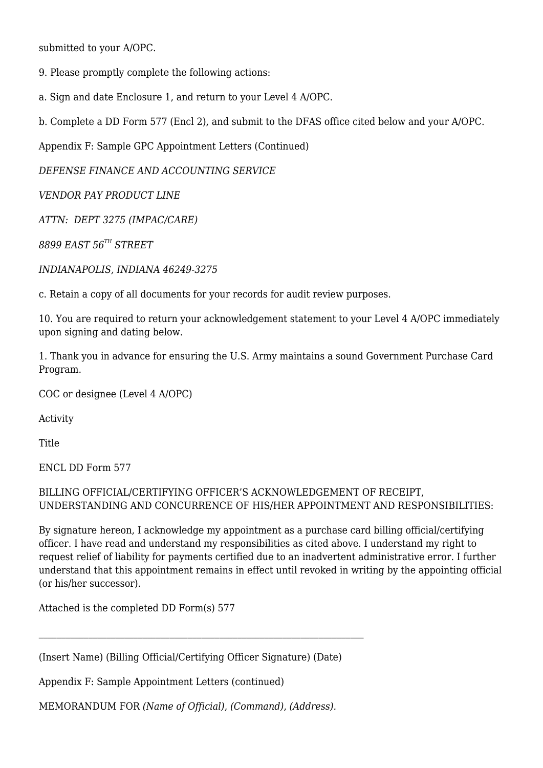submitted to your A/OPC.

- 9. Please promptly complete the following actions:
- a. Sign and date Enclosure 1, and return to your Level 4 A/OPC.
- b. Complete a DD Form 577 (Encl 2), and submit to the DFAS office cited below and your A/OPC.

Appendix F: Sample GPC Appointment Letters (Continued)

*DEFENSE FINANCE AND ACCOUNTING SERVICE*

*VENDOR PAY PRODUCT LINE*

*ATTN: DEPT 3275 (IMPAC/CARE)*

*8899 EAST 56TH STREET*

*INDIANAPOLIS, INDIANA 46249-3275*

c. Retain a copy of all documents for your records for audit review purposes.

10. You are required to return your acknowledgement statement to your Level 4 A/OPC immediately upon signing and dating below.

1. Thank you in advance for ensuring the U.S. Army maintains a sound Government Purchase Card Program.

COC or designee (Level 4 A/OPC)

Activity

**Title** 

ENCL DD Form 577

#### BILLING OFFICIAL/CERTIFYING OFFICER'S ACKNOWLEDGEMENT OF RECEIPT, UNDERSTANDING AND CONCURRENCE OF HIS/HER APPOINTMENT AND RESPONSIBILITIES:

By signature hereon, I acknowledge my appointment as a purchase card billing official/certifying officer. I have read and understand my responsibilities as cited above. I understand my right to request relief of liability for payments certified due to an inadvertent administrative error. I further understand that this appointment remains in effect until revoked in writing by the appointing official (or his/her successor).

Attached is the completed DD Form(s) 577

(Insert Name) (Billing Official/Certifying Officer Signature) (Date)

Appendix F: Sample Appointment Letters (continued)

MEMORANDUM FOR *(Name of Official)*, *(Command)*, *(Address).*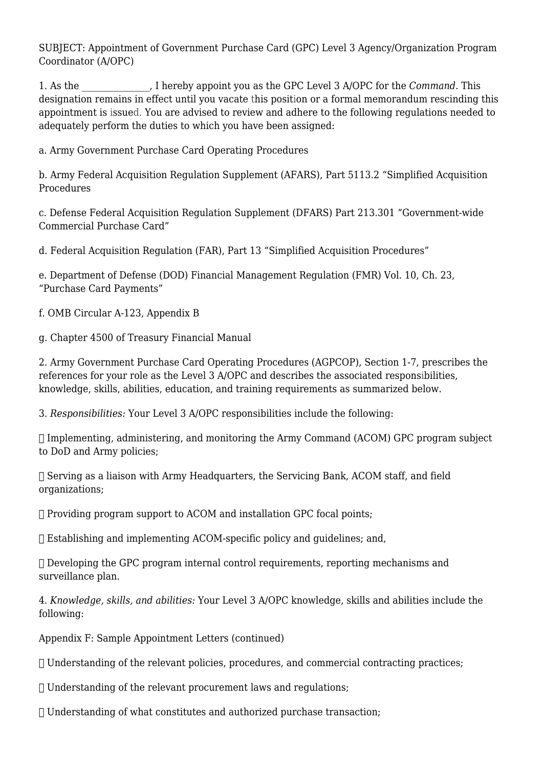SUBJECT: Appointment of Government Purchase Card (GPC) Level 3 Agency/Organization Program Coordinator (A/OPC)

1. As the \_\_\_\_\_\_\_\_\_\_\_\_\_\_\_, I hereby appoint you as the GPC Level 3 A/OPC for the *Command.* This designation remains in effect until you vacate this position or a formal memorandum rescinding this appointment is issued. You are advised to review and adhere to the following regulations needed to adequately perform the duties to which you have been assigned:

a. Army Government Purchase Card Operating Procedures

b. Army Federal Acquisition Regulation Supplement (AFARS), Part 5113.2 "Simplified Acquisition Procedures

c. Defense Federal Acquisition Regulation Supplement (DFARS) Part 213.301 "Government-wide Commercial Purchase Card"

d. Federal Acquisition Regulation (FAR), Part 13 "Simplified Acquisition Procedures"

e. Department of Defense (DOD) Financial Management Regulation (FMR) Vol. 10, Ch. 23, "Purchase Card Payments"

f. OMB Circular A-123, Appendix B

g. Chapter 4500 of Treasury Financial Manual

2. Army Government Purchase Card Operating Procedures (AGPCOP), Section 1-7, prescribes the references for your role as the Level 3 A/OPC and describes the associated responsibilities, knowledge, skills, abilities, education, and training requirements as summarized below.

3. *Responsibilities:* Your Level 3 A/OPC responsibilities include the following:

 $\Box$  Implementing, administering, and monitoring the Army Command (ACOM) GPC program subject to DoD and Army policies;

 $\Box$  Serving as a liaison with Army Headquarters, the Servicing Bank, ACOM staff, and field organizations;

 $\Box$  Providing program support to ACOM and installation GPC focal points;

Establishing and implementing ACOM-specific policy and guidelines; and,

 Developing the GPC program internal control requirements, reporting mechanisms and surveillance plan.

4. *Knowledge, skills, and abilities:* Your Level 3 A/OPC knowledge, skills and abilities include the following:

Appendix F: Sample Appointment Letters (continued)

Understanding of the relevant policies, procedures, and commercial contracting practices;

 $\Box$  Understanding of the relevant procurement laws and regulations;

Understanding of what constitutes and authorized purchase transaction;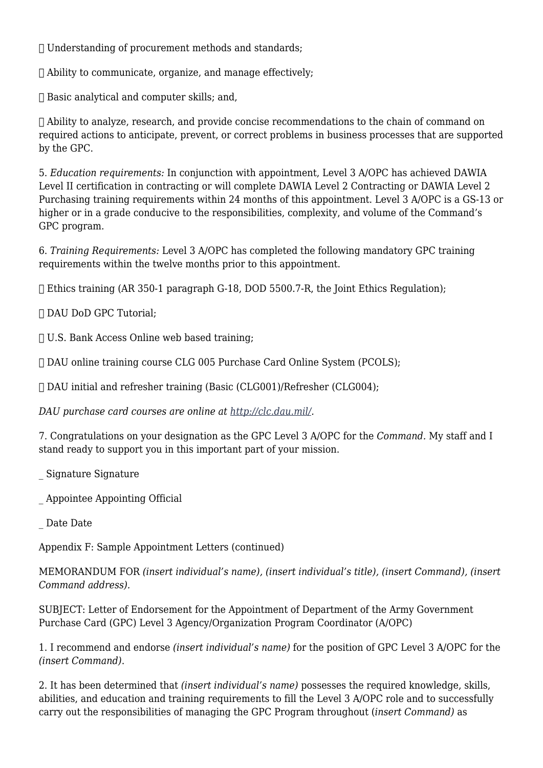Understanding of procurement methods and standards;

 $\Box$  Ability to communicate, organize, and manage effectively;

 $\Box$  Basic analytical and computer skills; and,

 Ability to analyze, research, and provide concise recommendations to the chain of command on required actions to anticipate, prevent, or correct problems in business processes that are supported by the GPC.

5. *Education requirements:* In conjunction with appointment, Level 3 A/OPC has achieved DAWIA Level II certification in contracting or will complete DAWIA Level 2 Contracting or DAWIA Level 2 Purchasing training requirements within 24 months of this appointment. Level 3 A/OPC is a GS-13 or higher or in a grade conducive to the responsibilities, complexity, and volume of the Command's GPC program.

6. *Training Requirements:* Level 3 A/OPC has completed the following mandatory GPC training requirements within the twelve months prior to this appointment.

 $\Box$  Ethics training (AR 350-1 paragraph G-18, DOD 5500.7-R, the Joint Ethics Regulation);

DAU DoD GPC Tutorial;

U.S. Bank Access Online web based training;

DAU online training course CLG 005 Purchase Card Online System (PCOLS);

DAU initial and refresher training (Basic (CLG001)/Refresher (CLG004);

*DAU purchase card courses are online at <http://clc.dau.mil/>.*

7. Congratulations on your designation as the GPC Level 3 A/OPC for the *Command.* My staff and I stand ready to support you in this important part of your mission.

\_ Signature Signature

\_ Appointee Appointing Official

Date Date

Appendix F: Sample Appointment Letters (continued)

MEMORANDUM FOR *(insert individual's name), (insert individual's title), (insert Command), (insert Command address).*

SUBJECT: Letter of Endorsement for the Appointment of Department of the Army Government Purchase Card (GPC) Level 3 Agency/Organization Program Coordinator (A/OPC)

1. I recommend and endorse *(insert individual's name)* for the position of GPC Level 3 A/OPC for the *(insert Command)*.

2. It has been determined that *(insert individual's name)* possesses the required knowledge, skills, abilities, and education and training requirements to fill the Level 3 A/OPC role and to successfully carry out the responsibilities of managing the GPC Program throughout (*insert Command)* as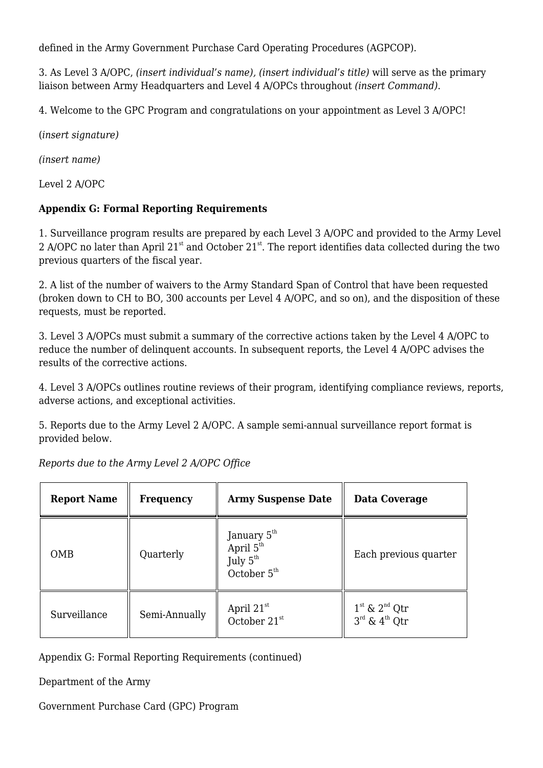defined in the Army Government Purchase Card Operating Procedures (AGPCOP).

3. As Level 3 A/OPC, *(insert individual's name), (insert individual's title)* will serve as the primary liaison between Army Headquarters and Level 4 A/OPCs throughout *(insert Command)*.

4. Welcome to the GPC Program and congratulations on your appointment as Level 3 A/OPC!

(*insert signature)*

*(insert name)*

Level 2 A/OPC

#### **Appendix G: Formal Reporting Requirements**

1. Surveillance program results are prepared by each Level 3 A/OPC and provided to the Army Level 2 A/OPC no later than April  $21<sup>st</sup>$  and October  $21<sup>st</sup>$ . The report identifies data collected during the two previous quarters of the fiscal year.

2. A list of the number of waivers to the Army Standard Span of Control that have been requested (broken down to CH to BO, 300 accounts per Level 4 A/OPC, and so on), and the disposition of these requests, must be reported.

3. Level 3 A/OPCs must submit a summary of the corrective actions taken by the Level 4 A/OPC to reduce the number of delinquent accounts. In subsequent reports, the Level 4 A/OPC advises the results of the corrective actions.

4. Level 3 A/OPCs outlines routine reviews of their program, identifying compliance reviews, reports, adverse actions, and exceptional activities.

5. Reports due to the Army Level 2 A/OPC. A sample semi-annual surveillance report format is provided below.

| <b>Report Name</b> | <b>Frequency</b> | <b>Army Suspense Date</b>                                                                 | Data Coverage                                              |
|--------------------|------------------|-------------------------------------------------------------------------------------------|------------------------------------------------------------|
| <b>OMB</b>         | Quarterly        | January 5 <sup>th</sup><br>April 5 <sup>th</sup><br>July 5 <sup>th</sup><br>October $5th$ | Each previous quarter                                      |
| Surveillance       | Semi-Annually    | April 21 $^{\rm st}$<br>October 21 <sup>st</sup>                                          | $1st$ & $2nd$ Qtr<br>$3^{\text{rd}}$ & $4^{\text{th}}$ Otr |

*Reports due to the Army Level 2 A/OPC Office*

Appendix G: Formal Reporting Requirements (continued)

Department of the Army

Government Purchase Card (GPC) Program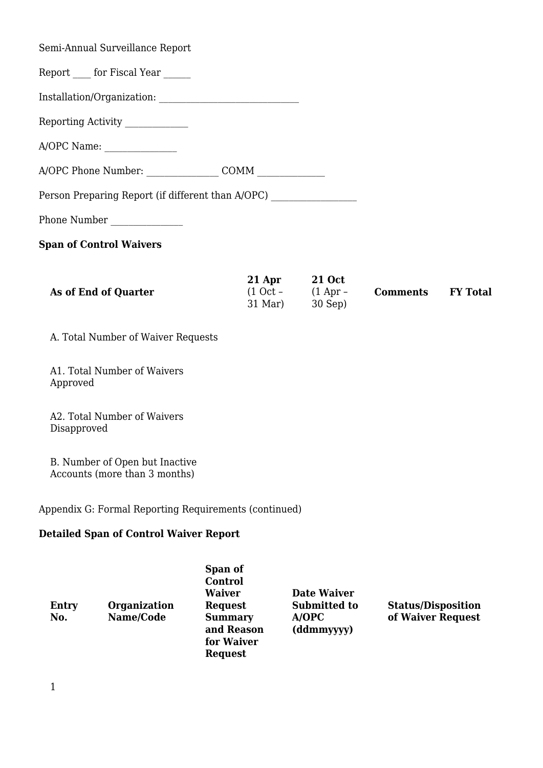| As of End of Quarter                                                              | 21 Apr 21 Oct<br>$(1 Oct - (1 Apr -$ | $\bf C$ |
|-----------------------------------------------------------------------------------|--------------------------------------|---------|
| <b>Span of Control Waivers</b>                                                    |                                      |         |
| Phone Number                                                                      |                                      |         |
| Person Preparing Report (if different than A/OPC) _______________________________ |                                      |         |
|                                                                                   |                                      |         |
| A/OPC Name:                                                                       |                                      |         |
| Reporting Activity ____________                                                   |                                      |         |
|                                                                                   |                                      |         |
| Report _____ for Fiscal Year ______                                               |                                      |         |
| Semi-Annual Surveillance Report                                                   |                                      |         |

(1 Oct – 31 Mar) (1 Apr – 30 Sep) **Comments FY Total**

A. Total Number of Waiver Requests

A1. Total Number of Waivers Approved

A2. Total Number of Waivers Disapproved

B. Number of Open but Inactive Accounts (more than 3 months)

Appendix G: Formal Reporting Requirements (continued)

#### **Detailed Span of Control Waiver Report**

| <b>Entry</b><br>No. | <b>Organization</b><br>Name/Code | Span of<br>Control<br><b>Waiver</b><br><b>Request</b><br><b>Summary</b><br>and Reason<br>for Waiver<br><b>Request</b> | <b>Date Waiver</b><br><b>Submitted to</b><br>A/OPC<br>(ddmmyyyy) | <b>Status/Disposition</b><br>of Waiver Request |
|---------------------|----------------------------------|-----------------------------------------------------------------------------------------------------------------------|------------------------------------------------------------------|------------------------------------------------|
|---------------------|----------------------------------|-----------------------------------------------------------------------------------------------------------------------|------------------------------------------------------------------|------------------------------------------------|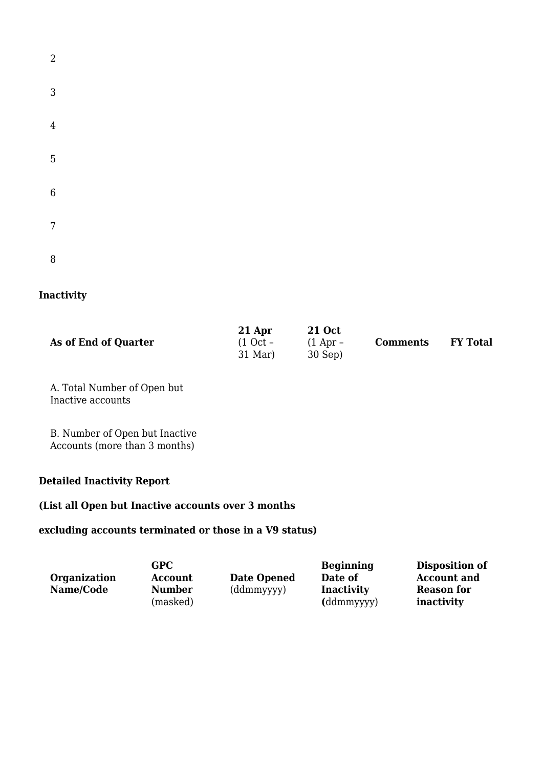| $\overline{a}$ |  |  |  |
|----------------|--|--|--|
| 3              |  |  |  |
| $\overline{4}$ |  |  |  |
| 5              |  |  |  |
| $\overline{6}$ |  |  |  |
| $\overline{7}$ |  |  |  |
| 8              |  |  |  |

# **Inactivity**

|                      | 21 Apr     | <b>21 Oct</b> |                 |                 |
|----------------------|------------|---------------|-----------------|-----------------|
| As of End of Quarter | $(1$ Oct – | $(1$ Apr –    | <b>Comments</b> | <b>FY Total</b> |
|                      | $31$ Mar)  | $30$ Sep)     |                 |                 |

A. Total Number of Open but Inactive accounts

B. Number of Open but Inactive Accounts (more than 3 months)

#### **Detailed Inactivity Report**

#### **(List all Open but Inactive accounts over 3 months**

#### **excluding accounts terminated or those in a V9 status)**

| <b>Organization</b> | GPC<br><b>Account</b>     | <b>Date Opened</b> | <b>Beginning</b><br>Date of     | Disposition of<br><b>Account and</b> |
|---------------------|---------------------------|--------------------|---------------------------------|--------------------------------------|
| Name/Code           | <b>Number</b><br>(masked) | (ddmmyyyy)         | <b>Inactivity</b><br>(ddmmyyyy) | <b>Reason for</b><br>inactivity      |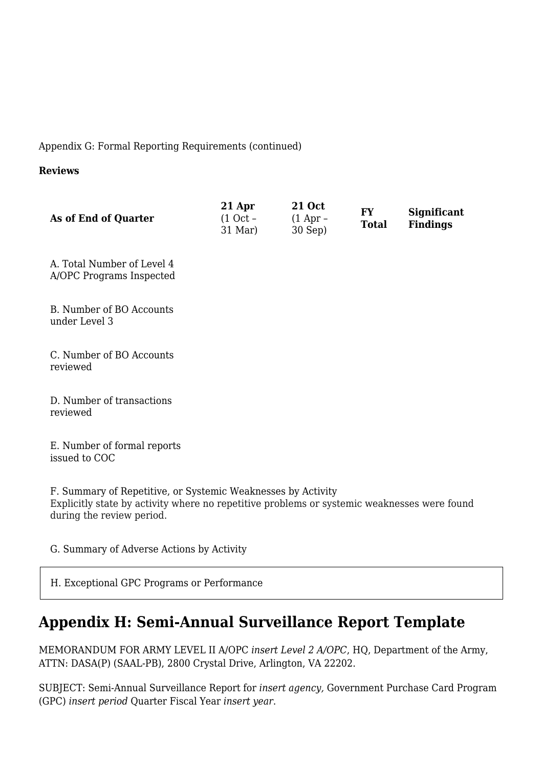Appendix G: Formal Reporting Requirements (continued)

#### **Reviews**

| <b>21 Oct</b><br>21 Apr<br>As of End of Quarter<br>$(1$ Oct –<br>$(1$ Apr –<br>$31$ Mar)<br>30 Sep) | <b>FY</b><br><b>Total</b> | <b>Significant</b><br><b>Findings</b> |
|-----------------------------------------------------------------------------------------------------|---------------------------|---------------------------------------|
|-----------------------------------------------------------------------------------------------------|---------------------------|---------------------------------------|

A. Total Number of Level 4 A/OPC Programs Inspected

B. Number of BO Accounts under Level 3

C. Number of BO Accounts reviewed

D. Number of transactions reviewed

E. Number of formal reports issued to COC

F. Summary of Repetitive, or Systemic Weaknesses by Activity Explicitly state by activity where no repetitive problems or systemic weaknesses were found during the review period.

G. Summary of Adverse Actions by Activity

H. Exceptional GPC Programs or Performance

# **Appendix H: Semi-Annual Surveillance Report Template**

MEMORANDUM FOR ARMY LEVEL II A/OPC *insert Level 2 A/OPC*, HQ, Department of the Army, ATTN: DASA(P) (SAAL-PB), 2800 Crystal Drive, Arlington, VA 22202.

SUBJECT: Semi-Annual Surveillance Report for *insert agency,* Government Purchase Card Program (GPC) *insert period* Quarter Fiscal Year *insert year*.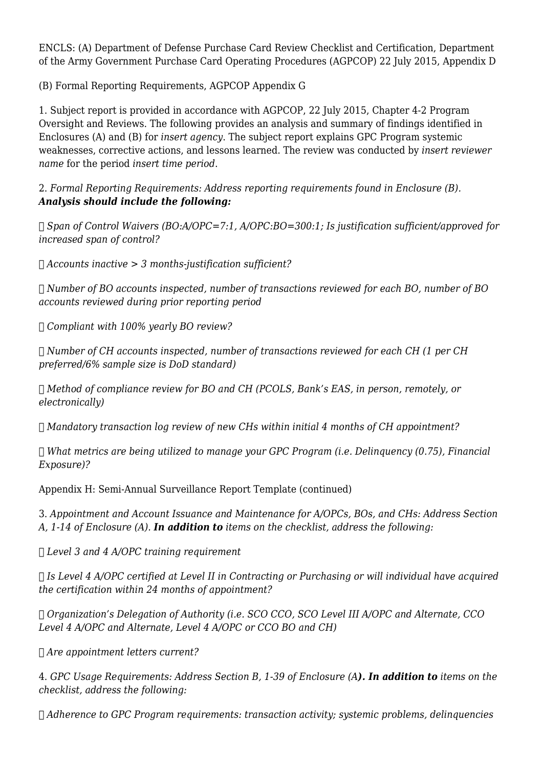ENCLS: (A) Department of Defense Purchase Card Review Checklist and Certification, Department of the Army Government Purchase Card Operating Procedures (AGPCOP) 22 July 2015, Appendix D

(B) Formal Reporting Requirements, AGPCOP Appendix G

1. Subject report is provided in accordance with AGPCOP, 22 July 2015, Chapter 4-2 Program Oversight and Reviews. The following provides an analysis and summary of findings identified in Enclosures (A) and (B) for *insert agency*. The subject report explains GPC Program systemic weaknesses, corrective actions, and lessons learned. The review was conducted by *insert reviewer name* for the period *insert time period*.

#### 2. *Formal Reporting Requirements: Address reporting requirements found in Enclosure (B). Analysis should include the following:*

 *Span of Control Waivers (BO:A/OPC=7:1, A/OPC:BO=300:1; Is justification sufficient/approved for increased span of control?*

*Accounts inactive > 3 months-justification sufficient?*

 *Number of BO accounts inspected, number of transactions reviewed for each BO, number of BO accounts reviewed during prior reporting period*

*Compliant with 100% yearly BO review?*

 *Number of CH accounts inspected, number of transactions reviewed for each CH (1 per CH preferred/6% sample size is DoD standard)*

 *Method of compliance review for BO and CH (PCOLS, Bank's EAS, in person, remotely, or electronically)*

*Mandatory transaction log review of new CHs within initial 4 months of CH appointment?*

 *What metrics are being utilized to manage your GPC Program (i.e. Delinquency (0.75), Financial Exposure)?*

Appendix H: Semi-Annual Surveillance Report Template (continued)

3. *Appointment and Account Issuance and Maintenance for A/OPCs, BOs, and CHs: Address Section A, 1-14 of Enclosure (A). In addition to items on the checklist, address the following:*

*Level 3 and 4 A/OPC training requirement*

 *Is Level 4 A/OPC certified at Level II in Contracting or Purchasing or will individual have acquired the certification within 24 months of appointment?*

 *Organization's Delegation of Authority (i.e. SCO CCO, SCO Level III A/OPC and Alternate, CCO Level 4 A/OPC and Alternate, Level 4 A/OPC or CCO BO and CH)*

*Are appointment letters current?*

4. *GPC Usage Requirements: Address Section B, 1-39 of Enclosure (A). In addition to items on the checklist, address the following:*

*Adherence to GPC Program requirements: transaction activity; systemic problems, delinquencies*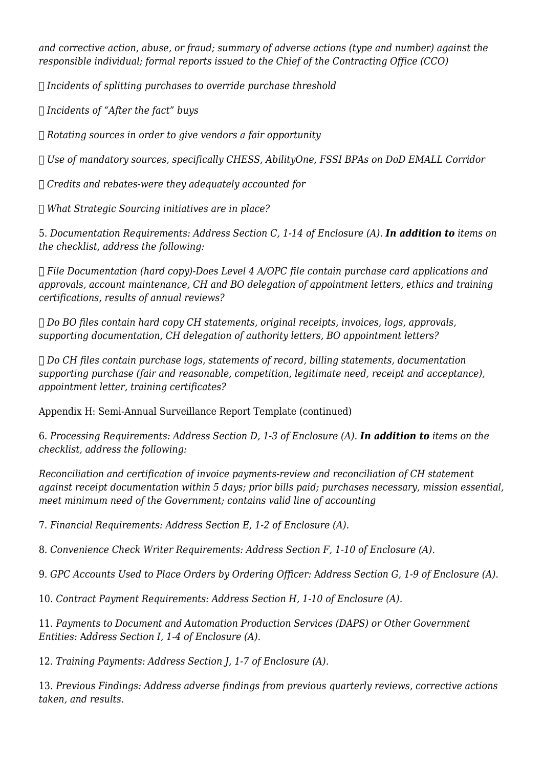*and corrective action, abuse, or fraud; summary of adverse actions (type and number) against the responsible individual; formal reports issued to the Chief of the Contracting Office (CCO)*

*Incidents of splitting purchases to override purchase threshold*

*Incidents of "After the fact" buys*

*Rotating sources in order to give vendors a fair opportunity*

*Use of mandatory sources, specifically CHESS, AbilityOne, FSSI BPAs on DoD EMALL Corridor*

*Credits and rebates-were they adequately accounted for*

*What Strategic Sourcing initiatives are in place?*

5. *Documentation Requirements: Address Section C, 1-14 of Enclosure (A). In addition to items on the checklist, address the following:*

 *File Documentation (hard copy)-Does Level 4 A/OPC file contain purchase card applications and approvals, account maintenance, CH and BO delegation of appointment letters, ethics and training certifications, results of annual reviews?*

 *Do BO files contain hard copy CH statements, original receipts, invoices, logs, approvals, supporting documentation, CH delegation of authority letters, BO appointment letters?*

 *Do CH files contain purchase logs, statements of record, billing statements, documentation supporting purchase (fair and reasonable, competition, legitimate need, receipt and acceptance), appointment letter, training certificates?*

Appendix H: Semi-Annual Surveillance Report Template (continued)

6. *Processing Requirements: Address Section D, 1-3 of Enclosure (A). In addition to items on the checklist, address the following:*

*Reconciliation and certification of invoice payments-review and reconciliation of CH statement against receipt documentation within 5 days; prior bills paid; purchases necessary, mission essential, meet minimum need of the Government; contains valid line of accounting*

7. *Financial Requirements: Address Section E, 1-2 of Enclosure (A).*

8. *Convenience Check Writer Requirements: Address Section F, 1-10 of Enclosure (A).*

9. *GPC Accounts Used to Place Orders by Ordering Officer:* A*ddress Section G, 1-9 of Enclosure (A).*

10. *Contract Payment Requirements: Address Section H, 1-10 of Enclosure (A).*

11. *Payments to Document and Automation Production Services (DAPS) or Other Government Entities:* A*ddress Section I, 1-4 of Enclosure (A).*

12. *Training Payments: Address Section J, 1-7 of Enclosure (A).*

13. *Previous Findings: Address adverse findings from previous quarterly reviews, corrective actions taken, and results.*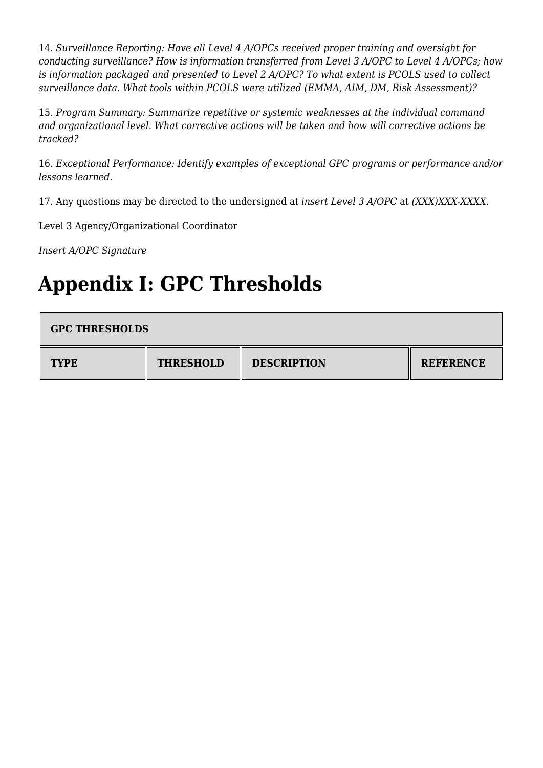14. *Surveillance Reporting: Have all Level 4 A/OPCs received proper training and oversight for conducting surveillance? How is information transferred from Level 3 A/OPC to Level 4 A/OPCs; how is information packaged and presented to Level 2 A/OPC? To what extent is PCOLS used to collect surveillance data. What tools within PCOLS were utilized (EMMA, AIM, DM, Risk Assessment)?*

15. *Program Summary: Summarize repetitive or systemic weaknesses at the individual command and organizational level. What corrective actions will be taken and how will corrective actions be tracked?*

16. *Exceptional Performance: Identify examples of exceptional GPC programs or performance and/or lessons learned.*

17. Any questions may be directed to the undersigned at *insert Level 3 A/OPC* at *(XXX)XXX-XXXX*.

Level 3 Agency/Organizational Coordinator

*Insert A/OPC Signature*

# **Appendix I: GPC Thresholds**

| <b>GPC THRESHOLDS</b> |                  |                    |                  |
|-----------------------|------------------|--------------------|------------------|
| <b>TYPE</b>           | <b>THRESHOLD</b> | <b>DESCRIPTION</b> | <b>REFERENCE</b> |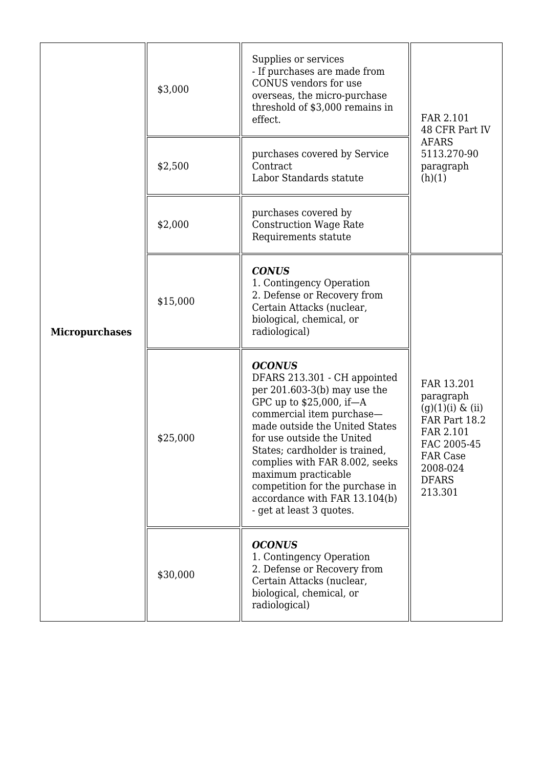| <b>Micropurchases</b> | \$3,000<br>\$2,500 | Supplies or services<br>- If purchases are made from<br>CONUS vendors for use<br>overseas, the micro-purchase<br>threshold of \$3,000 remains in<br>effect.<br>purchases covered by Service<br>Contract<br>Labor Standards statute                                                                                                                                                                  | FAR 2.101<br>48 CFR Part IV<br><b>AFARS</b><br>5113.270-90<br>paragraph                                                                               |
|-----------------------|--------------------|-----------------------------------------------------------------------------------------------------------------------------------------------------------------------------------------------------------------------------------------------------------------------------------------------------------------------------------------------------------------------------------------------------|-------------------------------------------------------------------------------------------------------------------------------------------------------|
|                       | \$2,000            | purchases covered by<br><b>Construction Wage Rate</b><br>Requirements statute                                                                                                                                                                                                                                                                                                                       | (h)(1)                                                                                                                                                |
|                       | \$15,000           | <b>CONUS</b><br>1. Contingency Operation<br>2. Defense or Recovery from<br>Certain Attacks (nuclear,<br>biological, chemical, or<br>radiological)                                                                                                                                                                                                                                                   |                                                                                                                                                       |
|                       | \$25,000           | <b>OCONUS</b><br>DFARS 213.301 - CH appointed<br>per $201.603-3(b)$ may use the<br>GPC up to \$25,000, if-A<br>commercial item purchase-<br>made outside the United States<br>for use outside the United<br>States; cardholder is trained,<br>complies with FAR 8.002, seeks<br>maximum practicable<br>competition for the purchase in<br>accordance with FAR 13.104(b)<br>- get at least 3 quotes. | FAR 13.201<br>paragraph<br>$(g)(1)(i) \& (ii)$<br>FAR Part 18.2<br>FAR 2.101<br>FAC 2005-45<br><b>FAR Case</b><br>2008-024<br><b>DFARS</b><br>213.301 |
|                       | \$30,000           | <b>OCONUS</b><br>1. Contingency Operation<br>2. Defense or Recovery from<br>Certain Attacks (nuclear,<br>biological, chemical, or<br>radiological)                                                                                                                                                                                                                                                  |                                                                                                                                                       |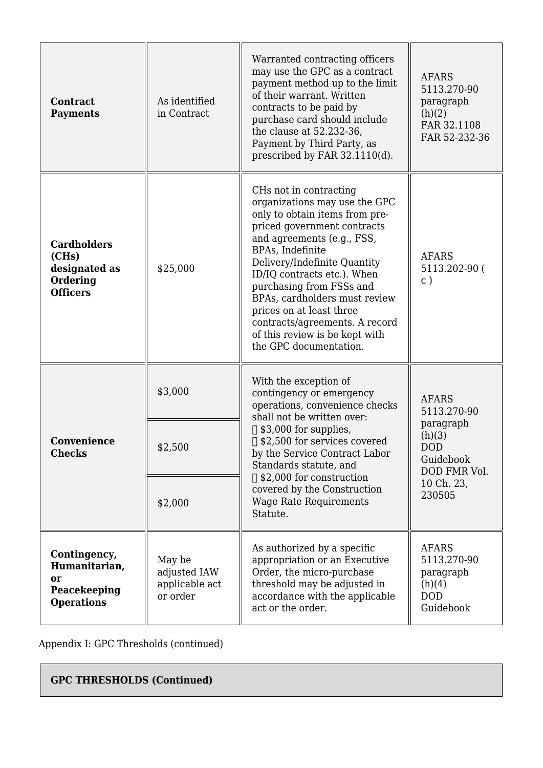| <b>Contract</b><br><b>Payments</b>                                          | As identified<br>in Contract                         | Warranted contracting officers<br>may use the GPC as a contract<br>payment method up to the limit<br>of their warrant. Written<br>contracts to be paid by<br>purchase card should include<br>the clause at 52.232-36,<br>Payment by Third Party, as<br>prescribed by FAR 32.1110(d).                                                                                                                                             | <b>AFARS</b><br>5113.270-90<br>paragraph<br>(h)(2)<br>FAR 32.1108<br>FAR 52-232-36 |
|-----------------------------------------------------------------------------|------------------------------------------------------|----------------------------------------------------------------------------------------------------------------------------------------------------------------------------------------------------------------------------------------------------------------------------------------------------------------------------------------------------------------------------------------------------------------------------------|------------------------------------------------------------------------------------|
| <b>Cardholders</b><br>(CHs)<br>designated as<br>Ordering<br><b>Officers</b> | \$25,000                                             | CHs not in contracting<br>organizations may use the GPC<br>only to obtain items from pre-<br>priced government contracts<br>and agreements (e.g., FSS,<br>BPAs, Indefinite<br>Delivery/Indefinite Quantity<br>ID/IQ contracts etc.). When<br>purchasing from FSSs and<br>BPAs, cardholders must review<br>prices on at least three<br>contracts/agreements. A record<br>of this review is be kept with<br>the GPC documentation. | <b>AFARS</b><br>5113.202-90 (<br>$\mathbf{C}$ )                                    |
|                                                                             | \$3,000                                              | With the exception of<br>contingency or emergency<br>operations, convenience checks<br>shall not be written over:<br>$\Box$ \$3,000 for supplies,                                                                                                                                                                                                                                                                                | <b>AFARS</b><br>5113.270-90<br>paragraph<br>(h)(3)                                 |
| Convenience<br><b>Checks</b>                                                | \$2,500<br>\$2,000                                   | □ \$2,500 for services covered<br>by the Service Contract Labor<br>Standards statute, and<br>$\Box$ \$2,000 for construction<br>covered by the Construction<br><b>Wage Rate Requirements</b>                                                                                                                                                                                                                                     | <b>DOD</b><br>Guidebook<br>DOD FMR Vol.<br>10 Ch. 23,<br>230505                    |
|                                                                             |                                                      | Statute.                                                                                                                                                                                                                                                                                                                                                                                                                         |                                                                                    |
| Contingency,<br>Humanitarian,<br>or<br>Peacekeeping<br><b>Operations</b>    | May be<br>adjusted IAW<br>applicable act<br>or order | As authorized by a specific<br>appropriation or an Executive<br>Order, the micro-purchase<br>threshold may be adjusted in<br>accordance with the applicable<br>act or the order.                                                                                                                                                                                                                                                 | <b>AFARS</b><br>5113.270-90<br>paragraph<br>(h)(4)<br><b>DOD</b><br>Guidebook      |

Appendix I: GPC Thresholds (continued)

# **GPC THRESHOLDS (Continued)**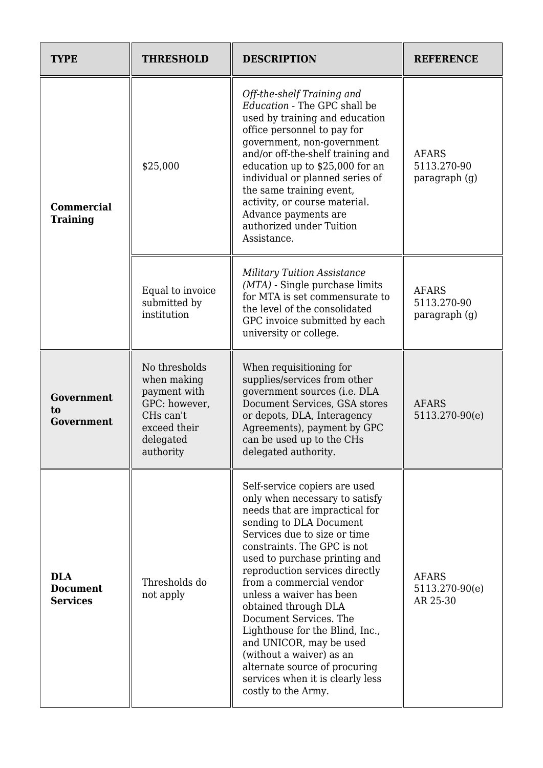| <b>TYPE</b>                                      | <b>THRESHOLD</b>                                                                                                     | <b>DESCRIPTION</b>                                                                                                                                                                                                                                                                                                                                                                                                                                                                                                                                             | <b>REFERENCE</b>                             |
|--------------------------------------------------|----------------------------------------------------------------------------------------------------------------------|----------------------------------------------------------------------------------------------------------------------------------------------------------------------------------------------------------------------------------------------------------------------------------------------------------------------------------------------------------------------------------------------------------------------------------------------------------------------------------------------------------------------------------------------------------------|----------------------------------------------|
| <b>Commercial</b><br><b>Training</b>             | \$25,000                                                                                                             | Off-the-shelf Training and<br>Education - The GPC shall be<br>used by training and education<br>office personnel to pay for<br>government, non-government<br>and/or off-the-shelf training and<br>education up to \$25,000 for an<br>individual or planned series of<br>the same training event,<br>activity, or course material.<br>Advance payments are<br>authorized under Tuition<br>Assistance.                                                                                                                                                           | <b>AFARS</b><br>5113.270-90<br>paragraph (g) |
|                                                  | Equal to invoice<br>submitted by<br>institution                                                                      | <b>Military Tuition Assistance</b><br>$(MTA)$ - Single purchase limits<br>for MTA is set commensurate to<br>the level of the consolidated<br>GPC invoice submitted by each<br>university or college.                                                                                                                                                                                                                                                                                                                                                           | <b>AFARS</b><br>5113.270-90<br>paragraph (q) |
| Government<br>to<br><b>Government</b>            | No thresholds<br>when making<br>payment with<br>GPC: however,<br>CHs can't<br>exceed their<br>delegated<br>authority | When requisitioning for<br>supplies/services from other<br>government sources (i.e. DLA<br>Document Services, GSA stores<br>or depots, DLA, Interagency<br>Agreements), payment by GPC<br>can be used up to the CHs<br>delegated authority.                                                                                                                                                                                                                                                                                                                    | <b>AFARS</b><br>5113.270-90(e)               |
| <b>DLA</b><br><b>Document</b><br><b>Services</b> | Thresholds do<br>not apply                                                                                           | Self-service copiers are used<br>only when necessary to satisfy<br>needs that are impractical for<br>sending to DLA Document<br>Services due to size or time<br>constraints. The GPC is not<br>used to purchase printing and<br>reproduction services directly<br>from a commercial vendor<br>unless a waiver has been<br>obtained through DLA<br>Document Services. The<br>Lighthouse for the Blind, Inc.,<br>and UNICOR, may be used<br>(without a waiver) as an<br>alternate source of procuring<br>services when it is clearly less<br>costly to the Army. | <b>AFARS</b><br>5113.270-90(e)<br>AR 25-30   |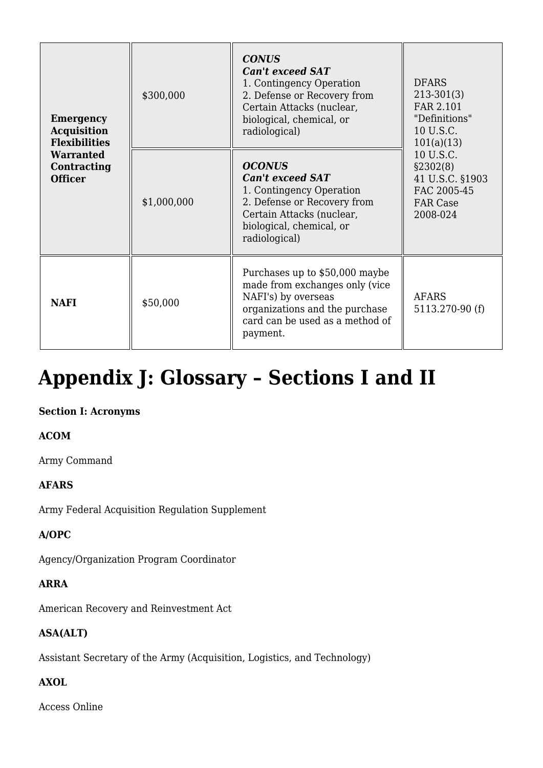| <b>Emergency</b><br><b>Acquisition</b><br><b>Flexibilities</b><br><b>Warranted</b><br>Contracting<br><b>Officer</b> | \$300,000   | <b>CONUS</b><br><b>Can't exceed SAT</b><br>1. Contingency Operation<br>2. Defense or Recovery from<br>Certain Attacks (nuclear,<br>biological, chemical, or<br>radiological)  | <b>DFARS</b><br>$213-301(3)$<br>FAR 2.101<br>"Definitions"<br>10 U.S.C.<br>101(a)(13)<br>10 U.S.C.<br>\$2302(8)<br>41 U.S.C. §1903<br>FAC 2005-45<br><b>FAR Case</b><br>2008-024 |
|---------------------------------------------------------------------------------------------------------------------|-------------|-------------------------------------------------------------------------------------------------------------------------------------------------------------------------------|----------------------------------------------------------------------------------------------------------------------------------------------------------------------------------|
|                                                                                                                     | \$1,000,000 | <b>OCONUS</b><br><b>Can't exceed SAT</b><br>1. Contingency Operation<br>2. Defense or Recovery from<br>Certain Attacks (nuclear,<br>biological, chemical, or<br>radiological) |                                                                                                                                                                                  |
| <b>NAFI</b>                                                                                                         | \$50,000    | Purchases up to \$50,000 maybe<br>made from exchanges only (vice<br>NAFI's) by overseas<br>organizations and the purchase<br>card can be used as a method of<br>payment.      | <b>AFARS</b><br>5113.270-90 (f)                                                                                                                                                  |

# **Appendix J: Glossary – Sections I and II**

#### **Section I: Acronyms**

# **ACOM**

Army Command

# **AFARS**

Army Federal Acquisition Regulation Supplement

#### **A/OPC**

Agency/Organization Program Coordinator

#### **ARRA**

American Recovery and Reinvestment Act

# **ASA(ALT)**

Assistant Secretary of the Army (Acquisition, Logistics, and Technology)

#### **AXOL**

Access Online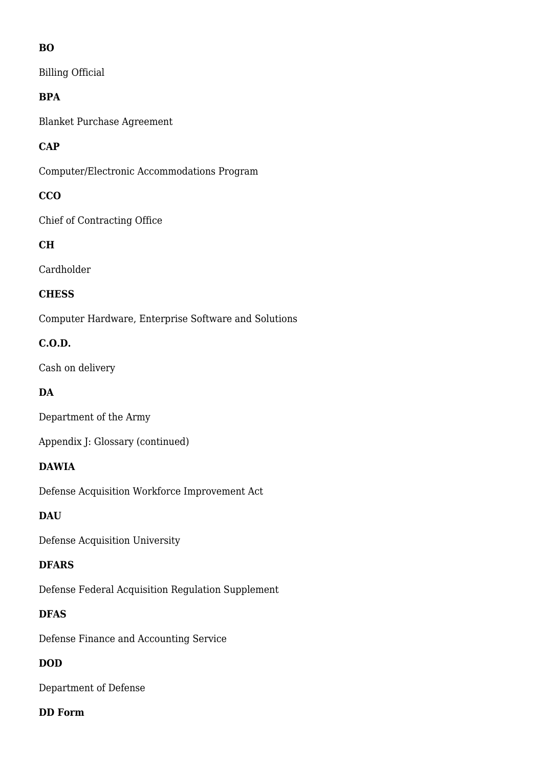# **BO**

Billing Official

# **BPA**

Blanket Purchase Agreement

# **CAP**

Computer/Electronic Accommodations Program

# **CCO**

Chief of Contracting Office

# **CH**

Cardholder

# **CHESS**

Computer Hardware, Enterprise Software and Solutions

# **C.O.D.**

Cash on delivery

# **DA**

Department of the Army

Appendix J: Glossary (continued)

# **DAWIA**

Defense Acquisition Workforce Improvement Act

# **DAU**

Defense Acquisition University

#### **DFARS**

Defense Federal Acquisition Regulation Supplement

# **DFAS**

Defense Finance and Accounting Service

# **DOD**

Department of Defense

#### **DD Form**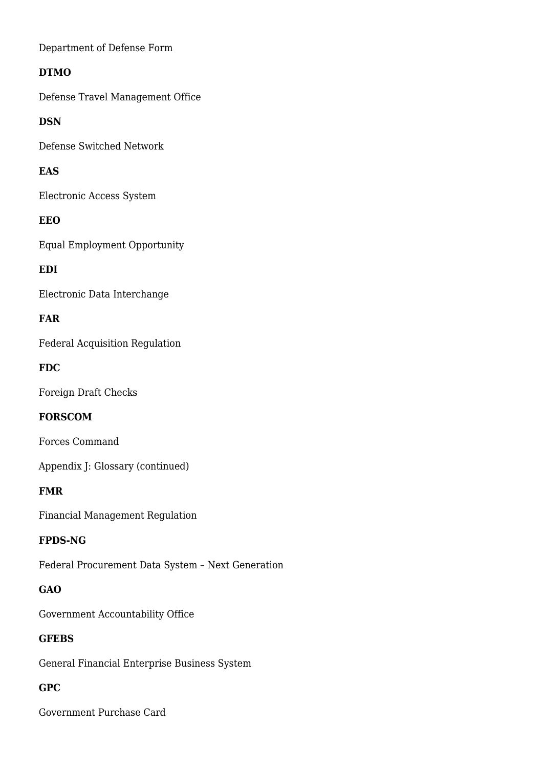Department of Defense Form

# **DTMO**

Defense Travel Management Office

# **DSN**

Defense Switched Network

# **EAS**

Electronic Access System

# **EEO**

Equal Employment Opportunity

# **EDI**

Electronic Data Interchange

# **FAR**

Federal Acquisition Regulation

# **FDC**

Foreign Draft Checks

# **FORSCOM**

Forces Command

Appendix J: Glossary (continued)

# **FMR**

Financial Management Regulation

# **FPDS-NG**

Federal Procurement Data System – Next Generation

# **GAO**

Government Accountability Office

# **GFEBS**

General Financial Enterprise Business System

# **GPC**

Government Purchase Card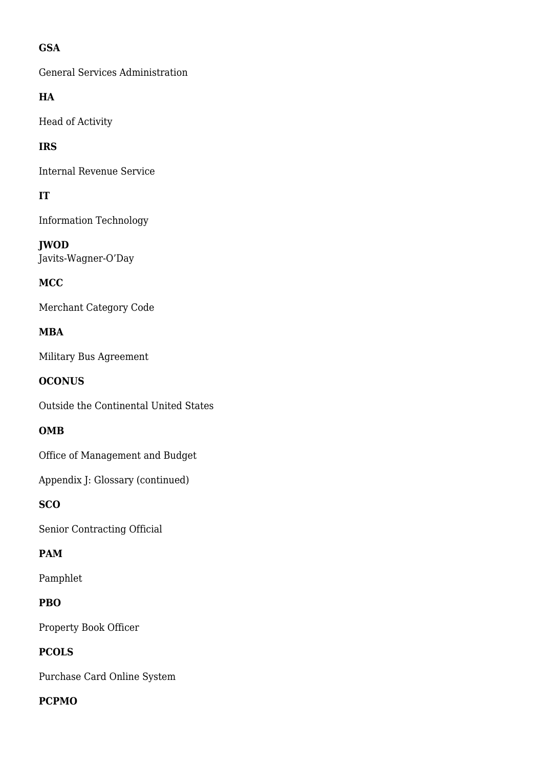# **GSA**

General Services Administration

# **HA**

Head of Activity

# **IRS**

Internal Revenue Service

# **IT**

Information Technology

**JWOD** Javits-Wagner-O'Day

# **MCC**

Merchant Category Code

# **MBA**

Military Bus Agreement

# **OCONUS**

Outside the Continental United States

# **OMB**

Office of Management and Budget

Appendix J: Glossary (continued)

# **SCO**

Senior Contracting Official

# **PAM**

Pamphlet

# **PBO**

Property Book Officer

# **PCOLS**

Purchase Card Online System

#### **PCPMO**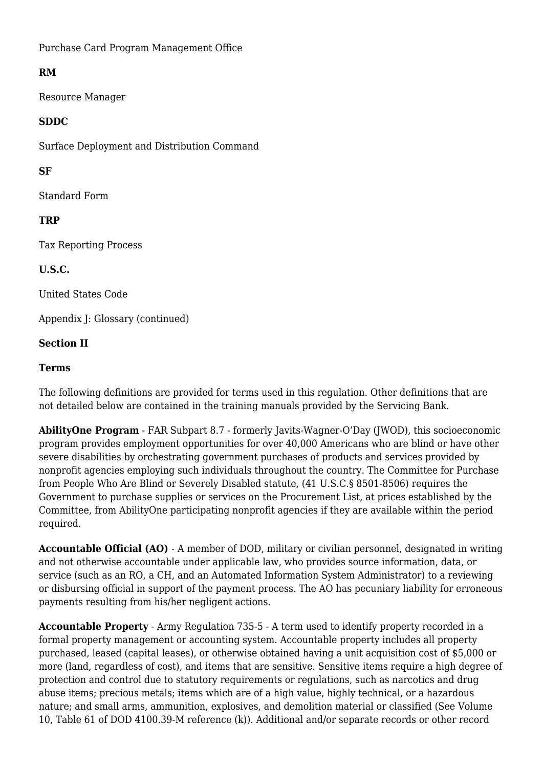Purchase Card Program Management Office

# **RM**

Resource Manager

#### **SDDC**

Surface Deployment and Distribution Command

# **SF**

Standard Form

# **TRP**

Tax Reporting Process

**U.S.C.**

United States Code

Appendix J: Glossary (continued)

# **Section II**

#### **Terms**

The following definitions are provided for terms used in this regulation. Other definitions that are not detailed below are contained in the training manuals provided by the Servicing Bank.

**AbilityOne Program** - FAR Subpart 8.7 - formerly Javits-Wagner-O'Day (JWOD), this socioeconomic program provides employment opportunities for over 40,000 Americans who are blind or have other severe disabilities by orchestrating government purchases of products and services provided by nonprofit agencies employing such individuals throughout the country. The Committee for Purchase from People Who Are Blind or Severely Disabled statute, (41 U.S.C.§ 8501-8506) requires the Government to purchase supplies or services on the Procurement List, at prices established by the Committee, from AbilityOne participating nonprofit agencies if they are available within the period required.

**Accountable Official (AO)** - A member of DOD, military or civilian personnel, designated in writing and not otherwise accountable under applicable law, who provides source information, data, or service (such as an RO, a CH, and an Automated Information System Administrator) to a reviewing or disbursing official in support of the payment process. The AO has pecuniary liability for erroneous payments resulting from his/her negligent actions.

**Accountable Property** - Army Regulation 735-5 - A term used to identify property recorded in a formal property management or accounting system. Accountable property includes all property purchased, leased (capital leases), or otherwise obtained having a unit acquisition cost of \$5,000 or more (land, regardless of cost), and items that are sensitive. Sensitive items require a high degree of protection and control due to statutory requirements or regulations, such as narcotics and drug abuse items; precious metals; items which are of a high value, highly technical, or a hazardous nature; and small arms, ammunition, explosives, and demolition material or classified (See Volume 10, Table 61 of DOD 4100.39-M reference (k)). Additional and/or separate records or other record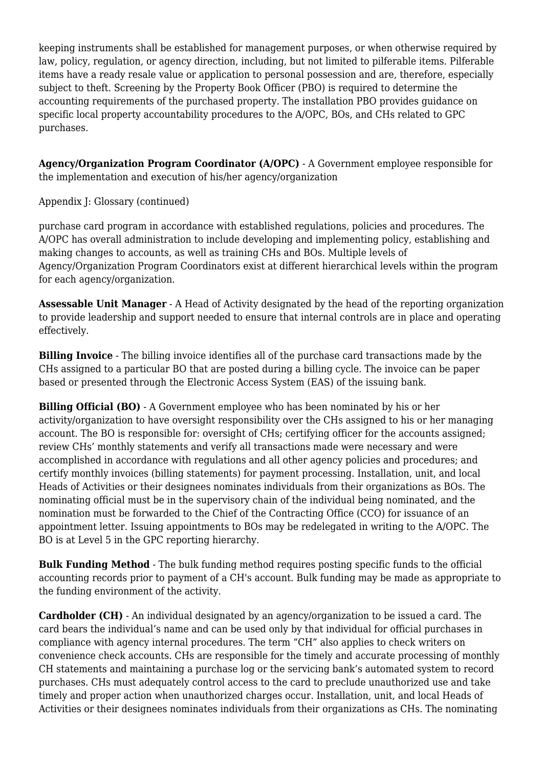keeping instruments shall be established for management purposes, or when otherwise required by law, policy, regulation, or agency direction, including, but not limited to pilferable items. Pilferable items have a ready resale value or application to personal possession and are, therefore, especially subject to theft. Screening by the Property Book Officer (PBO) is required to determine the accounting requirements of the purchased property. The installation PBO provides guidance on specific local property accountability procedures to the A/OPC, BOs, and CHs related to GPC purchases.

**Agency/Organization Program Coordinator (A/OPC)** - A Government employee responsible for the implementation and execution of his/her agency/organization

Appendix J: Glossary (continued)

purchase card program in accordance with established regulations, policies and procedures. The A/OPC has overall administration to include developing and implementing policy, establishing and making changes to accounts, as well as training CHs and BOs. Multiple levels of Agency/Organization Program Coordinators exist at different hierarchical levels within the program for each agency/organization.

**Assessable Unit Manager** - A Head of Activity designated by the head of the reporting organization to provide leadership and support needed to ensure that internal controls are in place and operating effectively.

**Billing Invoice** - The billing invoice identifies all of the purchase card transactions made by the CHs assigned to a particular BO that are posted during a billing cycle. The invoice can be paper based or presented through the Electronic Access System (EAS) of the issuing bank.

**Billing Official (BO)** - A Government employee who has been nominated by his or her activity/organization to have oversight responsibility over the CHs assigned to his or her managing account. The BO is responsible for: oversight of CHs; certifying officer for the accounts assigned; review CHs' monthly statements and verify all transactions made were necessary and were accomplished in accordance with regulations and all other agency policies and procedures; and certify monthly invoices (billing statements) for payment processing. Installation, unit, and local Heads of Activities or their designees nominates individuals from their organizations as BOs. The nominating official must be in the supervisory chain of the individual being nominated, and the nomination must be forwarded to the Chief of the Contracting Office (CCO) for issuance of an appointment letter. Issuing appointments to BOs may be redelegated in writing to the A/OPC. The BO is at Level 5 in the GPC reporting hierarchy.

**Bulk Funding Method** - The bulk funding method requires posting specific funds to the official accounting records prior to payment of a CH's account. Bulk funding may be made as appropriate to the funding environment of the activity.

**Cardholder (CH)** - An individual designated by an agency/organization to be issued a card. The card bears the individual's name and can be used only by that individual for official purchases in compliance with agency internal procedures. The term "CH" also applies to check writers on convenience check accounts. CHs are responsible for the timely and accurate processing of monthly CH statements and maintaining a purchase log or the servicing bank's automated system to record purchases. CHs must adequately control access to the card to preclude unauthorized use and take timely and proper action when unauthorized charges occur. Installation, unit, and local Heads of Activities or their designees nominates individuals from their organizations as CHs. The nominating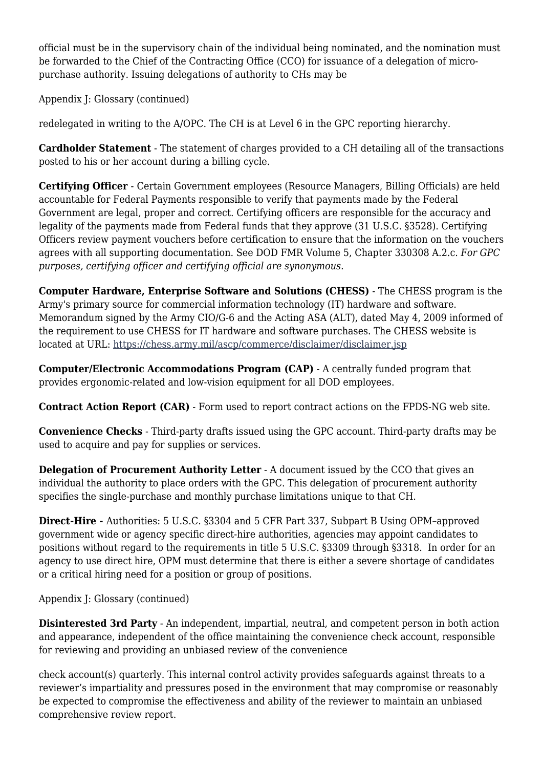official must be in the supervisory chain of the individual being nominated, and the nomination must be forwarded to the Chief of the Contracting Office (CCO) for issuance of a delegation of micropurchase authority. Issuing delegations of authority to CHs may be

Appendix J: Glossary (continued)

redelegated in writing to the A/OPC. The CH is at Level 6 in the GPC reporting hierarchy.

**Cardholder Statement** - The statement of charges provided to a CH detailing all of the transactions posted to his or her account during a billing cycle.

**Certifying Officer** - Certain Government employees (Resource Managers, Billing Officials) are held accountable for Federal Payments responsible to verify that payments made by the Federal Government are legal, proper and correct. Certifying officers are responsible for the accuracy and legality of the payments made from Federal funds that they approve (31 U.S.C. §3528). Certifying Officers review payment vouchers before certification to ensure that the information on the vouchers agrees with all supporting documentation. See DOD FMR Volume 5, Chapter 330308 A.2.c. *For GPC purposes, certifying officer and certifying official are synonymous.*

**Computer Hardware, Enterprise Software and Solutions (CHESS)** - The CHESS program is the Army's primary source for commercial information technology (IT) hardware and software. Memorandum signed by the Army CIO/G-6 and the Acting ASA (ALT), dated May 4, 2009 informed of the requirement to use CHESS for IT hardware and software purchases. The CHESS website is located at URL:<https://chess.army.mil/ascp/commerce/disclaimer/disclaimer.jsp>

**Computer/Electronic Accommodations Program (CAP)** - A centrally funded program that provides ergonomic-related and low-vision equipment for all DOD employees.

**Contract Action Report (CAR)** - Form used to report contract actions on the FPDS-NG web site.

**Convenience Checks** - Third-party drafts issued using the GPC account. Third-party drafts may be used to acquire and pay for supplies or services.

**Delegation of Procurement Authority Letter** - A document issued by the CCO that gives an individual the authority to place orders with the GPC. This delegation of procurement authority specifies the single-purchase and monthly purchase limitations unique to that CH.

**Direct-Hire -** Authorities: 5 U.S.C. §3304 and 5 CFR Part 337, Subpart B Using OPM–approved government wide or agency specific direct-hire authorities, agencies may appoint candidates to positions without regard to the requirements in title 5 U.S.C. §3309 through §3318. In order for an agency to use direct hire, OPM must determine that there is either a severe shortage of candidates or a critical hiring need for a position or group of positions.

Appendix J: Glossary (continued)

**Disinterested 3rd Party** - An independent, impartial, neutral, and competent person in both action and appearance, independent of the office maintaining the convenience check account, responsible for reviewing and providing an unbiased review of the convenience

check account(s) quarterly. This internal control activity provides safeguards against threats to a reviewer's impartiality and pressures posed in the environment that may compromise or reasonably be expected to compromise the effectiveness and ability of the reviewer to maintain an unbiased comprehensive review report.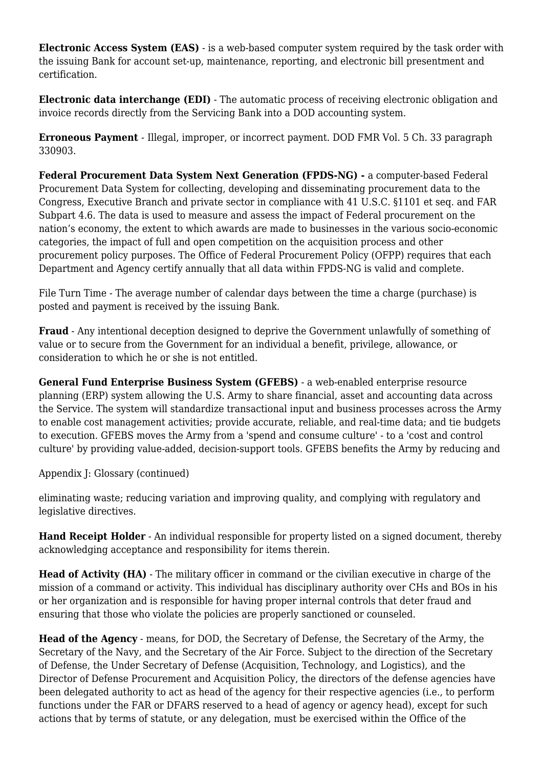**Electronic Access System (EAS)** - is a web-based computer system required by the task order with the issuing Bank for account set-up, maintenance, reporting, and electronic bill presentment and certification.

**Electronic data interchange (EDI)** - The automatic process of receiving electronic obligation and invoice records directly from the Servicing Bank into a DOD accounting system.

**Erroneous Payment** - Illegal, improper, or incorrect payment. DOD FMR Vol. 5 Ch. 33 paragraph 330903.

**Federal Procurement Data System Next Generation (FPDS-NG) -** a computer-based Federal Procurement Data System for collecting, developing and disseminating procurement data to the Congress, Executive Branch and private sector in compliance with 41 U.S.C. §1101 et seq. and FAR Subpart 4.6. The data is used to measure and assess the impact of Federal procurement on the nation's economy, the extent to which awards are made to businesses in the various socio-economic categories, the impact of full and open competition on the acquisition process and other procurement policy purposes. The Office of Federal Procurement Policy (OFPP) requires that each Department and Agency certify annually that all data within FPDS-NG is valid and complete.

File Turn Time - The average number of calendar days between the time a charge (purchase) is posted and payment is received by the issuing Bank.

**Fraud** - Any intentional deception designed to deprive the Government unlawfully of something of value or to secure from the Government for an individual a benefit, privilege, allowance, or consideration to which he or she is not entitled.

**General Fund Enterprise Business System (GFEBS)** - a web-enabled enterprise resource planning (ERP) system allowing the U.S. Army to share financial, asset and accounting data across the Service. The system will standardize transactional input and business processes across the Army to enable cost management activities; provide accurate, reliable, and real-time data; and tie budgets to execution. GFEBS moves the Army from a 'spend and consume culture' - to a 'cost and control culture' by providing value-added, decision-support tools. GFEBS benefits the Army by reducing and

Appendix J: Glossary (continued)

eliminating waste; reducing variation and improving quality, and complying with regulatory and legislative directives.

**Hand Receipt Holder** - An individual responsible for property listed on a signed document, thereby acknowledging acceptance and responsibility for items therein.

**Head of Activity (HA)** - The military officer in command or the civilian executive in charge of the mission of a command or activity. This individual has disciplinary authority over CHs and BOs in his or her organization and is responsible for having proper internal controls that deter fraud and ensuring that those who violate the policies are properly sanctioned or counseled.

**Head of the Agency** - means, for DOD, the Secretary of Defense, the Secretary of the Army, the Secretary of the Navy, and the Secretary of the Air Force. Subject to the direction of the Secretary of Defense, the Under Secretary of Defense (Acquisition, Technology, and Logistics), and the Director of Defense Procurement and Acquisition Policy, the directors of the defense agencies have been delegated authority to act as head of the agency for their respective agencies (i.e., to perform functions under the FAR or DFARS reserved to a head of agency or agency head), except for such actions that by terms of statute, or any delegation, must be exercised within the Office of the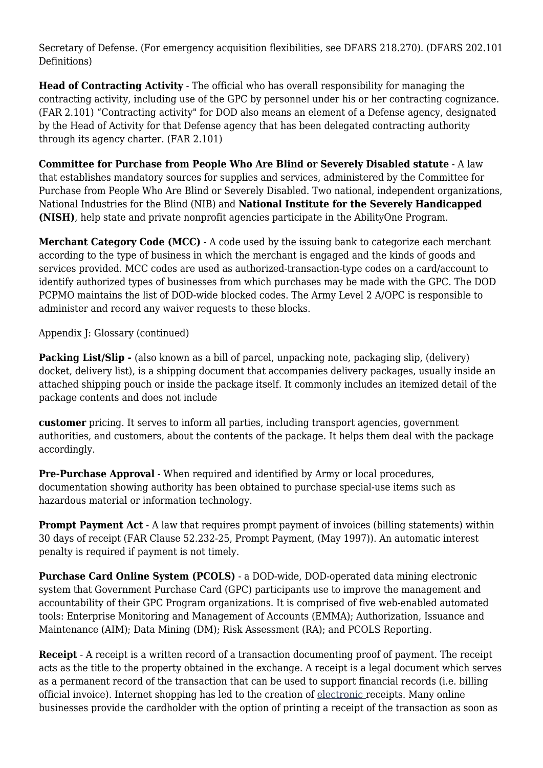Secretary of Defense. (For emergency acquisition flexibilities, see DFARS 218.270). (DFARS 202.101 Definitions)

**Head of Contracting Activity** - The official who has overall responsibility for managing the contracting activity, including use of the GPC by personnel under his or her contracting cognizance. (FAR 2.101) "Contracting activity" for DOD also means an element of a Defense agency, designated by the Head of Activity for that Defense agency that has been delegated contracting authority through its agency charter. (FAR 2.101)

**Committee for Purchase from People Who Are Blind or Severely Disabled statute** - A law that establishes mandatory sources for supplies and services, administered by the Committee for Purchase from People Who Are Blind or Severely Disabled. Two national, independent organizations, National Industries for the Blind (NIB) and **National Institute for the Severely Handicapped (NISH)**, help state and private nonprofit agencies participate in the AbilityOne Program.

**Merchant Category Code (MCC)** - A code used by the issuing bank to categorize each merchant according to the type of business in which the merchant is engaged and the kinds of goods and services provided. MCC codes are used as authorized-transaction-type codes on a card/account to identify authorized types of businesses from which purchases may be made with the GPC. The DOD PCPMO maintains the list of DOD-wide blocked codes. The Army Level 2 A/OPC is responsible to administer and record any waiver requests to these blocks.

Appendix J: Glossary (continued)

**Packing List/Slip -** (also known as a bill of parcel, unpacking note, packaging slip, (delivery) docket, delivery list), is a shipping document that accompanies delivery packages, usually inside an attached shipping pouch or inside the package itself. It commonly includes an itemized detail of the package contents and does not include

**customer** pricing. It serves to inform all parties, including transport agencies, government authorities, and customers, about the contents of the package. It helps them deal with the package accordingly.

**Pre-Purchase Approval** - When required and identified by Army or local procedures, documentation showing authority has been obtained to purchase special-use items such as hazardous material or information technology.

**Prompt Payment Act** - A law that requires prompt payment of invoices (billing statements) within 30 days of receipt (FAR Clause 52.232-25, Prompt Payment, (May 1997)). An automatic interest penalty is required if payment is not timely.

**Purchase Card Online System (PCOLS)** - a DOD-wide, DOD-operated data mining electronic system that Government Purchase Card (GPC) participants use to improve the management and accountability of their GPC Program organizations. It is comprised of five web-enabled automated tools: Enterprise Monitoring and Management of Accounts (EMMA); Authorization, Issuance and Maintenance (AIM); Data Mining (DM); Risk Assessment (RA); and PCOLS Reporting.

**Receipt** - A receipt is a written record of a transaction documenting proof of payment. The receipt acts as the title to the property obtained in the exchange. A receipt is a legal document which serves as a permanent record of the transaction that can be used to support financial records (i.e. billing official invoice). Internet shopping has led to the creation of [electronic](http://www.wisegeek.com/what-is-electronic-cash.htm) receipts. Many online businesses provide the cardholder with the option of printing a receipt of the transaction as soon as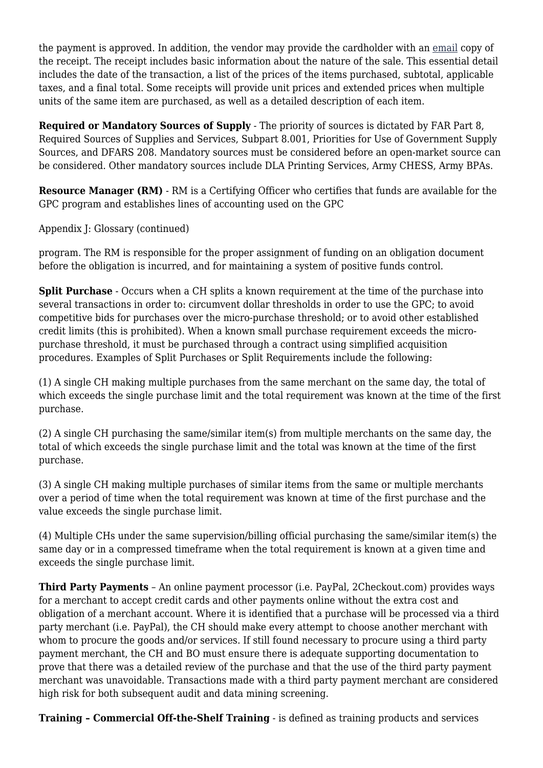the payment is approved. In addition, the vendor may provide the cardholder with an [email](http://www.wisegeek.com/what-is-email.htm) copy of the receipt. The receipt includes basic information about the nature of the sale. This essential detail includes the date of the transaction, a list of the prices of the items purchased, subtotal, applicable taxes, and a final total. Some receipts will provide unit prices and extended prices when multiple units of the same item are purchased, as well as a detailed description of each item.

**Required or Mandatory Sources of Supply** - The priority of sources is dictated by FAR Part 8, Required Sources of Supplies and Services, Subpart 8.001, Priorities for Use of Government Supply Sources, and DFARS 208. Mandatory sources must be considered before an open-market source can be considered. Other mandatory sources include DLA Printing Services, Army CHESS, Army BPAs.

**Resource Manager (RM)** - RM is a Certifying Officer who certifies that funds are available for the GPC program and establishes lines of accounting used on the GPC

Appendix J: Glossary (continued)

program. The RM is responsible for the proper assignment of funding on an obligation document before the obligation is incurred, and for maintaining a system of positive funds control.

**Split Purchase** - Occurs when a CH splits a known requirement at the time of the purchase into several transactions in order to: circumvent dollar thresholds in order to use the GPC; to avoid competitive bids for purchases over the micro-purchase threshold; or to avoid other established credit limits (this is prohibited). When a known small purchase requirement exceeds the micropurchase threshold, it must be purchased through a contract using simplified acquisition procedures. Examples of Split Purchases or Split Requirements include the following:

(1) A single CH making multiple purchases from the same merchant on the same day, the total of which exceeds the single purchase limit and the total requirement was known at the time of the first purchase.

(2) A single CH purchasing the same/similar item(s) from multiple merchants on the same day, the total of which exceeds the single purchase limit and the total was known at the time of the first purchase.

(3) A single CH making multiple purchases of similar items from the same or multiple merchants over a period of time when the total requirement was known at time of the first purchase and the value exceeds the single purchase limit.

(4) Multiple CHs under the same supervision/billing official purchasing the same/similar item(s) the same day or in a compressed timeframe when the total requirement is known at a given time and exceeds the single purchase limit.

**Third Party Payments** – An online payment processor (i.e. PayPal, 2Checkout.com) provides ways for a merchant to accept credit cards and other payments online without the extra cost and obligation of a merchant account. Where it is identified that a purchase will be processed via a third party merchant (i.e. PayPal), the CH should make every attempt to choose another merchant with whom to procure the goods and/or services. If still found necessary to procure using a third party payment merchant, the CH and BO must ensure there is adequate supporting documentation to prove that there was a detailed review of the purchase and that the use of the third party payment merchant was unavoidable. Transactions made with a third party payment merchant are considered high risk for both subsequent audit and data mining screening.

**Training – Commercial Off-the-Shelf Training** - is defined as training products and services